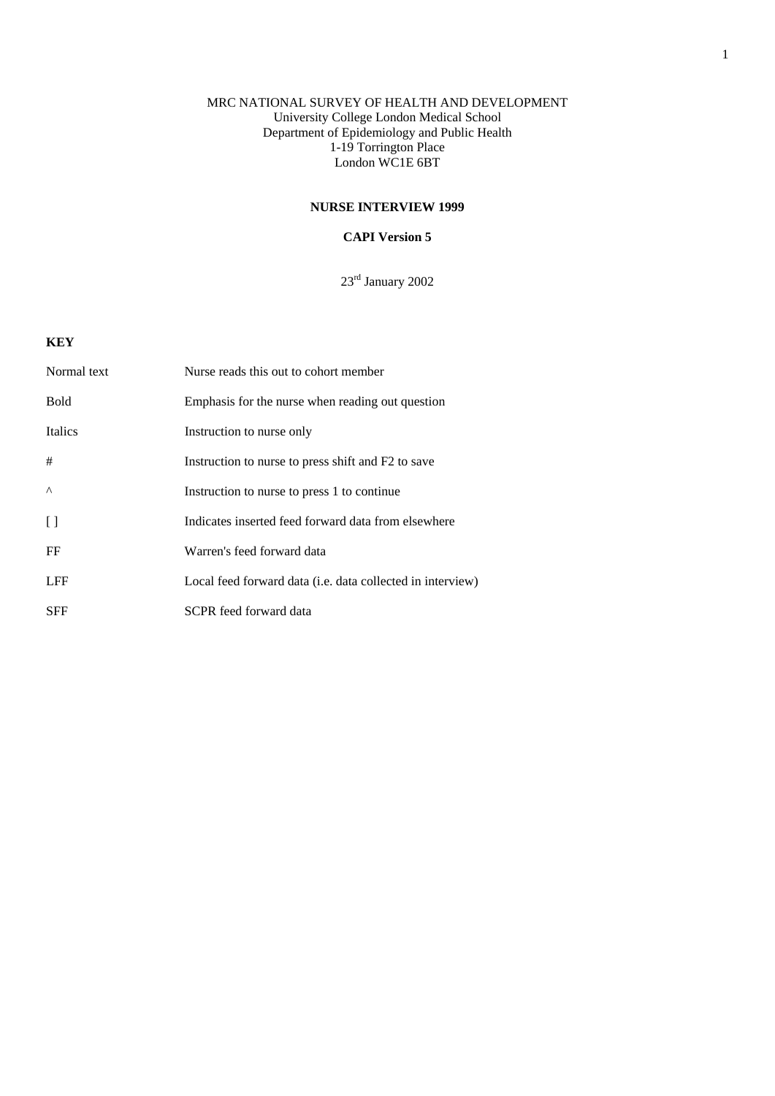## MRC NATIONAL SURVEY OF HEALTH AND DEVELOPMENT University College London Medical School Department of Epidemiology and Public Health 1-19 Torrington Place London WC1E 6BT

## **NURSE INTERVIEW 1999**

## **CAPI Version 5**

23rd January 2002

## **KEY**

| Normal text    | Nurse reads this out to cohort member                              |
|----------------|--------------------------------------------------------------------|
| <b>Bold</b>    | Emphasis for the nurse when reading out question                   |
| <b>Italics</b> | Instruction to nurse only                                          |
| #              | Instruction to nurse to press shift and F2 to save                 |
| $\wedge$       | Instruction to nurse to press 1 to continue                        |
| $\Box$         | Indicates inserted feed forward data from elsewhere                |
| FF             | Warren's feed forward data                                         |
| <b>LFF</b>     | Local feed forward data ( <i>i.e.</i> data collected in interview) |
| <b>SFF</b>     | SCPR feed forward data                                             |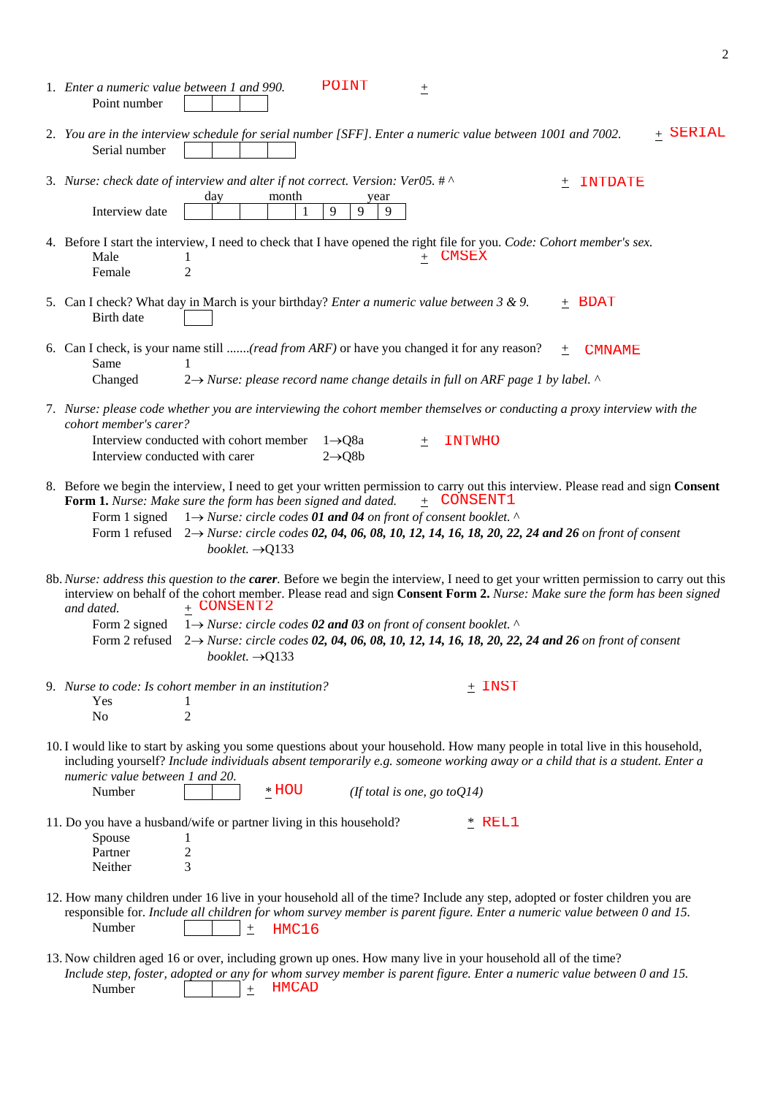| <b>POINT</b><br>1. Enter a numeric value between 1 and 990.<br>土<br>Point number                                                                                                                                                                                                                                                                                                                                                                                                        |
|-----------------------------------------------------------------------------------------------------------------------------------------------------------------------------------------------------------------------------------------------------------------------------------------------------------------------------------------------------------------------------------------------------------------------------------------------------------------------------------------|
| + SERIAL<br>2. You are in the interview schedule for serial number [SFF]. Enter a numeric value between 1001 and 7002.<br>Serial number                                                                                                                                                                                                                                                                                                                                                 |
| 3. Nurse: check date of interview and alter if not correct. Version: Ver05. # ^<br>INTDATE<br>$^{+}$<br>month<br>day<br>year<br>9<br>Interview date<br>9<br>9<br>-1                                                                                                                                                                                                                                                                                                                     |
| 4. Before I start the interview, I need to check that I have opened the right file for you. Code: Cohort member's sex.<br><b>CMSEX</b><br>Male<br>$\overline{2}$<br>Female                                                                                                                                                                                                                                                                                                              |
| 5. Can I check? What day in March is your birthday? <i>Enter a numeric value between 3 &amp; 9</i> .<br>+ BDAT<br>Birth date                                                                                                                                                                                                                                                                                                                                                            |
| 6. Can I check, is your name still (read from ARF) or have you changed it for any reason?<br><b>CMNAME</b><br>土<br>Same<br>1<br>$2 \rightarrow$ Nurse: please record name change details in full on ARF page 1 by label. $\land$<br>Changed                                                                                                                                                                                                                                             |
| 7. Nurse: please code whether you are interviewing the cohort member themselves or conducting a proxy interview with the<br>cohort member's carer?<br>Interview conducted with cohort member<br>$1 \rightarrow Q8a$<br><b>INTWHO</b><br>土<br>$2 \rightarrow Q8b$<br>Interview conducted with carer                                                                                                                                                                                      |
| 8. Before we begin the interview, I need to get your written permission to carry out this interview. Please read and sign Consent<br>+ CONSENT1<br>Form 1. Nurse: Make sure the form has been signed and dated.<br>$1 \rightarrow$ Nurse: circle codes 01 and 04 on front of consent booklet. $\wedge$<br>Form 1 signed<br>Form 1 refused $2 \rightarrow Nurse$ : circle codes 02, 04, 06, 08, 10, 12, 14, 16, 18, 20, 22, 24 and 26 on front of consent<br>booklet. $\rightarrow$ Q133 |
| 8b. Nurse: address this question to the carer. Before we begin the interview, I need to get your written permission to carry out this<br>interview on behalf of the cohort member. Please read and sign Consent Form 2. Nurse: Make sure the form has been signed<br>+ CONSENT2<br>and dated.<br>1 $\rightarrow$ Nurse: circle codes 02 and 03 on front of consent booklet. $\land$                                                                                                     |
| Form 2 signed<br>$2 \rightarrow$ Nurse: circle codes 02, 04, 06, 08, 10, 12, 14, 16, 18, 20, 22, 24 and 26 on front of consent<br>Form 2 refused<br>booklet. $\rightarrow$ Q133                                                                                                                                                                                                                                                                                                         |
| 9. Nurse to code: Is cohort member in an institution?<br>$\pm$ INST<br>Yes<br>$\overline{2}$<br>No                                                                                                                                                                                                                                                                                                                                                                                      |
| 10. I would like to start by asking you some questions about your household. How many people in total live in this household,<br>including yourself? Include individuals absent temporarily e.g. someone working away or a child that is a student. Enter a<br>numeric value between 1 and 20.<br>$*$ HOU<br>Number<br>(If total is one, go to $Q14$ )                                                                                                                                  |
| 11. Do you have a husband/wife or partner living in this household?<br>* REL1<br>Spouse<br>$\mathbf{I}$<br>Partner<br>2<br>3<br>Neither                                                                                                                                                                                                                                                                                                                                                 |
| 12. How many children under 16 live in your household all of the time? Include any step, adopted or foster children you are<br>responsible for. Include all children for whom survey member is parent figure. Enter a numeric value between 0 and 15.<br>Number<br>HMC16<br>$\pm$                                                                                                                                                                                                       |
| 13. Now children aged 16 or over, including grown up ones. How many live in your household all of the time?<br>Include step, foster, adopted or any for whom survey member is parent figure. Enter a numeric value between 0 and 15.<br><b>HMCAD</b><br>Number                                                                                                                                                                                                                          |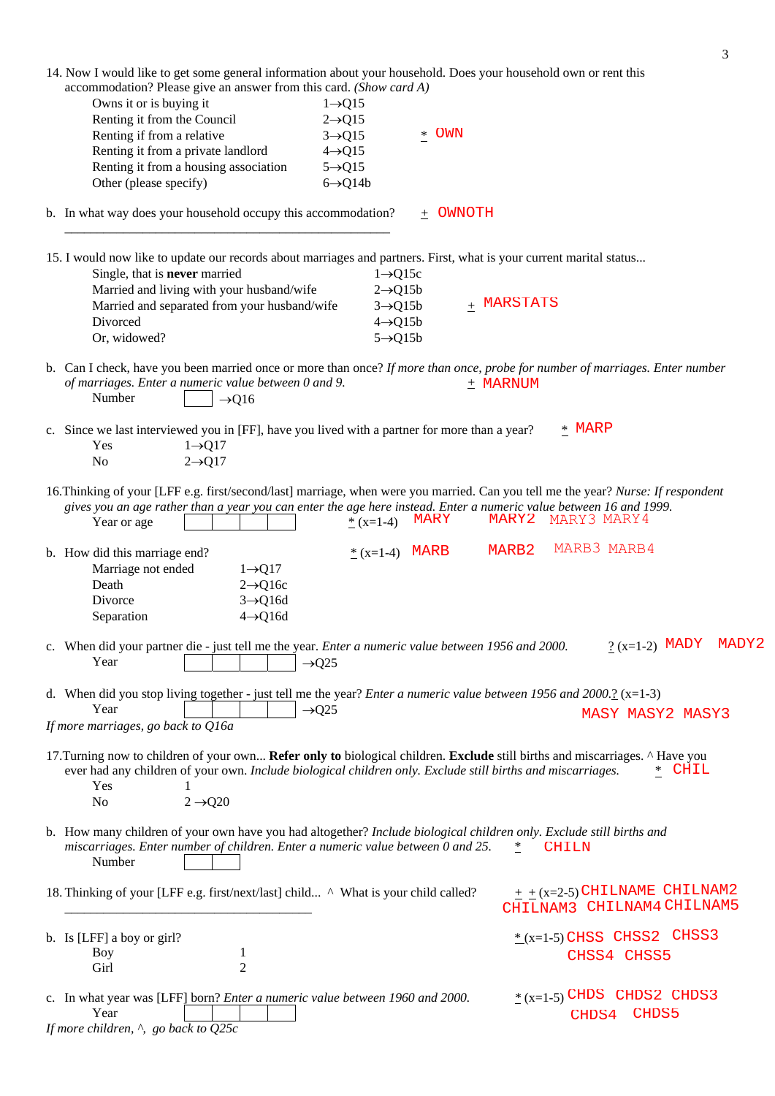|                                                                                                                                                                                       | 3                                    |
|---------------------------------------------------------------------------------------------------------------------------------------------------------------------------------------|--------------------------------------|
| 14. Now I would like to get some general information about your household. Does your household own or rent this<br>accommodation? Please give an answer from this card. (Show card A) |                                      |
| Owns it or is buying it<br>$1 \rightarrow Q15$                                                                                                                                        |                                      |
| Renting it from the Council<br>$2 \rightarrow Q15$                                                                                                                                    |                                      |
| * OWN<br>Renting if from a relative<br>$3 \rightarrow Q15$                                                                                                                            |                                      |
| Renting it from a private landlord<br>$4 \rightarrow Q15$                                                                                                                             |                                      |
| Renting it from a housing association<br>$5 \rightarrow Q15$<br>Other (please specify)<br>$6 \rightarrow Q14b$                                                                        |                                      |
|                                                                                                                                                                                       |                                      |
| b. In what way does your household occupy this accommodation?<br>$+$ OWNOTH                                                                                                           |                                      |
| 15. I would now like to update our records about marriages and partners. First, what is your current marital status                                                                   |                                      |
| Single, that is <b>never</b> married<br>$1 \rightarrow Q15c$<br>Married and living with your husband/wife<br>$2 \rightarrow Q15b$                                                     |                                      |
| Married and separated from your husband/wife<br>$3 \rightarrow Q15b$                                                                                                                  | $+$ MARSTATS                         |
| Divorced<br>$4 \rightarrow Q15b$                                                                                                                                                      |                                      |
| Or, widowed?<br>$5 \rightarrow Q15b$                                                                                                                                                  |                                      |
| b. Can I check, have you been married once or more than once? If more than once, probe for number of marriages. Enter number                                                          |                                      |
| of marriages. Enter a numeric value between 0 and 9.<br>Number<br>$\rightarrow$ Q16                                                                                                   | $+$ MARNUM                           |
| c. Since we last interviewed you in [FF], have you lived with a partner for more than a year?                                                                                         | * MARP                               |
| $1 \rightarrow Q17$<br>Yes                                                                                                                                                            |                                      |
| N <sub>o</sub><br>$2 \rightarrow Q17$                                                                                                                                                 |                                      |
| 16. Thinking of your [LFF e.g. first/second/last] marriage, when were you married. Can you tell me the year? Nurse: If respondent                                                     |                                      |
| gives you an age rather than a year you can enter the age here instead. Enter a numeric value between 16 and 1999.                                                                    |                                      |
| MARY<br>* $(x=1-4)$<br>Year or age                                                                                                                                                    | MARY2<br>MARY3 MARY4                 |
| $*(x=1-4)$ MARB<br>b. How did this marriage end?                                                                                                                                      | MARB3 MARB4<br>MARB2                 |
| Marriage not ended<br>$1 \rightarrow Q17$                                                                                                                                             |                                      |
| Death<br>$2 \rightarrow Q16c$                                                                                                                                                         |                                      |
| Divorce<br>$3 \rightarrow Q16d$                                                                                                                                                       |                                      |
| Separation<br>$4 \rightarrow Q16d$                                                                                                                                                    |                                      |
| c. When did your partner die - just tell me the year. Enter a numeric value between 1956 and 2000.                                                                                    | MADY2<br>$? (x=1-2)$ MADY            |
| Year<br>$\rightarrow$ Q25                                                                                                                                                             |                                      |
| d. When did you stop living together - just tell me the year? <i>Enter a numeric value between 1956 and 2000.</i> ? ( $x=1-3$ )                                                       |                                      |
| Year<br>$\rightarrow$ Q25                                                                                                                                                             | <b>MASY MASY2 MASY3</b>              |
| If more marriages, go back to Q16a                                                                                                                                                    |                                      |
| 17. Turning now to children of your own Refer only to biological children. Exclude still births and miscarriages. ^ Have you                                                          |                                      |
| ever had any children of your own. Include biological children only. Exclude still births and miscarriages.                                                                           | CHIL<br>$\ast$                       |
| Yes                                                                                                                                                                                   |                                      |
| N <sub>o</sub><br>$2 \rightarrow Q20$                                                                                                                                                 |                                      |
| b. How many children of your own have you had altogether? Include biological children only. Exclude still births and                                                                  |                                      |
| miscarriages. Enter number of children. Enter a numeric value between 0 and 25.                                                                                                       | $\ast$<br><b>CHILN</b>               |
| Number                                                                                                                                                                                |                                      |
| 18. Thinking of your [LFF e.g. first/next/last] child ^ What is your child called?                                                                                                    | $+$ $+$ $(x=2-5)$ CHILNAME CHILNAM2  |
|                                                                                                                                                                                       | CHILNAM3 CHILNAM4 CHILNAM5           |
|                                                                                                                                                                                       | $*(x=1-5)$ CHSS CHSS2 CHSS3          |
| b. Is [LFF] a boy or girl?<br>Boy<br>1                                                                                                                                                |                                      |
| Girl<br>2                                                                                                                                                                             | CHSS4 CHSS5                          |
|                                                                                                                                                                                       |                                      |
| c. In what year was [LFF] born? Enter a numeric value between 1960 and 2000.<br>Year                                                                                                  | $*(x=1-5)$ CHDS CHDS2 CHDS3<br>CHDS5 |
| If more children, $\land$ , go back to Q25c                                                                                                                                           | CHDS4                                |
|                                                                                                                                                                                       |                                      |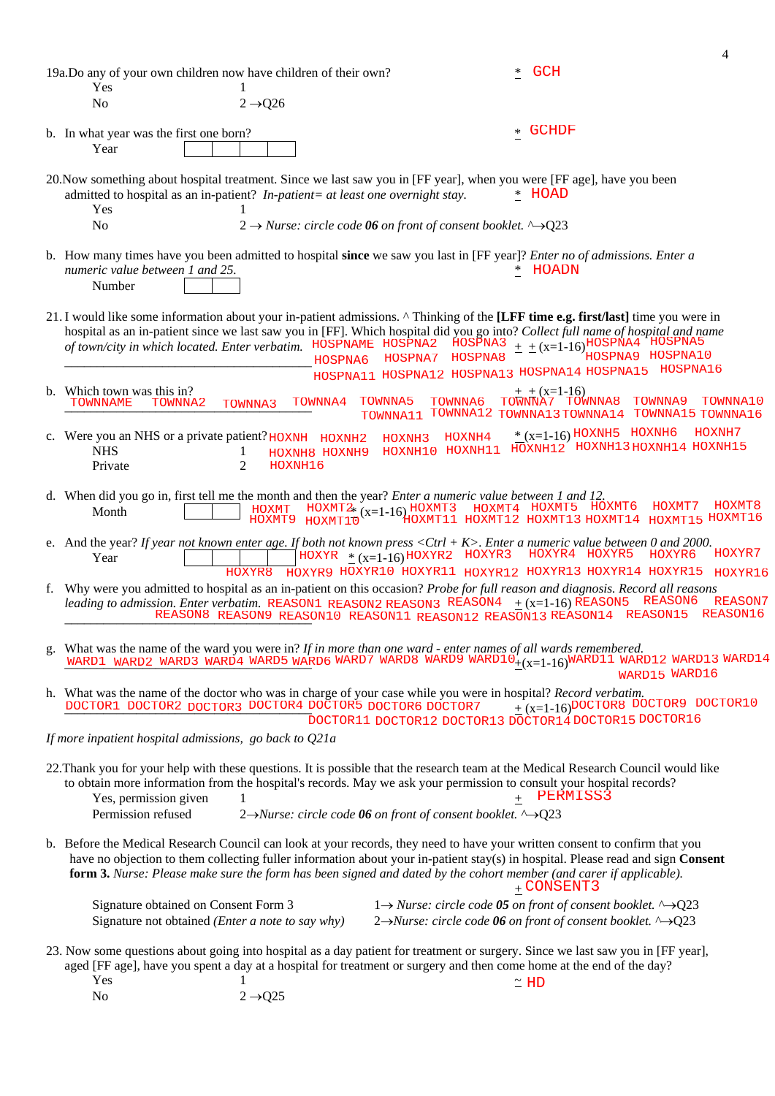|                                                                                                                                                                                                                                                                                                                                                                                      |                                                 |                                                                                           |                                                                                                                                                      | 4                              |
|--------------------------------------------------------------------------------------------------------------------------------------------------------------------------------------------------------------------------------------------------------------------------------------------------------------------------------------------------------------------------------------|-------------------------------------------------|-------------------------------------------------------------------------------------------|------------------------------------------------------------------------------------------------------------------------------------------------------|--------------------------------|
| 19a.Do any of your own children now have children of their own?<br>Yes                                                                                                                                                                                                                                                                                                               |                                                 |                                                                                           | <b>GCH</b><br>∗                                                                                                                                      |                                |
| N <sub>o</sub>                                                                                                                                                                                                                                                                                                                                                                       | $2 \rightarrow Q26$                             |                                                                                           |                                                                                                                                                      |                                |
| b. In what year was the first one born?<br>Year                                                                                                                                                                                                                                                                                                                                      |                                                 |                                                                                           | <b>GCHDF</b><br>$\ast$                                                                                                                               |                                |
| 20. Now something about hospital treatment. Since we last saw you in [FF year], when you were [FF age], have you been<br>admitted to hospital as an in-patient? In-patient= at least one overnight stay.<br>Yes                                                                                                                                                                      |                                                 |                                                                                           | * HOAD                                                                                                                                               |                                |
| N <sub>o</sub>                                                                                                                                                                                                                                                                                                                                                                       |                                                 | $2 \rightarrow$ Nurse: circle code 06 on front of consent booklet. $\rightarrow$ Q23      |                                                                                                                                                      |                                |
| b. How many times have you been admitted to hospital since we saw you last in [FF year]? <i>Enter no of admissions. Enter a</i><br>numeric value between 1 and 25.<br>Number                                                                                                                                                                                                         |                                                 |                                                                                           | HOADN                                                                                                                                                |                                |
| 21. I would like some information about your in-patient admissions. ^ Thinking of the [LFF time e.g. first/last] time you were in<br>hospital as an in-patient since we last saw you in [FF]. Which hospital did you go into? Collect full name of hospital and name<br>of town/city in which located. Enter verbatim. HOSPNAME HOSPNA2                                              | HOSPNA6                                         | HOSPNA3<br>HOSPNA8<br>HOSPNA7<br>HOSPNA11 HOSPNA12 HOSPNA13 HOSPNA14 HOSPNA15             | $+$ $+$ $(x=1-16)$ HOSPŇA4 HOSPNA5<br>HOSPNA9                                                                                                        | HOSPNA10<br>HOSPNA16           |
| b. Which town was this in?<br>TOWNNA2<br>TOWNNAME                                                                                                                                                                                                                                                                                                                                    | TOWNNA4<br>TOWNNA3                              | TOWNNA5<br>TOWNNA6<br>TOWNNA11 TOWNNA12 TOWNNA13 TOWNNA14 TOWNNA15 TOWNNA16               | $\pm \pm (x=1-16)$<br>TOWNNA7 TOWNNA8                                                                                                                | TOWNNA9<br>TOWNNA10            |
| c. Were you an NHS or a private patient? HOXNH HOXNH2<br><b>NHS</b><br>Private                                                                                                                                                                                                                                                                                                       | 1<br>HOXNH8 HOXNH9<br>$\overline{2}$<br>HOXNH16 | HOXNH4<br>HOXNH3                                                                          | $*(x=1-16)$ HOXNH5 HOXNH6<br>HOXNH10 HOXNH11 HOXNH12 HOXNH13 HOXNH14 HOXNH15                                                                         | HOXNH7                         |
| d. When did you go in, first tell me the month and then the year? <i>Enter a numeric value between 1 and 12</i> .<br>Month                                                                                                                                                                                                                                                           | <b>HOXMT</b><br>HOXMT9<br>HOXMT10               | HOXMT2 $_{x=1-16}$ HOXMT3                                                                 | HOXMT4 HOXMT5 HOXMT6<br>HOXMT11 HOXMT12 HOXMT13 HOXMT14 HOXMT15 HOXMT16                                                                              | HOXMT8<br>HOXMT7               |
| e. And the year? If year not known enter age. If both not known press $\langle$ Ctrl + K>. Enter a numeric value between 0 and 2000.<br>Year                                                                                                                                                                                                                                         | HOXYR8                                          | HOXYR $*(x=1-16)$ HOXYR2 HOXYR3<br>HOXYR9 HOXYR10 HOXYR11 HOXYR12 HOXYR13 HOXYR14 HOXYR15 | HOXYR4 HOXYR5                                                                                                                                        | HOXYR7<br>HOXYR6<br>HOXYR16    |
| f. Why were you admitted to hospital as an in-patient on this occasion? Probe for full reason and diagnosis. Record all reasons<br>leading to admission. Enter verbatim. REASON1 REASON2 REASON3 REASON4 $\pm$ (x=1-16) REASON5                                                                                                                                                      |                                                 | REASON8 REASON9 REASON10 REASON11 REASON12 REASON13 REASON14 REASON15                     |                                                                                                                                                      | REASON6<br>REASON7<br>REASON16 |
| g. What was the name of the ward you were in? If in more than one ward - enter names of all wards remembered.<br>WARD1 WARD2 WARD3 WARD4 WARD5 WARD6 WARD7 WARD8 WARD9 WARD10 $_{\pm(x=1-16)}$ WARD11 WARD12 WARD13 WARD14                                                                                                                                                           |                                                 |                                                                                           |                                                                                                                                                      | WARD15 WARD16                  |
| h. What was the name of the doctor who was in charge of your case while you were in hospital? Record verbatim.<br>DOCTOR1 DOCTOR2 DOCTOR3 DOCTOR4 DOCTOR5 DOCTOR6 DOCTOR7                                                                                                                                                                                                            |                                                 | DOCTOR11 DOCTOR12 DOCTOR13 DOCTOR14 DOCTOR15 DOCTOR16                                     | $+(x=1-16)$ DOCTOR8 DOCTOR9 DOCTOR10                                                                                                                 |                                |
| If more inpatient hospital admissions, go back to $Q21a$                                                                                                                                                                                                                                                                                                                             |                                                 |                                                                                           |                                                                                                                                                      |                                |
| 22. Thank you for your help with these questions. It is possible that the research team at the Medical Research Council would like<br>to obtain more information from the hospital's records. May we ask your permission to consult your hospital records?<br>Yes, permission given                                                                                                  |                                                 |                                                                                           | + PERMISS3                                                                                                                                           |                                |
| Permission refused                                                                                                                                                                                                                                                                                                                                                                   |                                                 | 2→Nurse: circle code 06 on front of consent booklet. ^→Q23                                |                                                                                                                                                      |                                |
| b. Before the Medical Research Council can look at your records, they need to have your written consent to confirm that you<br>have no objection to them collecting fuller information about your in-patient stay(s) in hospital. Please read and sign Consent<br>form 3. Nurse: Please make sure the form has been signed and dated by the cohort member (and carer if applicable). |                                                 |                                                                                           | $+$ CONSENT3                                                                                                                                         |                                |
| Signature obtained on Consent Form 3<br>Signature not obtained ( <i>Enter a note to say why</i> )                                                                                                                                                                                                                                                                                    |                                                 |                                                                                           | 1 $\rightarrow$ Nurse: circle code 05 on front of consent booklet. ^ $\rightarrow$ Q23<br>2→Nurse: circle code 06 on front of consent booklet. ^→Q23 |                                |
| 23. Now some questions about going into hospital as a day patient for treatment or surgery. Since we last saw you in [FF year],<br>aged [FF age], have you spent a day at a hospital for treatment or surgery and then come home at the end of the day?<br>Yes                                                                                                                       |                                                 |                                                                                           | $\simeq$ HD                                                                                                                                          |                                |
| No                                                                                                                                                                                                                                                                                                                                                                                   | $2 \rightarrow Q25$                             |                                                                                           |                                                                                                                                                      |                                |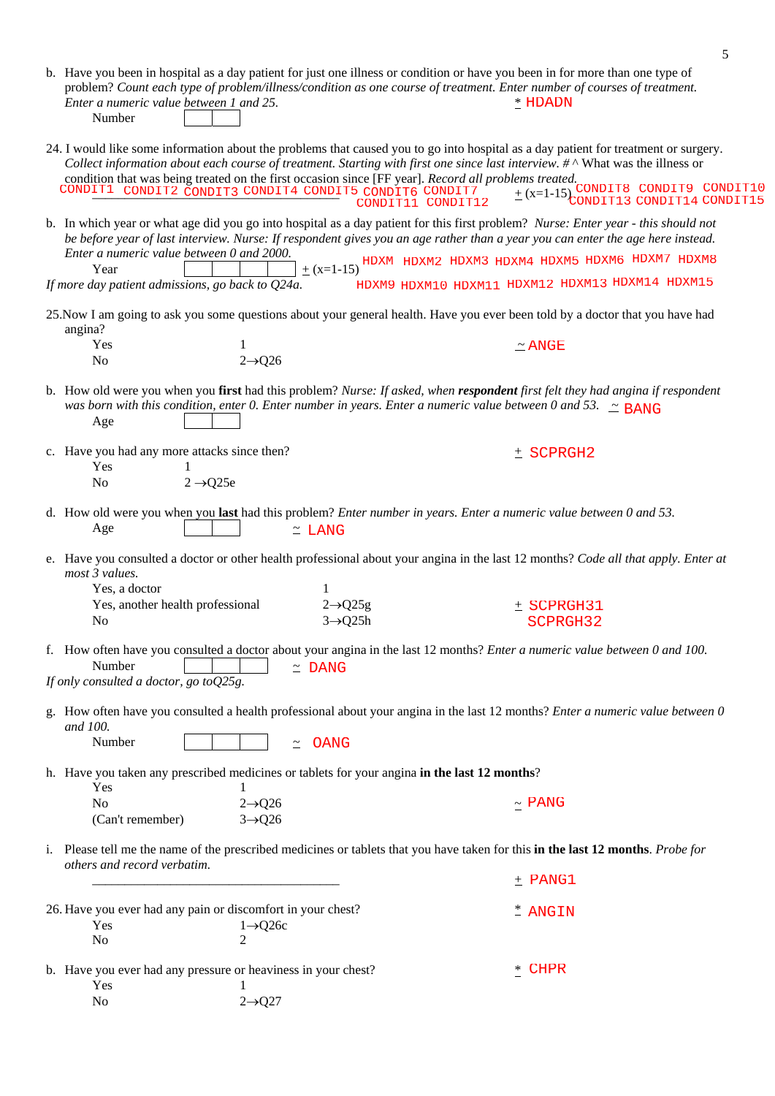| Enter a numeric value between 1 and 25.<br>Number                                                                                                               |                       | b. Have you been in hospital as a day patient for just one illness or condition or have you been in for more than one type of<br>problem? Count each type of problem/illness/condition as one course of treatment. Enter number of courses of treatment.<br>$*$ HDADN                                                   |  |
|-----------------------------------------------------------------------------------------------------------------------------------------------------------------|-----------------------|-------------------------------------------------------------------------------------------------------------------------------------------------------------------------------------------------------------------------------------------------------------------------------------------------------------------------|--|
| condition that was being treated on the first occasion since [FF year]. Record all problems treated.<br>CONDIT1 CONDIT2 CONDIT3 CONDIT4 CONDIT5 CONDIT6 CONDIT7 | CONDIT11 CONDIT12     | 24. I would like some information about the problems that caused you to go into hospital as a day patient for treatment or surgery.<br>Collect information about each course of treatment. Starting with first one since last interview. $\# \wedge$ What was the illness or<br>$\pm$ (x=1-15) CONDIT8 CONDIT9 CONDIT10 |  |
| Enter a numeric value between 0 and 2000.                                                                                                                       |                       | b. In which year or what age did you go into hospital as a day patient for this first problem? Nurse: Enter year - this should not<br>be before year of last interview. Nurse: If respondent gives you an age rather than a year you can enter the age here instead.                                                    |  |
| Year<br>If more day patient admissions, go back to Q24a.                                                                                                        |                       | $\pm$ (x=1-15) <sup>HDXM</sup> HDXM2 HDXM3 HDXM4 HDXM5 HDXM6 HDXM7 HDXM8<br>HDXM9 HDXM10 HDXM11 HDXM12 HDXM13 HDXM14 HDXM15                                                                                                                                                                                             |  |
|                                                                                                                                                                 |                       |                                                                                                                                                                                                                                                                                                                         |  |
| angina?                                                                                                                                                         |                       | 25. Now I am going to ask you some questions about your general health. Have you ever been told by a doctor that you have had                                                                                                                                                                                           |  |
| Yes<br>$2 \rightarrow Q26$<br>N <sub>0</sub>                                                                                                                    |                       | $\simeq$ ANGE                                                                                                                                                                                                                                                                                                           |  |
| Age                                                                                                                                                             |                       | b. How old were you when you first had this problem? Nurse: If asked, when respondent first felt they had angina if respondent<br>was born with this condition, enter 0. Enter number in years. Enter a numeric value between 0 and 53. $\approx$ BANG                                                                  |  |
| c. Have you had any more attacks since then?                                                                                                                    |                       | $±$ SCPRGH2                                                                                                                                                                                                                                                                                                             |  |
| Yes<br>$2 \rightarrow Q$ 25e<br>No                                                                                                                              |                       |                                                                                                                                                                                                                                                                                                                         |  |
| Age                                                                                                                                                             | $\simeq$ LANG         | d. How old were you when you last had this problem? Enter number in years. Enter a numeric value between 0 and 53.                                                                                                                                                                                                      |  |
| most 3 values.<br>Yes, a doctor<br>Yes, another health professional                                                                                             | $2 \rightarrow Q25g$  | e. Have you consulted a doctor or other health professional about your angina in the last 12 months? Code all that apply. Enter at<br>$±$ SCPRGH31                                                                                                                                                                      |  |
| No                                                                                                                                                              | $3 \rightarrow Q$ 25h | SCPRGH32                                                                                                                                                                                                                                                                                                                |  |
| Number<br>If only consulted a doctor, go to Q25g.                                                                                                               | $\approx$ DANG        | f. How often have you consulted a doctor about your angina in the last 12 months? <i>Enter a numeric value between 0 and 100</i> .                                                                                                                                                                                      |  |
|                                                                                                                                                                 |                       | g. How often have you consulted a health professional about your angina in the last 12 months? Enter a numeric value between 0                                                                                                                                                                                          |  |
| and 100.<br>Number                                                                                                                                              | OANG<br>$\tilde{=}$   |                                                                                                                                                                                                                                                                                                                         |  |
| h. Have you taken any prescribed medicines or tablets for your angina in the last 12 months?<br>Yes                                                             |                       |                                                                                                                                                                                                                                                                                                                         |  |
| N <sub>o</sub><br>$2 \rightarrow Q26$<br>(Can't remember)<br>$3 \rightarrow Q26$                                                                                |                       | $\sim$ PANG                                                                                                                                                                                                                                                                                                             |  |
| others and record verbatim.                                                                                                                                     |                       | i. Please tell me the name of the prescribed medicines or tablets that you have taken for this in the last 12 months. Probe for                                                                                                                                                                                         |  |
|                                                                                                                                                                 |                       | $+$ PANG1                                                                                                                                                                                                                                                                                                               |  |
| 26. Have you ever had any pain or discomfort in your chest?                                                                                                     |                       | * ANGIN                                                                                                                                                                                                                                                                                                                 |  |
| Yes<br>$1 \rightarrow Q26c$<br>No<br>$\mathfrak{D}$                                                                                                             |                       |                                                                                                                                                                                                                                                                                                                         |  |
| b. Have you ever had any pressure or heaviness in your chest?<br>Yes                                                                                            |                       | <b>CHPR</b><br>$*$                                                                                                                                                                                                                                                                                                      |  |
| $2 \rightarrow Q27$<br>No                                                                                                                                       |                       |                                                                                                                                                                                                                                                                                                                         |  |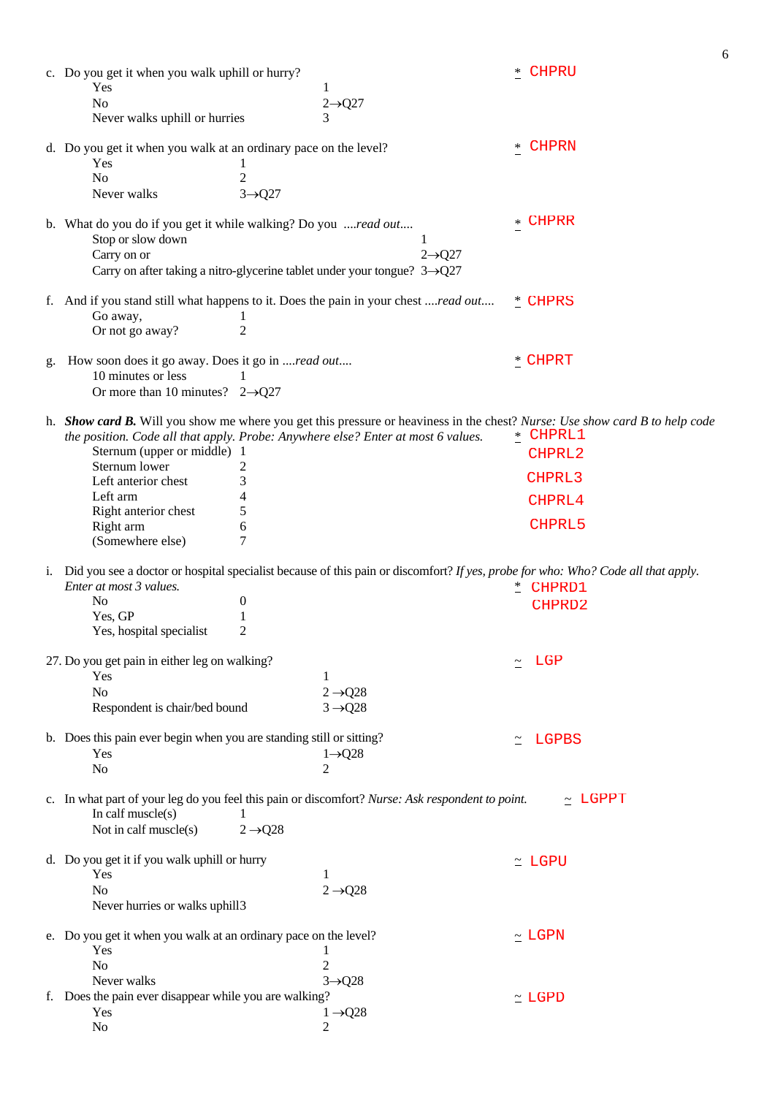|    | c. Do you get it when you walk uphill or hurry?<br>Yes<br>1<br>N <sub>o</sub><br>$2 \rightarrow Q27$<br>Never walks uphill or hurries<br>3                                                                                                                                                                                                                                                | <b>CHPRU</b>                                     |
|----|-------------------------------------------------------------------------------------------------------------------------------------------------------------------------------------------------------------------------------------------------------------------------------------------------------------------------------------------------------------------------------------------|--------------------------------------------------|
|    | d. Do you get it when you walk at an ordinary pace on the level?<br>Yes<br>1<br>$\mathfrak{2}$<br>No<br>Never walks<br>$3 \rightarrow Q27$                                                                                                                                                                                                                                                | CHPRN<br>$*$                                     |
|    | b. What do you do if you get it while walking? Do you read out<br>Stop or slow down<br>1<br>Carry on or<br>$2 \rightarrow Q27$<br>Carry on after taking a nitro-glycerine tablet under your tongue? $3\rightarrow$ Q27                                                                                                                                                                    | <b>CHPRR</b><br>$\ast$                           |
|    | f. And if you stand still what happens to it. Does the pain in your chest read out<br>Go away,<br>1<br>$\overline{2}$<br>Or not go away?                                                                                                                                                                                                                                                  | <u>*</u> CHPRS                                   |
|    | How soon does it go away. Does it go in read out<br>10 minutes or less<br>1<br>Or more than 10 minutes? $2\rightarrow Q27$                                                                                                                                                                                                                                                                | * CHPRT                                          |
|    | h. Show card B. Will you show me where you get this pressure or heaviness in the chest? Nurse: Use show card B to help code<br>the position. Code all that apply. Probe: Anywhere else? Enter at most 6 values.<br>Sternum (upper or middle) 1<br>Sternum lower<br>2<br>3<br>Left anterior chest<br>Left arm<br>4<br>5<br>Right anterior chest<br>Right arm<br>6<br>(Somewhere else)<br>7 | * CHPRL1<br>CHPRL2<br>CHPRL3<br>CHPRL4<br>CHPRL5 |
| 1. | Did you see a doctor or hospital specialist because of this pain or discomfort? If yes, probe for who: Who? Code all that apply.<br>Enter at most 3 values.<br>N <sub>0</sub><br>$\boldsymbol{0}$<br>Yes, GP<br>1<br>2<br>Yes, hospital specialist                                                                                                                                        | * CHPRD1<br>CHPRD2                               |
|    | 27. Do you get pain in either leg on walking?<br>Yes<br>1<br>$2 \rightarrow Q28$<br>No<br>$3 \rightarrow Q28$<br>Respondent is chair/bed bound                                                                                                                                                                                                                                            | LGP                                              |
|    | b. Does this pain ever begin when you are standing still or sitting?<br>Yes<br>$1 \rightarrow Q28$<br>$\overline{c}$<br>No                                                                                                                                                                                                                                                                | LGPBS<br>$\simeq$                                |
|    | c. In what part of your leg do you feel this pain or discomfort? Nurse: Ask respondent to point.<br>In calf $muscle(s)$<br>1<br>Not in calf muscle(s)<br>$2 \rightarrow Q28$                                                                                                                                                                                                              | $\sim$ LGPPT                                     |
|    | d. Do you get it if you walk uphill or hurry<br>Yes<br>1<br>$2 \rightarrow Q28$<br>N <sub>0</sub><br>Never hurries or walks uphill3                                                                                                                                                                                                                                                       | $\simeq$ LGPU                                    |
|    | e. Do you get it when you walk at an ordinary pace on the level?<br>Yes<br>1<br>$\overline{2}$<br>No<br>Never walks<br>$3 \rightarrow Q28$                                                                                                                                                                                                                                                | $\sim$ LGPN                                      |
|    | f. Does the pain ever disappear while you are walking?<br>Yes<br>$1 \rightarrow Q28$<br>No<br>2                                                                                                                                                                                                                                                                                           | $\simeq$ LGPD                                    |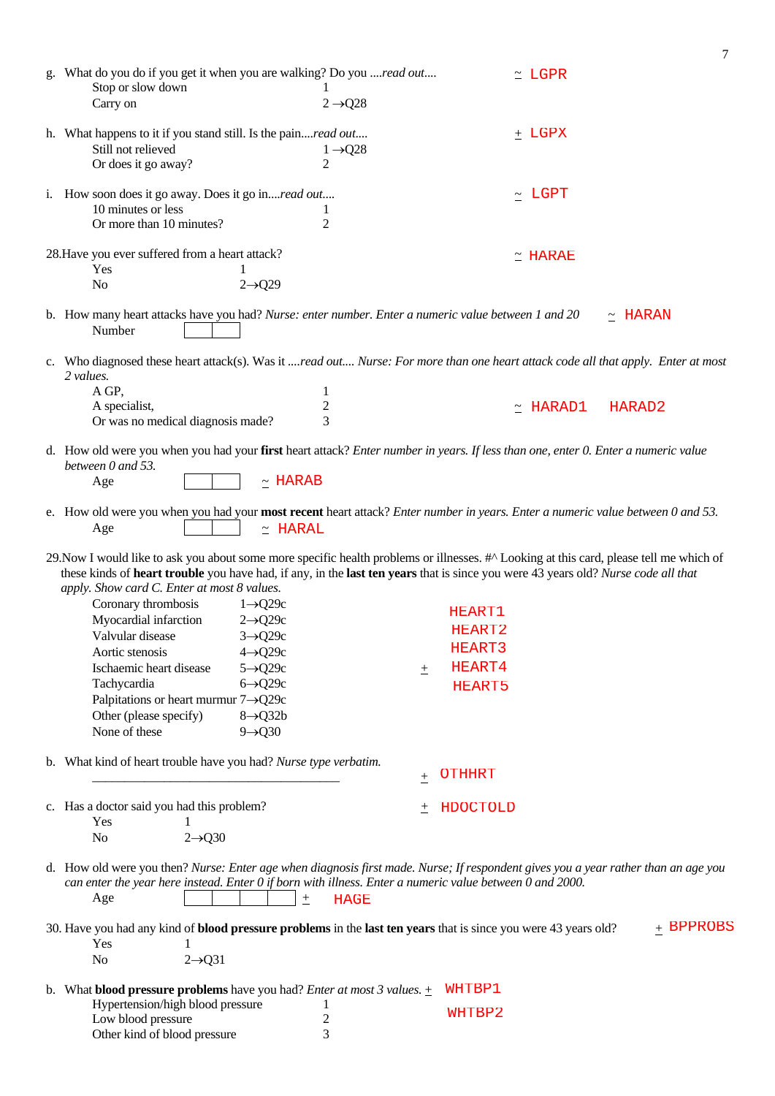|                                                                                                                                    |                                                                                                                                         | 7                       |
|------------------------------------------------------------------------------------------------------------------------------------|-----------------------------------------------------------------------------------------------------------------------------------------|-------------------------|
| g. What do you do if you get it when you are walking? Do you read out                                                              |                                                                                                                                         | $\simeq$ LGPR           |
| Stop or slow down                                                                                                                  | 1                                                                                                                                       |                         |
| Carry on                                                                                                                           | $2 \rightarrow Q28$                                                                                                                     |                         |
|                                                                                                                                    |                                                                                                                                         |                         |
| h. What happens to it if you stand still. Is the painread out<br>Still not relieved                                                | $1 \rightarrow Q28$                                                                                                                     | $+$ LGPX                |
| Or does it go away?                                                                                                                | 2                                                                                                                                       |                         |
|                                                                                                                                    |                                                                                                                                         |                         |
| i. How soon does it go away. Does it go inread out                                                                                 |                                                                                                                                         | $\sim$ LGPT             |
| 10 minutes or less                                                                                                                 |                                                                                                                                         |                         |
| Or more than 10 minutes?                                                                                                           | 2                                                                                                                                       |                         |
|                                                                                                                                    |                                                                                                                                         |                         |
| 28. Have you ever suffered from a heart attack?<br>Yes                                                                             |                                                                                                                                         | $\simeq$ HARAE          |
| N <sub>o</sub><br>$2 \rightarrow Q29$                                                                                              |                                                                                                                                         |                         |
|                                                                                                                                    |                                                                                                                                         |                         |
| b. How many heart attacks have you had? Nurse: enter number. Enter a numeric value between 1 and 20<br>Number                      |                                                                                                                                         | $~\sim~$ HARAN          |
|                                                                                                                                    |                                                                                                                                         |                         |
| c. Who diagnosed these heart attack(s). Was it read out Nurse: For more than one heart attack code all that apply. Enter at most   |                                                                                                                                         |                         |
| 2 values.<br>A GP,                                                                                                                 | 1                                                                                                                                       |                         |
| A specialist,                                                                                                                      | $\overline{2}$                                                                                                                          | HARAD2<br>$\sim$ HARAD1 |
| Or was no medical diagnosis made?                                                                                                  | 3                                                                                                                                       |                         |
|                                                                                                                                    |                                                                                                                                         |                         |
| d. How old were you when you had your first heart attack? Enter number in years. If less than one, enter 0. Enter a numeric value  |                                                                                                                                         |                         |
| between 0 and 53.                                                                                                                  |                                                                                                                                         |                         |
| $\sim$ HARAB<br>Age                                                                                                                |                                                                                                                                         |                         |
| e. How old were you when you had your most recent heart attack? Enter number in years. Enter a numeric value between 0 and 53.     |                                                                                                                                         |                         |
| Age<br>$\simeq$ HARAL                                                                                                              |                                                                                                                                         |                         |
|                                                                                                                                    |                                                                                                                                         |                         |
|                                                                                                                                    |                                                                                                                                         |                         |
|                                                                                                                                    | 29. Now I would like to ask you about some more specific health problems or illnesses. #^ Looking at this card, please tell me which of |                         |
| these kinds of heart trouble you have had, if any, in the last ten years that is since you were 43 years old? Nurse code all that  |                                                                                                                                         |                         |
| apply. Show card C. Enter at most 8 values.                                                                                        |                                                                                                                                         |                         |
| Coronary thrombosis<br>$1 \rightarrow Q29c$                                                                                        | HEART1                                                                                                                                  |                         |
| Myocardial infarction<br>$2 \rightarrow Q29c$                                                                                      | HEART2                                                                                                                                  |                         |
| Valvular disease<br>$3 \rightarrow Q29c$<br>Aortic stenosis                                                                        | HEART3                                                                                                                                  |                         |
| $4 \rightarrow Q29c$<br>Ischaemic heart disease<br>$5 \rightarrow Q29c$                                                            | HEART4                                                                                                                                  |                         |
| Tachycardia<br>$6 \rightarrow Q29c$                                                                                                | $\pm$<br>HEART5                                                                                                                         |                         |
| Palpitations or heart murmur $7\rightarrow$ Q29c                                                                                   |                                                                                                                                         |                         |
| Other (please specify)<br>$8 \rightarrow Q32b$                                                                                     |                                                                                                                                         |                         |
| None of these<br>$9 \rightarrow Q30$                                                                                               |                                                                                                                                         |                         |
|                                                                                                                                    |                                                                                                                                         |                         |
| b. What kind of heart trouble have you had? Nurse type verbatim.                                                                   |                                                                                                                                         |                         |
|                                                                                                                                    | <b>OTHHRT</b><br>$\pm$                                                                                                                  |                         |
|                                                                                                                                    | 土                                                                                                                                       |                         |
| c. Has a doctor said you had this problem?<br>Yes<br>1                                                                             | HDOCTOLD                                                                                                                                |                         |
| $2 \rightarrow Q30$<br>N <sub>o</sub>                                                                                              |                                                                                                                                         |                         |
|                                                                                                                                    |                                                                                                                                         |                         |
| d. How old were you then? Nurse: Enter age when diagnosis first made. Nurse; If respondent gives you a year rather than an age you |                                                                                                                                         |                         |
| can enter the year here instead. Enter 0 if born with illness. Enter a numeric value between 0 and 2000.                           |                                                                                                                                         |                         |
| Age<br>$\pm$                                                                                                                       | <b>HAGE</b>                                                                                                                             |                         |
|                                                                                                                                    |                                                                                                                                         | $+$ BPPROBS             |
| 30. Have you had any kind of blood pressure problems in the last ten years that is since you were 43 years old?<br>Yes<br>1        |                                                                                                                                         |                         |
| N <sub>o</sub><br>$2 \rightarrow Q31$                                                                                              |                                                                                                                                         |                         |
|                                                                                                                                    |                                                                                                                                         |                         |
| b. What <b>blood pressure problems</b> have you had? <i>Enter at most 3 values.</i> $\pm$                                          | WHTBP1                                                                                                                                  |                         |
| Hypertension/high blood pressure                                                                                                   | WHTBP2                                                                                                                                  |                         |
| Low blood pressure<br>Other kind of blood pressure                                                                                 | $\overline{c}$<br>3                                                                                                                     |                         |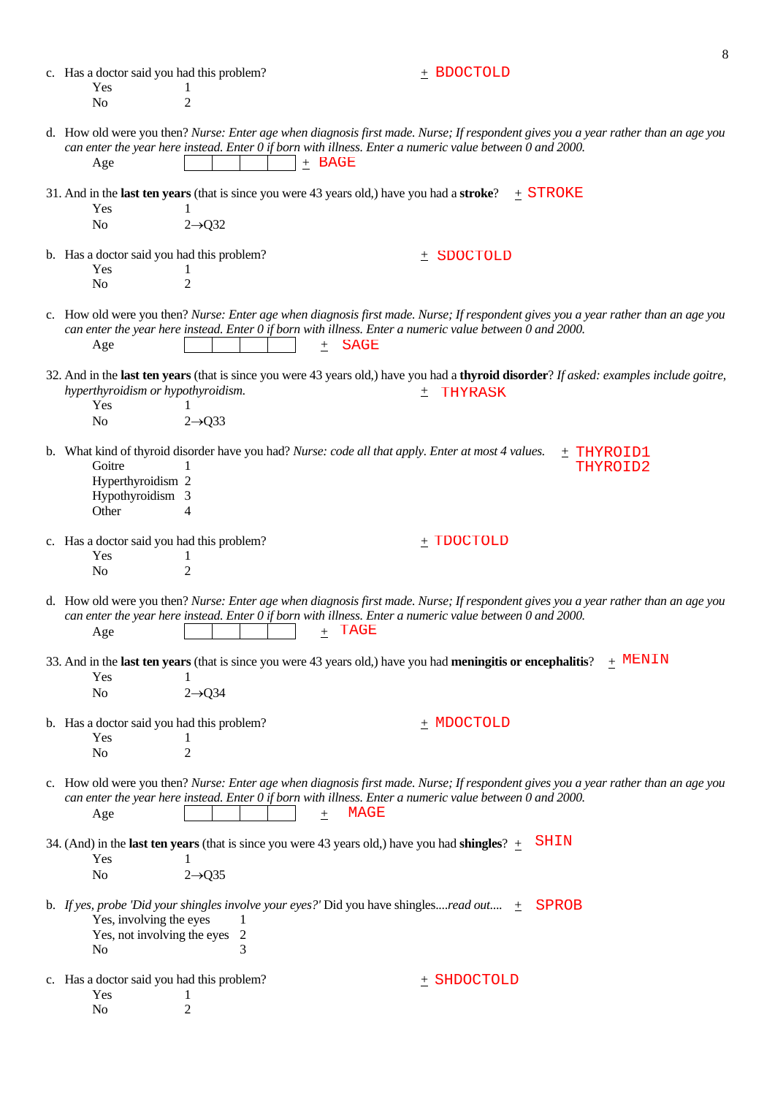|                                                                          |                           |                                                                                                                         | 8                                                                                                                                        |
|--------------------------------------------------------------------------|---------------------------|-------------------------------------------------------------------------------------------------------------------------|------------------------------------------------------------------------------------------------------------------------------------------|
| c. Has a doctor said you had this problem?<br>Yes                        | 1                         | $+$ BDOCTOLD                                                                                                            |                                                                                                                                          |
| N <sub>o</sub>                                                           | $\overline{2}$            |                                                                                                                         |                                                                                                                                          |
| Age                                                                      | $+$ BAGE                  | can enter the year here instead. Enter 0 if born with illness. Enter a numeric value between 0 and 2000.                | d. How old were you then? Nurse: Enter age when diagnosis first made. Nurse; If respondent gives you a year rather than an age you       |
|                                                                          |                           | 31. And in the <b>last ten years</b> (that is since you were 43 years old,) have you had a <b>stroke</b> ? $\pm$ STROKE |                                                                                                                                          |
| Yes<br>N <sub>o</sub>                                                    | $2 \rightarrow Q32$       |                                                                                                                         |                                                                                                                                          |
|                                                                          |                           |                                                                                                                         |                                                                                                                                          |
| b. Has a doctor said you had this problem?<br>Yes                        |                           | SDOCTOLD<br>土                                                                                                           |                                                                                                                                          |
| N <sub>o</sub>                                                           | $\overline{2}$            |                                                                                                                         |                                                                                                                                          |
| Age                                                                      | $^{+}$                    | can enter the year here instead. Enter 0 if born with illness. Enter a numeric value between 0 and 2000.<br><b>SAGE</b> | c. How old were you then? Nurse: Enter age when diagnosis first made. Nurse; If respondent gives you a year rather than an age you       |
|                                                                          |                           |                                                                                                                         | 32. And in the last ten years (that is since you were 43 years old,) have you had a thyroid disorder? If asked: examples include goitre, |
| hyperthyroidism or hypothyroidism.<br>Yes                                | 1                         | THYRASK<br>土                                                                                                            |                                                                                                                                          |
| N <sub>0</sub>                                                           | $2 \rightarrow Q33$       |                                                                                                                         |                                                                                                                                          |
| Goitre<br>Hyperthyroidism 2<br>Hypothyroidism 3<br>Other                 | 4                         | b. What kind of thyroid disorder have you had? Nurse: code all that apply. Enter at most 4 values.                      | $\pm$ THYROID1<br>THYROID2                                                                                                               |
| c. Has a doctor said you had this problem?                               |                           | $_+$ TDOCTOLD                                                                                                           |                                                                                                                                          |
| Yes<br>N <sub>0</sub>                                                    | 1<br>$\overline{2}$       |                                                                                                                         |                                                                                                                                          |
|                                                                          |                           |                                                                                                                         |                                                                                                                                          |
| $\rm Age$                                                                | $\pm$                     | can enter the year here instead. Enter 0 if born with illness. Enter a numeric value between 0 and 2000.<br>TAGE        | d. How old were you then? Nurse: Enter age when diagnosis first made. Nurse; If respondent gives you a year rather than an age you       |
|                                                                          |                           | 33. And in the last ten years (that is since you were 43 years old,) have you had meningitis or encephalitis?           | $_+$ MENIN                                                                                                                               |
| Yes<br>No                                                                | 1<br>$2 \rightarrow Q$ 34 |                                                                                                                         |                                                                                                                                          |
|                                                                          |                           |                                                                                                                         |                                                                                                                                          |
| b. Has a doctor said you had this problem?<br>Yes                        | 1                         | $+$ MDOCTOLD                                                                                                            |                                                                                                                                          |
| No                                                                       | $\overline{2}$            |                                                                                                                         |                                                                                                                                          |
| Age                                                                      | $\pm$                     | can enter the year here instead. Enter 0 if born with illness. Enter a numeric value between 0 and 2000.<br>MAGE        | c. How old were you then? Nurse: Enter age when diagnosis first made. Nurse; If respondent gives you a year rather than an age you       |
|                                                                          |                           | 34. (And) in the <b>last ten years</b> (that is since you were 43 years old,) have you had <b>shingles</b> ? $\pm$      | <b>SHIN</b>                                                                                                                              |
| Yes<br>No                                                                | $2 \rightarrow Q35$       |                                                                                                                         |                                                                                                                                          |
|                                                                          |                           |                                                                                                                         |                                                                                                                                          |
| Yes, involving the eyes<br>Yes, not involving the eyes<br>N <sub>0</sub> | 1<br>$\overline{2}$<br>3  | b. If yes, probe 'Did your shingles involve your eyes?' Did you have shinglesread out $\pm$                             | SPROB                                                                                                                                    |
| c. Has a doctor said you had this problem?<br>Yes<br>No                  | 1<br>2                    | + SHDOCTOLD                                                                                                             |                                                                                                                                          |
|                                                                          |                           |                                                                                                                         |                                                                                                                                          |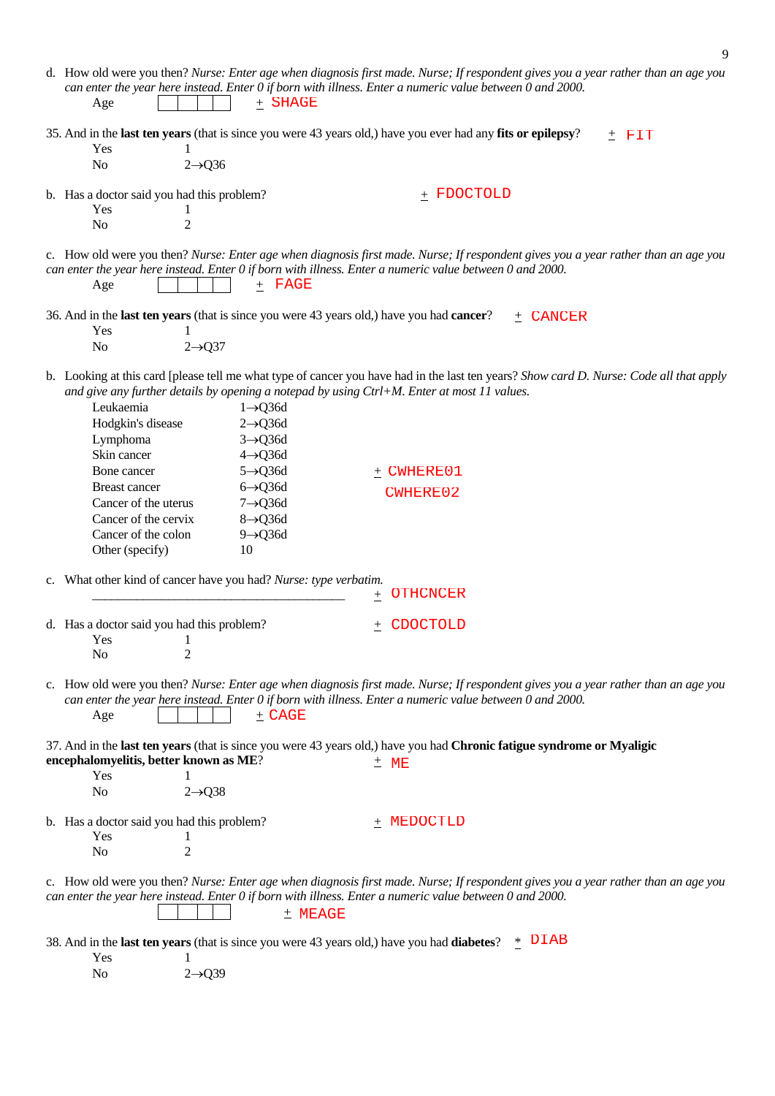|                                                                                                                                                                                                                                                                                                                                                                                                                                                                                                                                  | 9                                                                                                                                                                          |
|----------------------------------------------------------------------------------------------------------------------------------------------------------------------------------------------------------------------------------------------------------------------------------------------------------------------------------------------------------------------------------------------------------------------------------------------------------------------------------------------------------------------------------|----------------------------------------------------------------------------------------------------------------------------------------------------------------------------|
| can enter the year here instead. Enter 0 if born with illness. Enter a numeric value between 0 and 2000.<br>$+$ SHAGE<br>Age                                                                                                                                                                                                                                                                                                                                                                                                     | d. How old were you then? Nurse: Enter age when diagnosis first made. Nurse; If respondent gives you a year rather than an age you                                         |
| 35. And in the last ten years (that is since you were 43 years old,) have you ever had any fits or epilepsy?<br>Yes<br>N <sub>o</sub><br>$2 \rightarrow Q36$                                                                                                                                                                                                                                                                                                                                                                     | $±$ FIT                                                                                                                                                                    |
| b. Has a doctor said you had this problem?<br>Yes<br>$\mathbf{I}$<br>$\overline{2}$<br>N <sub>o</sub>                                                                                                                                                                                                                                                                                                                                                                                                                            | $+$ FDOCTOLD                                                                                                                                                               |
| can enter the year here instead. Enter 0 if born with illness. Enter a numeric value between 0 and 2000.<br>$+$ FAGE<br>Age                                                                                                                                                                                                                                                                                                                                                                                                      | c. How old were you then? Nurse: Enter age when diagnosis first made. Nurse; If respondent gives you a year rather than an age you                                         |
| 36. And in the <b>last ten years</b> (that is since you were 43 years old,) have you had <b>cancer</b> ?<br>Yes<br>N <sub>o</sub><br>$2 \rightarrow Q37$                                                                                                                                                                                                                                                                                                                                                                         | + CANCER                                                                                                                                                                   |
| and give any further details by opening a notepad by using Ctrl+M. Enter at most 11 values.<br>Leukaemia<br>$1 \rightarrow Q$ 36d<br>Hodgkin's disease<br>$2 \rightarrow Q$ 36d<br>Lymphoma<br>$3 \rightarrow Q$ 36d<br>Skin cancer<br>$4 \rightarrow Q$ 36d<br>$5 \rightarrow Q$ 36d<br>Bone cancer<br>$6 \rightarrow Q$ 36d<br><b>Breast cancer</b><br>Cancer of the uterus<br>$7 \rightarrow Q$ 36d<br>Cancer of the cervix<br>$8 \rightarrow Q$ 36d<br>Cancer of the colon<br>$9 \rightarrow Q$ 36d<br>Other (specify)<br>10 | b. Looking at this card [please tell me what type of cancer you have had in the last ten years? Show card D. Nurse: Code all that apply<br>$±$ CWHERE01<br><b>CWHERE02</b> |
| c. What other kind of cancer have you had? Nurse: type verbatim.                                                                                                                                                                                                                                                                                                                                                                                                                                                                 | <b>OTHCNCER</b><br>土                                                                                                                                                       |
| d. Has a doctor said you had this problem?<br>Yes<br>2<br>No                                                                                                                                                                                                                                                                                                                                                                                                                                                                     | $\pm$ CDOCTOLD                                                                                                                                                             |
| can enter the year here instead. Enter 0 if born with illness. Enter a numeric value between 0 and 2000.<br>$+$ CAGE<br>Age                                                                                                                                                                                                                                                                                                                                                                                                      | c. How old were you then? Nurse: Enter age when diagnosis first made. Nurse; If respondent gives you a year rather than an age you                                         |
| encephalomyelitis, better known as ME?<br>Yes<br>N <sub>o</sub><br>$2 \rightarrow Q38$                                                                                                                                                                                                                                                                                                                                                                                                                                           | 37. And in the last ten years (that is since you were 43 years old,) have you had Chronic fatigue syndrome or Myaligic<br>$±$ ME                                           |
| b. Has a doctor said you had this problem?<br>Yes<br>$\overline{2}$<br>N <sub>o</sub>                                                                                                                                                                                                                                                                                                                                                                                                                                            | $+$ MEDOCTLD                                                                                                                                                               |
| can enter the year here instead. Enter 0 if born with illness. Enter a numeric value between 0 and 2000.<br>± MEAGE                                                                                                                                                                                                                                                                                                                                                                                                              | c. How old were you then? Nurse: Enter age when diagnosis first made. Nurse; If respondent gives you a year rather than an age you                                         |
| 38. And in the last ten years (that is since you were 43 years old,) have you had diabetes? $*$<br>Yes<br>$2 \rightarrow Q39$<br>N <sub>o</sub>                                                                                                                                                                                                                                                                                                                                                                                  | DIAB                                                                                                                                                                       |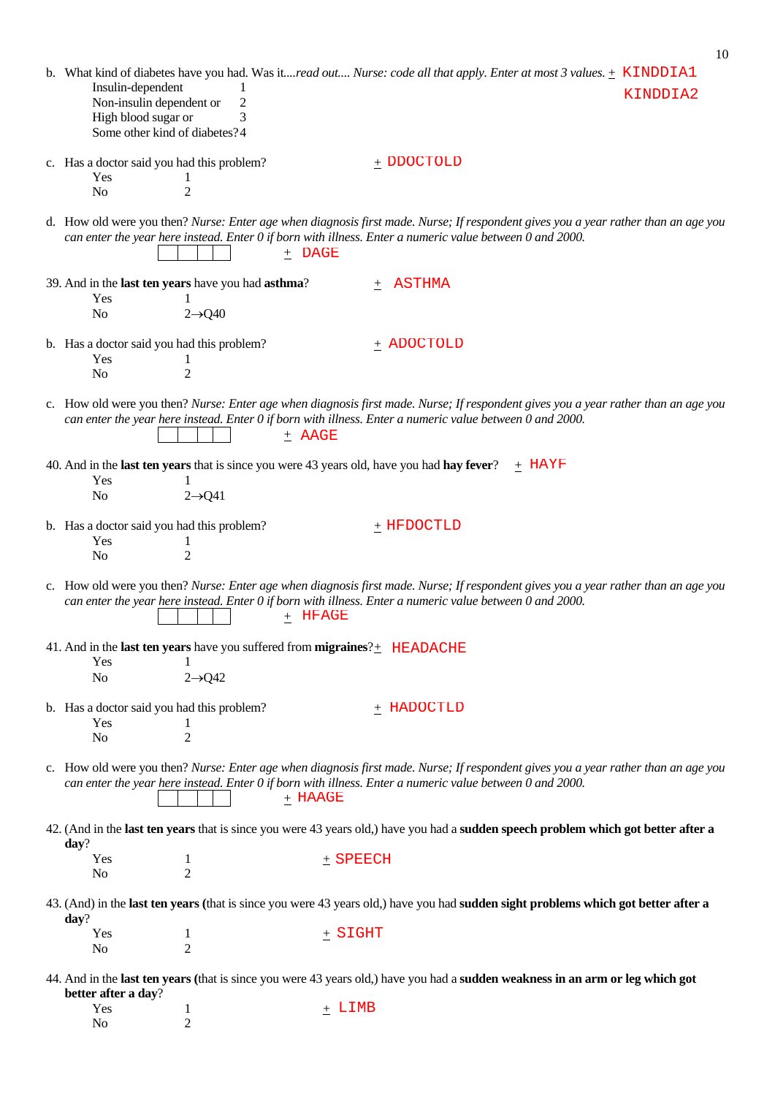|                                                                                                       |                                                                                                                                  |            |                                                                                                                 | b. What kind of diabetes have you had. Was it <i>read out Nurse: code all that apply. Enter at most 3 values</i> . + KINDDIA1      |
|-------------------------------------------------------------------------------------------------------|----------------------------------------------------------------------------------------------------------------------------------|------------|-----------------------------------------------------------------------------------------------------------------|------------------------------------------------------------------------------------------------------------------------------------|
| Insulin-dependent<br>Non-insulin dependent or<br>High blood sugar or<br>Some other kind of diabetes?4 | 2<br>3                                                                                                                           |            |                                                                                                                 | KINDDIA2                                                                                                                           |
| c. Has a doctor said you had this problem?<br>Yes<br>N <sub>o</sub>                                   | 1<br>2                                                                                                                           |            | $+$ DDOCTOLD                                                                                                    |                                                                                                                                    |
|                                                                                                       | $\pm$ DAGE                                                                                                                       |            | can enter the year here instead. Enter 0 if born with illness. Enter a numeric value between 0 and 2000.        | d. How old were you then? Nurse: Enter age when diagnosis first made. Nurse; If respondent gives you a year rather than an age you |
| Yes<br>No                                                                                             | 39. And in the last ten years have you had asthma?<br>1<br>$2 \rightarrow Q40$                                                   | $+$        | ASTHMA                                                                                                          |                                                                                                                                    |
| b. Has a doctor said you had this problem?<br>Yes<br>N <sub>o</sub>                                   | 1<br>$\overline{2}$                                                                                                              |            | $+$ ADOCTOLD                                                                                                    |                                                                                                                                    |
|                                                                                                       | $\pm$ AAGE                                                                                                                       |            | can enter the year here instead. Enter 0 if born with illness. Enter a numeric value between 0 and 2000.        | c. How old were you then? Nurse: Enter age when diagnosis first made. Nurse; If respondent gives you a year rather than an age you |
| Yes<br>N <sub>o</sub>                                                                                 | 40. And in the <b>last ten years</b> that is since you were 43 years old, have you had <b>hay fever</b> ?<br>$2 \rightarrow Q41$ |            |                                                                                                                 | $+$ HAYF                                                                                                                           |
| b. Has a doctor said you had this problem?<br>Yes<br>N <sub>0</sub>                                   | 1<br>$\overline{2}$                                                                                                              |            | $_+$ HFDOCTLD                                                                                                   |                                                                                                                                    |
|                                                                                                       | + HFAGE                                                                                                                          |            | can enter the year here instead. Enter $0$ if born with illness. Enter a numeric value between $0$ and $2000$ . | c. How old were you then? Nurse: Enter age when diagnosis first made. Nurse; If respondent gives you a year rather than an age you |
| Yes<br>No                                                                                             | 41. And in the last ten years have you suffered from migraines? $+$ HEADACHE<br>-1<br>$2 \rightarrow Q$ 42                       |            |                                                                                                                 |                                                                                                                                    |
| b. Has a doctor said you had this problem?<br>Yes<br>No                                               | $\overline{2}$                                                                                                                   |            | $+$ HADOCTLD                                                                                                    |                                                                                                                                    |
|                                                                                                       | $+$ HAAGE                                                                                                                        |            | can enter the year here instead. Enter 0 if born with illness. Enter a numeric value between 0 and 2000.        | c. How old were you then? Nurse: Enter age when diagnosis first made. Nurse; If respondent gives you a year rather than an age you |
| day?                                                                                                  |                                                                                                                                  |            |                                                                                                                 | 42. (And in the last ten years that is since you were 43 years old,) have you had a sudden speech problem which got better after a |
| Yes<br>No                                                                                             | 1<br>$\overline{2}$                                                                                                              | $+$ SPEECH |                                                                                                                 |                                                                                                                                    |
| day?                                                                                                  |                                                                                                                                  |            |                                                                                                                 | 43. (And) in the last ten years (that is since you were 43 years old,) have you had sudden sight problems which got better after a |
| Yes<br>N <sub>0</sub>                                                                                 | 1<br>$\overline{2}$                                                                                                              | $+$ SIGHT  |                                                                                                                 |                                                                                                                                    |
| better after a day?                                                                                   |                                                                                                                                  |            |                                                                                                                 | 44. And in the last ten years (that is since you were 43 years old,) have you had a sudden weakness in an arm or leg which got     |
| Yes<br>No                                                                                             | 1<br>$\overline{2}$                                                                                                              | + LIMB     |                                                                                                                 |                                                                                                                                    |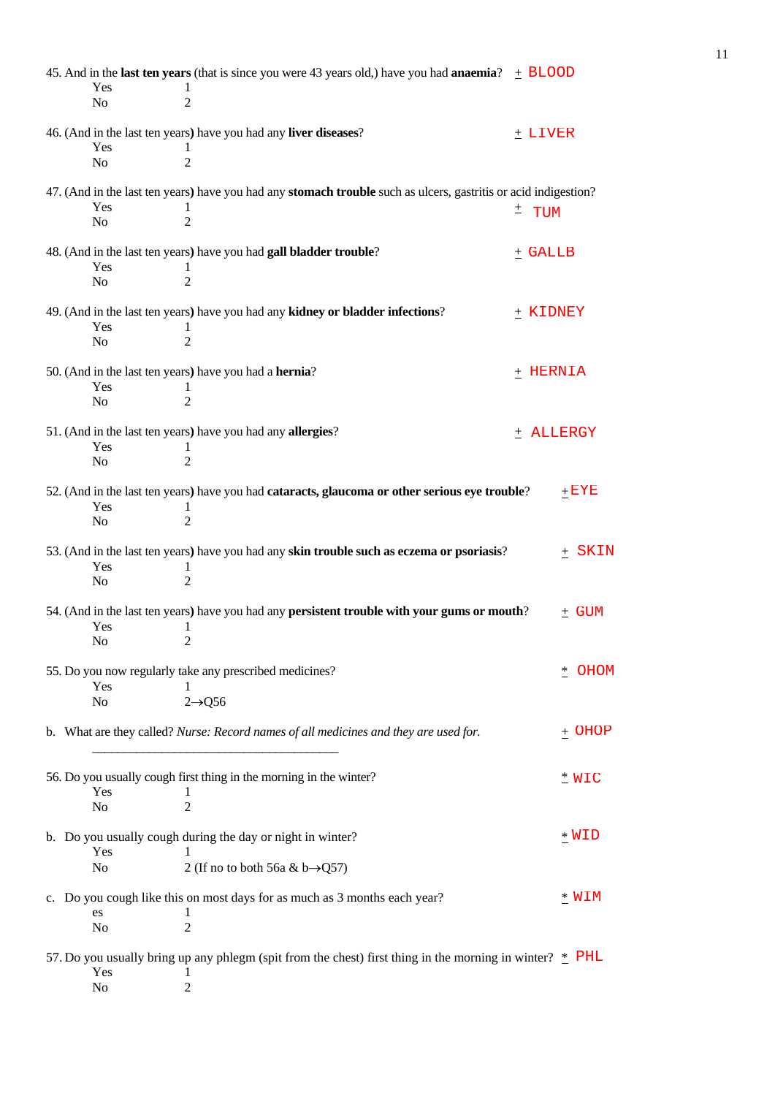|                | 45. And in the <b>last ten years</b> (that is since you were 43 years old,) have you had <b>anaemia</b> ? $\pm$ <b>BLOOD</b> |              |            |
|----------------|------------------------------------------------------------------------------------------------------------------------------|--------------|------------|
| Yes            |                                                                                                                              |              |            |
| N <sub>o</sub> | 2                                                                                                                            |              |            |
|                |                                                                                                                              |              |            |
| Yes            | 46. (And in the last ten years) have you had any liver diseases?                                                             | $+$ LIVER    |            |
| N <sub>o</sub> | 1<br>$\overline{2}$                                                                                                          |              |            |
|                |                                                                                                                              |              |            |
|                | 47. (And in the last ten years) have you had any stomach trouble such as ulcers, gastritis or acid indigestion?              |              |            |
| Yes            | 1                                                                                                                            | $^{\pm}$ TUM |            |
| No             | $\overline{2}$                                                                                                               |              |            |
|                |                                                                                                                              |              |            |
|                | 48. (And in the last ten years) have you had gall bladder trouble?                                                           | $+$ GALLB    |            |
| Yes            | 1                                                                                                                            |              |            |
| No             | $\overline{2}$                                                                                                               |              |            |
|                | 49. (And in the last ten years) have you had any kidney or bladder infections?                                               | + KIDNEY     |            |
| Yes            | 1                                                                                                                            |              |            |
| N <sub>o</sub> | $\overline{2}$                                                                                                               |              |            |
|                |                                                                                                                              |              |            |
|                | 50. (And in the last ten years) have you had a hernia?                                                                       | + HERNIA     |            |
| Yes            | 1                                                                                                                            |              |            |
| N <sub>o</sub> | $\overline{2}$                                                                                                               |              |            |
|                |                                                                                                                              |              |            |
| Yes            | 51. (And in the last ten years) have you had any allergies?<br>1                                                             | + ALLERGY    |            |
| N <sub>o</sub> | $\overline{2}$                                                                                                               |              |            |
|                |                                                                                                                              |              |            |
|                | 52. (And in the last ten years) have you had cataracts, glaucoma or other serious eye trouble?                               |              | $+$ $EYE$  |
| Yes            | 1                                                                                                                            |              |            |
| N <sub>o</sub> | $\overline{2}$                                                                                                               |              |            |
|                |                                                                                                                              |              |            |
| Yes            | 53. (And in the last ten years) have you had any skin trouble such as eczema or psoriasis?<br>1                              |              | $\pm$ SKIN |
| N <sub>o</sub> | $\overline{2}$                                                                                                               |              |            |
|                |                                                                                                                              |              |            |
|                | 54. (And in the last ten years) have you had any persistent trouble with your gums or mouth?                                 |              | $\pm$ GUM  |
| Yes            | 1                                                                                                                            |              |            |
| N <sub>0</sub> | $\overline{2}$                                                                                                               |              |            |
|                |                                                                                                                              |              |            |
|                | 55. Do you now regularly take any prescribed medicines?                                                                      |              | * OHOM     |
| Yes<br>No      | 1<br>$2 \rightarrow Q56$                                                                                                     |              |            |
|                |                                                                                                                              |              |            |
|                | b. What are they called? Nurse: Record names of all medicines and they are used for.                                         |              | $\pm$ OHOP |
|                |                                                                                                                              |              |            |
|                |                                                                                                                              |              |            |
|                | 56. Do you usually cough first thing in the morning in the winter?                                                           |              | $*$ WIC    |
| Yes            | 1                                                                                                                            |              |            |
| No             | 2                                                                                                                            |              |            |
|                | b. Do you usually cough during the day or night in winter?                                                                   |              | * WID      |
| Yes            | 1                                                                                                                            |              |            |
| No             | 2 (If no to both 56a & b $\rightarrow$ Q57)                                                                                  |              |            |
|                |                                                                                                                              |              |            |
|                | c. Do you cough like this on most days for as much as 3 months each year?                                                    |              | * WIM      |
| es             | 1                                                                                                                            |              |            |
| N <sub>0</sub> | $\overline{2}$                                                                                                               |              |            |
|                |                                                                                                                              |              |            |
| Yes            | 57. Do you usually bring up any phlegm (spit from the chest) first thing in the morning in winter? $*$ PHL                   |              |            |
| No             | 1<br>2                                                                                                                       |              |            |
|                |                                                                                                                              |              |            |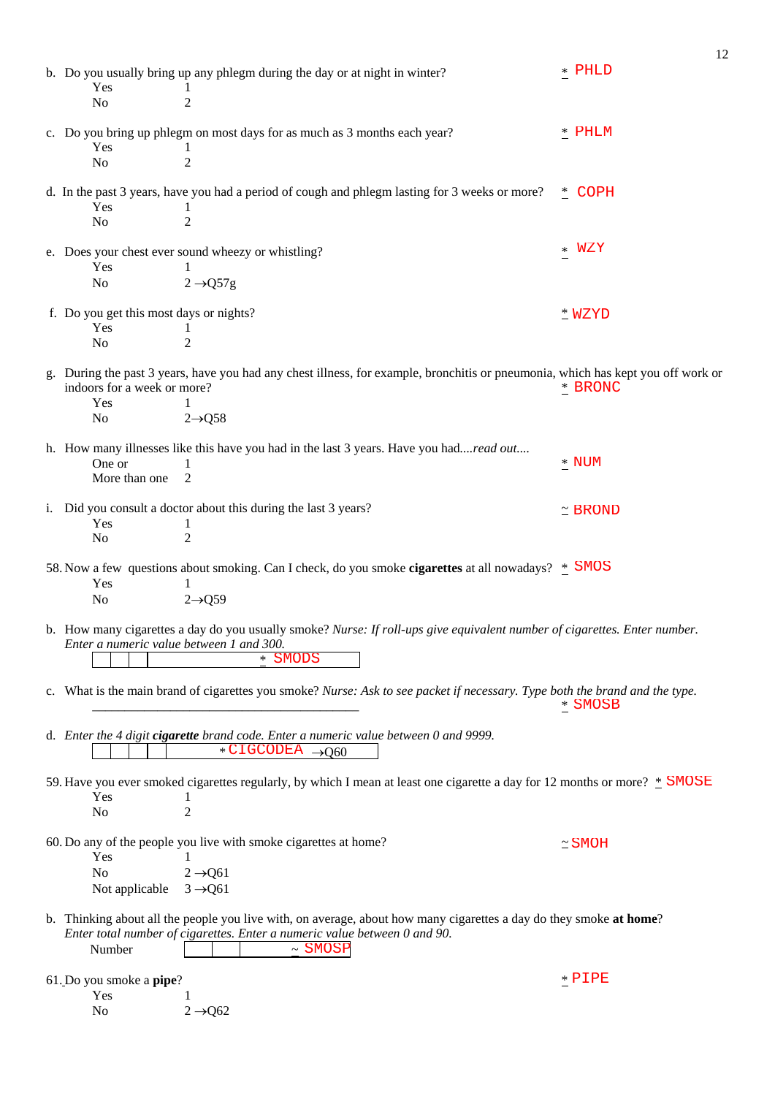| Yes                                            | b. Do you usually bring up any phlegm during the day or at night in winter?<br>$\perp$                                                                                                          | 12<br>$*$ PHLD |
|------------------------------------------------|-------------------------------------------------------------------------------------------------------------------------------------------------------------------------------------------------|----------------|
| N <sub>o</sub>                                 | $\overline{2}$                                                                                                                                                                                  |                |
| Yes                                            | c. Do you bring up phlegm on most days for as much as 3 months each year?                                                                                                                       | $*$ PHLM       |
| N <sub>o</sub>                                 | $\overline{2}$                                                                                                                                                                                  |                |
| Yes                                            | d. In the past 3 years, have you had a period of cough and phlegm lasting for 3 weeks or more?                                                                                                  | $*$ COPH       |
| N <sub>o</sub>                                 | $\overline{2}$                                                                                                                                                                                  |                |
| Yes                                            | e. Does your chest ever sound wheezy or whistling?                                                                                                                                              | WZY<br>$\ast$  |
| N <sub>o</sub>                                 | $2 \rightarrow Q57g$                                                                                                                                                                            |                |
| f. Do you get this most days or nights?<br>Yes | 1                                                                                                                                                                                               | $*$ WZYD       |
| N <sub>o</sub>                                 | $\overline{2}$                                                                                                                                                                                  |                |
| indoors for a week or more?<br>Yes             | g. During the past 3 years, have you had any chest illness, for example, bronchitis or pneumonia, which has kept you off work or<br>1                                                           | * BRONC        |
| N <sub>o</sub>                                 | $2 \rightarrow Q58$                                                                                                                                                                             |                |
| One or<br>More than one                        | h. How many illnesses like this have you had in the last 3 years. Have you hadread out<br>1<br>$\overline{c}$                                                                                   | $*$ NUM        |
| Yes                                            | i. Did you consult a doctor about this during the last 3 years?<br>1                                                                                                                            | $\simeq$ BROND |
| No                                             | $\overline{2}$                                                                                                                                                                                  |                |
| Yes<br>N <sub>o</sub>                          | 58. Now a few questions about smoking. Can I check, do you smoke <b>cigarettes</b> at all nowadays? * SMOS<br>$2 \rightarrow 059$                                                               |                |
| Enter a numeric value between 1 and 300.       | b. How many cigarettes a day do you usually smoke? Nurse: If roll-ups give equivalent number of cigarettes. Enter number.                                                                       |                |
|                                                | * SMODS                                                                                                                                                                                         |                |
|                                                | c. What is the main brand of cigarettes you smoke? Nurse: Ask to see packet if necessary. Type both the brand and the type.                                                                     | * SMOSB        |
|                                                | d. Enter the 4 digit cigarette brand code. Enter a numeric value between 0 and 9999.<br>$*CIGCODEA \rightarrow Q60$                                                                             |                |
| Yes                                            | 59. Have you ever smoked cigarettes regularly, by which I mean at least one cigarette a day for 12 months or more? * SMOSE<br>1                                                                 |                |
| N <sub>o</sub>                                 | $\overline{2}$                                                                                                                                                                                  |                |
| Yes                                            | 60. Do any of the people you live with smoke cigarettes at home?                                                                                                                                | $\simeq$ SMOH  |
| N <sub>o</sub><br>Not applicable               | $2 \rightarrow Q61$<br>$3 \rightarrow Q61$                                                                                                                                                      |                |
|                                                | b. Thinking about all the people you live with, on average, about how many cigarettes a day do they smoke at home?<br>Enter total number of cigarettes. Enter a numeric value between 0 and 90. |                |
| Number                                         | $~\sim$ SMOSP                                                                                                                                                                                   |                |
| 61. Do you smoke a pipe?<br>Yes                |                                                                                                                                                                                                 | $*$ $PIPE$     |
| N <sub>0</sub>                                 | $2 \rightarrow Q$ 62                                                                                                                                                                            |                |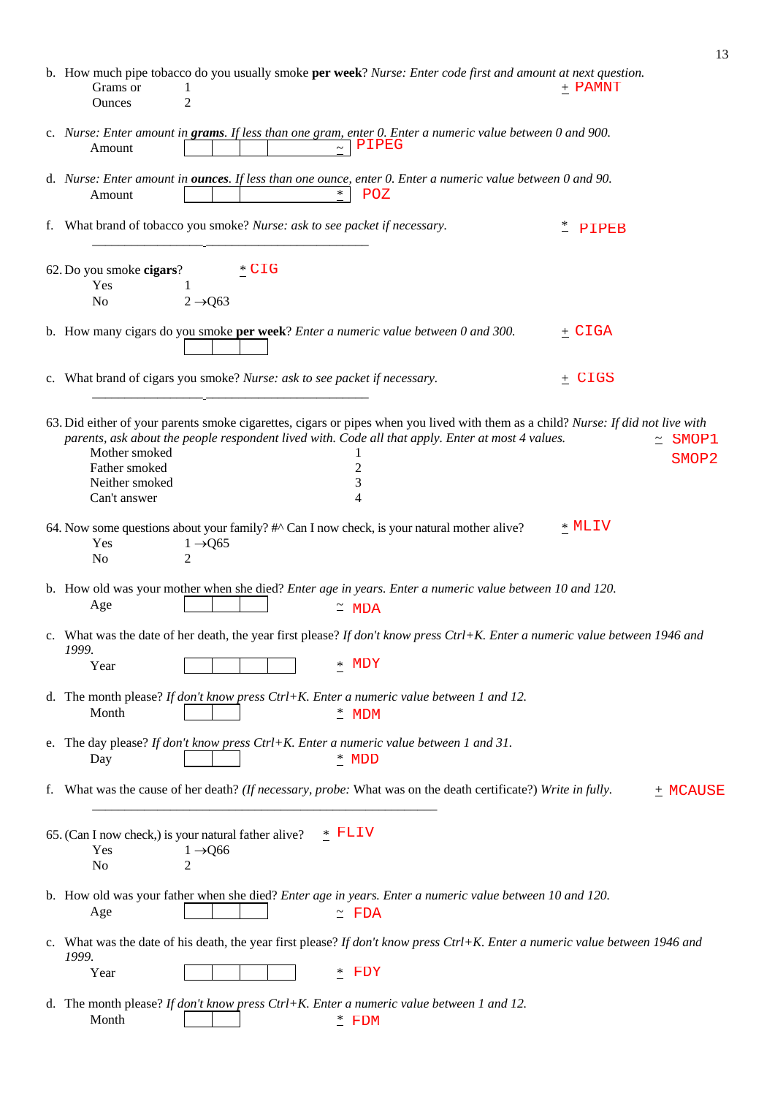|                                                                  |                                                                                                                                                                                                                                                       |          | 13                         |
|------------------------------------------------------------------|-------------------------------------------------------------------------------------------------------------------------------------------------------------------------------------------------------------------------------------------------------|----------|----------------------------|
| Grams or<br><b>Ounces</b>                                        | b. How much pipe tobacco do you usually smoke per week? Nurse: Enter code first and amount at next question.<br>1<br>$\overline{2}$                                                                                                                   | + PAMNT  |                            |
| Amount                                                           | c. Nurse: Enter amount in grams. If less than one gram, enter 0. Enter a numeric value between 0 and 900.<br>PIPEG                                                                                                                                    |          |                            |
| Amount                                                           | d. Nurse: Enter amount in ounces. If less than one ounce, enter 0. Enter a numeric value between 0 and 90.<br>$*$<br>POZ                                                                                                                              |          |                            |
|                                                                  | f. What brand of tobacco you smoke? Nurse: ask to see packet if necessary.                                                                                                                                                                            | PIPEB    |                            |
| 62. Do you smoke cigars?<br>Yes                                  | $*$ CIG<br>1                                                                                                                                                                                                                                          |          |                            |
| N <sub>o</sub>                                                   | $2 \rightarrow Q$ 63                                                                                                                                                                                                                                  |          |                            |
|                                                                  | b. How many cigars do you smoke per week? Enter a numeric value between 0 and 300.                                                                                                                                                                    | $+$ CIGA |                            |
|                                                                  | c. What brand of cigars you smoke? Nurse: ask to see packet if necessary.                                                                                                                                                                             | $+$ CIGS |                            |
| Mother smoked<br>Father smoked<br>Neither smoked<br>Can't answer | 63. Did either of your parents smoke cigarettes, cigars or pipes when you lived with them as a child? Nurse: If did not live with<br>parents, ask about the people respondent lived with. Code all that apply. Enter at most 4 values.<br>2<br>3<br>4 | $\simeq$ | SMOP1<br>SMOP <sub>2</sub> |
| Yes<br>N <sub>o</sub>                                            | 64. Now some questions about your family? #^ Can I now check, is your natural mother alive?<br>$1 \rightarrow Q$ 65<br>$\overline{2}$                                                                                                                 | * MLIV   |                            |
| Age                                                              | b. How old was your mother when she died? <i>Enter age in years. Enter a numeric value between 10 and 120</i> .<br>$~\tilde{}$ MDA                                                                                                                    |          |                            |
| 1999.<br>Year                                                    | c. What was the date of her death, the year first please? If don't know press Ctrl+K. Enter a numeric value between 1946 and<br>* MDY                                                                                                                 |          |                            |
| Month                                                            | d. The month please? If don't know press Ctrl+K. Enter a numeric value between 1 and 12.<br>$*$ MDM                                                                                                                                                   |          |                            |
| Day                                                              | e. The day please? If don't know press Ctrl+K. Enter a numeric value between 1 and 31.<br>$*$ MDD                                                                                                                                                     |          |                            |
|                                                                  | f. What was the cause of her death? (If necessary, probe: What was on the death certificate?) Write in fully.                                                                                                                                         |          | $+$ MCAUSE                 |
| Yes<br>No                                                        | * FLIV<br>65. (Can I now check,) is your natural father alive?<br>$1 \rightarrow Q$ 66<br>$\overline{2}$                                                                                                                                              |          |                            |
| Age                                                              | b. How old was your father when she died? Enter age in years. Enter a numeric value between 10 and 120.<br>$\tilde{=}$ FDA                                                                                                                            |          |                            |
| 1999.                                                            | c. What was the date of his death, the year first please? If don't know press Ctrl+K. Enter a numeric value between 1946 and                                                                                                                          |          |                            |
| Year                                                             | $*$ FDY                                                                                                                                                                                                                                               |          |                            |
| Month                                                            | d. The month please? If don't know press Ctrl+K. Enter a numeric value between 1 and 12.<br>$*$ FDM                                                                                                                                                   |          |                            |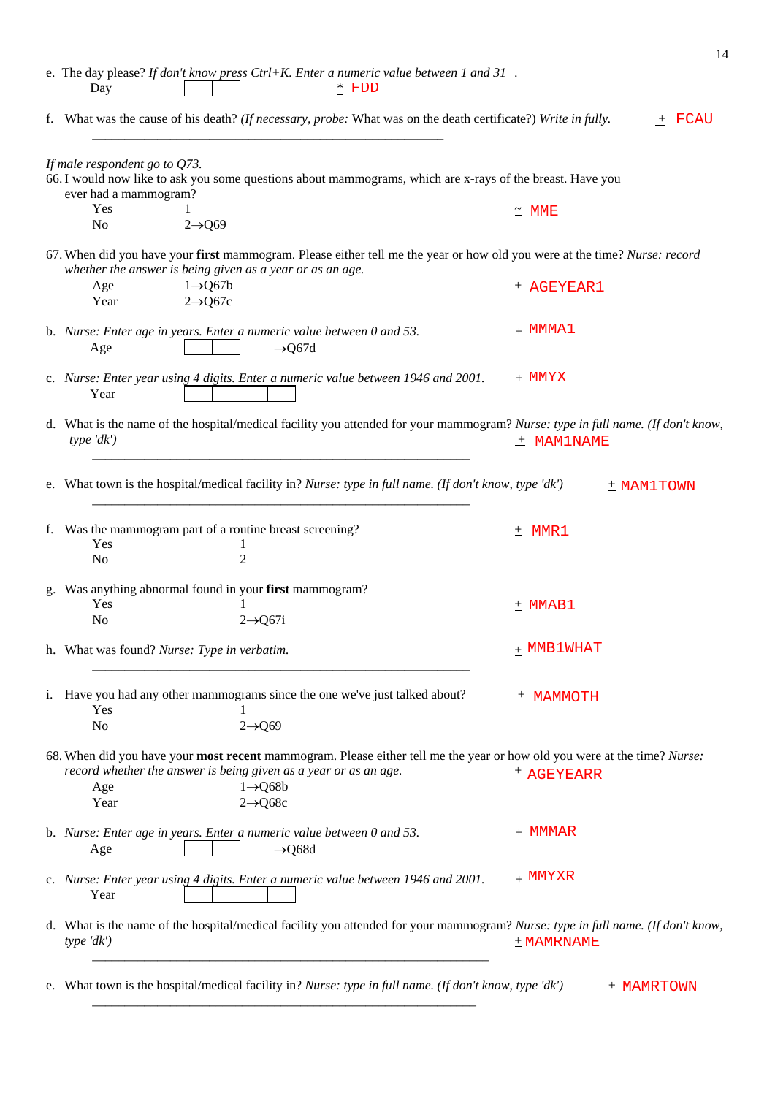| e. The day please? If don't know press $Ctrl+K$ . Enter a numeric value between 1 and 31.<br>$*$ FDD<br>Day                                                                                                                                                  |               |
|--------------------------------------------------------------------------------------------------------------------------------------------------------------------------------------------------------------------------------------------------------------|---------------|
| f. What was the cause of his death? (If necessary, probe: What was on the death certificate?) Write in fully.                                                                                                                                                | $\pm$ FCAU    |
| If male respondent go to $Q73$ .<br>66. I would now like to ask you some questions about mammograms, which are x-rays of the breast. Have you<br>ever had a mammogram?<br>Yes<br>$2 \rightarrow 069$<br>N <sub>0</sub>                                       | $\simeq$ MME  |
| 67. When did you have your first mammogram. Please either tell me the year or how old you were at the time? Nurse: record                                                                                                                                    |               |
| whether the answer is being given as a year or as an age.<br>$1 \rightarrow Q67b$<br>Age<br>Year<br>$2 \rightarrow Q$ 67c                                                                                                                                    | + AGEYEAR1    |
| b. Nurse: Enter age in years. Enter a numeric value between 0 and 53.<br>Age<br>$\rightarrow$ Q67d                                                                                                                                                           | $+$ MMMA1     |
| c. Nurse: Enter year using 4 digits. Enter a numeric value between 1946 and 2001.<br>Year                                                                                                                                                                    | + MMYX        |
| d. What is the name of the hospital/medical facility you attended for your mammogram? Nurse: type in full name. (If don't know,<br>type'dk'                                                                                                                  | $±$ MAM1NAME  |
| e. What town is the hospital/medical facility in? Nurse: type in full name. (If don't know, type 'dk')                                                                                                                                                       | + MAM1TOWN    |
| f. Was the mammogram part of a routine breast screening?<br>Yes<br>$\overline{2}$<br>N <sub>o</sub>                                                                                                                                                          | $±$ MMR1      |
| g. Was anything abnormal found in your first mammogram?<br>Yes<br>N <sub>0</sub><br>$2 \rightarrow Q$ 67i                                                                                                                                                    | $±$ MMAB1     |
| h. What was found? Nurse: Type in verbatim.                                                                                                                                                                                                                  | $_+$ MMB1WHAT |
| i. Have you had any other mammograms since the one we've just talked about?<br>Yes<br>N <sub>o</sub><br>$2 \rightarrow Q$ 69                                                                                                                                 | $±$ MAMMOTH   |
| 68. When did you have your most recent mammogram. Please either tell me the year or how old you were at the time? Nurse:<br>record whether the answer is being given as a year or as an age.<br>$1 \rightarrow Q68b$<br>Age<br>$2 \rightarrow Q$ 68c<br>Year | $±$ AGEYEARR  |
| b. Nurse: Enter age in years. Enter a numeric value between 0 and 53.<br>Age<br>$\rightarrow$ Q68d                                                                                                                                                           | + MMMAR       |
| c. Nurse: Enter year using 4 digits. Enter a numeric value between 1946 and 2001.<br>Year                                                                                                                                                                    | $+$ MMYXR     |
| d. What is the name of the hospital/medical facility you attended for your mammogram? Nurse: type in full name. (If don't know,<br>type'dk'                                                                                                                  | $+$ MAMRNAME  |
| e. What town is the hospital/medical facility in? Nurse: type in full name. (If don't know, type 'dk')                                                                                                                                                       | $+$ MAMRTOWN  |

\_\_\_\_\_\_\_\_\_\_\_\_\_\_\_\_\_\_\_\_\_\_\_\_\_\_\_\_\_\_\_\_\_\_\_\_\_\_\_\_\_\_\_\_\_\_\_\_\_\_\_\_\_\_\_\_\_\_\_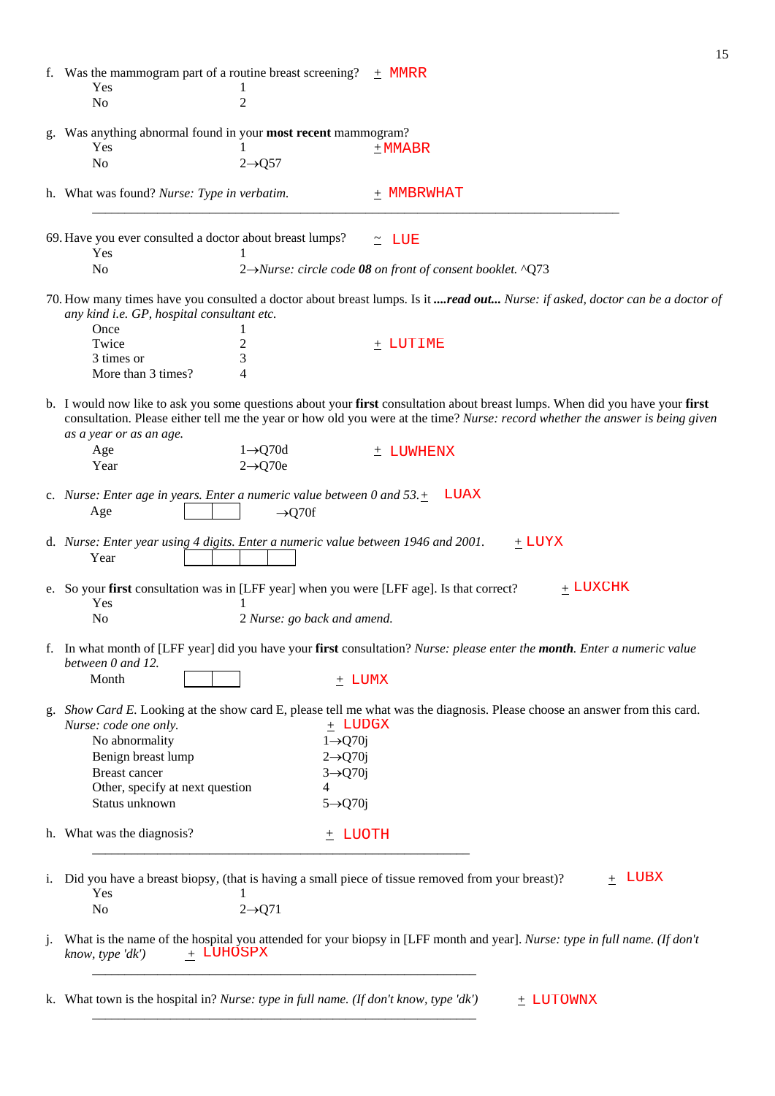|                |                                                                                                        |                             | 15                                                                                                                                                                                                                                                            |
|----------------|--------------------------------------------------------------------------------------------------------|-----------------------------|---------------------------------------------------------------------------------------------------------------------------------------------------------------------------------------------------------------------------------------------------------------|
|                | f. Was the mammogram part of a routine breast screening?<br>Yes                                        | $\bf{l}$                    | $+$ MMRR                                                                                                                                                                                                                                                      |
|                | N <sub>o</sub>                                                                                         | $\overline{2}$              |                                                                                                                                                                                                                                                               |
|                | g. Was anything abnormal found in your most recent mammogram?                                          |                             |                                                                                                                                                                                                                                                               |
|                | Yes                                                                                                    |                             | $±$ MMABR                                                                                                                                                                                                                                                     |
|                | N <sub>o</sub>                                                                                         | $2 \rightarrow Q57$         |                                                                                                                                                                                                                                                               |
|                |                                                                                                        |                             |                                                                                                                                                                                                                                                               |
|                | h. What was found? Nurse: Type in verbatim.                                                            |                             | $+$ MMBRWHAT                                                                                                                                                                                                                                                  |
|                |                                                                                                        |                             |                                                                                                                                                                                                                                                               |
|                | 69. Have you ever consulted a doctor about breast lumps?<br>Yes                                        |                             | $\simeq$ LUE                                                                                                                                                                                                                                                  |
|                | N <sub>o</sub>                                                                                         |                             | 2→Nurse: circle code 08 on front of consent booklet. ^Q73                                                                                                                                                                                                     |
|                |                                                                                                        |                             |                                                                                                                                                                                                                                                               |
|                | any kind i.e. GP, hospital consultant etc.                                                             |                             | 70. How many times have you consulted a doctor about breast lumps. Is it read out Nurse: if asked, doctor can be a doctor of                                                                                                                                  |
|                | Once                                                                                                   |                             |                                                                                                                                                                                                                                                               |
|                | Twice                                                                                                  | $\overline{c}$              | $+$ LUTIME                                                                                                                                                                                                                                                    |
|                | 3 times or                                                                                             | 3                           |                                                                                                                                                                                                                                                               |
|                | More than 3 times?                                                                                     | 4                           |                                                                                                                                                                                                                                                               |
|                | as a year or as an age.                                                                                |                             | b. I would now like to ask you some questions about your first consultation about breast lumps. When did you have your first<br>consultation. Please either tell me the year or how old you were at the time? Nurse: record whether the answer is being given |
|                | Age                                                                                                    | $1 \rightarrow Q70d$        | ± LUWHENX                                                                                                                                                                                                                                                     |
|                | Year                                                                                                   | $2 \rightarrow Q70e$        |                                                                                                                                                                                                                                                               |
|                | c. Nurse: Enter age in years. Enter a numeric value between 0 and $53. +$<br>Age                       | $\rightarrow$ Q70f          | LUAX                                                                                                                                                                                                                                                          |
|                | d. Nurse: Enter year using 4 digits. Enter a numeric value between 1946 and 2001.<br>Year              |                             | $\pm$ LUYX                                                                                                                                                                                                                                                    |
|                | e. So your first consultation was in [LFF year] when you were [LFF age]. Is that correct?<br>Yes<br>No | 2 Nurse: go back and amend. | $_+$ LUXCHK                                                                                                                                                                                                                                                   |
|                | between 0 and 12.                                                                                      |                             | f. In what month of [LFF year] did you have your first consultation? Nurse: please enter the month. Enter a numeric value                                                                                                                                     |
|                | Month                                                                                                  |                             | $+$ LUMX                                                                                                                                                                                                                                                      |
|                |                                                                                                        |                             |                                                                                                                                                                                                                                                               |
|                | Nurse: code one only.                                                                                  | + LUDGX                     | g. Show Card E. Looking at the show card E, please tell me what was the diagnosis. Please choose an answer from this card.                                                                                                                                    |
|                | No abnormality                                                                                         | $1 \rightarrow Q70j$        |                                                                                                                                                                                                                                                               |
|                | Benign breast lump                                                                                     | $2 \rightarrow Q70j$        |                                                                                                                                                                                                                                                               |
|                | Breast cancer                                                                                          | $3 \rightarrow Q70j$        |                                                                                                                                                                                                                                                               |
|                | Other, specify at next question                                                                        | 4                           |                                                                                                                                                                                                                                                               |
|                | Status unknown                                                                                         | $5 \rightarrow Q70j$        |                                                                                                                                                                                                                                                               |
|                |                                                                                                        |                             |                                                                                                                                                                                                                                                               |
|                | h. What was the diagnosis?                                                                             | $+$ LUOTH                   |                                                                                                                                                                                                                                                               |
| 1.             | Yes                                                                                                    | 1                           | Did you have a breast biopsy, (that is having a small piece of tissue removed from your breast)?<br>+ LUBX                                                                                                                                                    |
|                | N <sub>o</sub>                                                                                         | $2 \rightarrow Q71$         |                                                                                                                                                                                                                                                               |
| $\mathbf{1}$ . | $+$ LUHOSPX<br>know, type 'dk')                                                                        |                             | What is the name of the hospital you attended for your biopsy in [LFF month and year]. Nurse: type in full name. (If don't                                                                                                                                    |
|                | k. What town is the hospital in? Nurse: type in full name. (If don't know, type 'dk')                  |                             | $+$ LUTOWNX                                                                                                                                                                                                                                                   |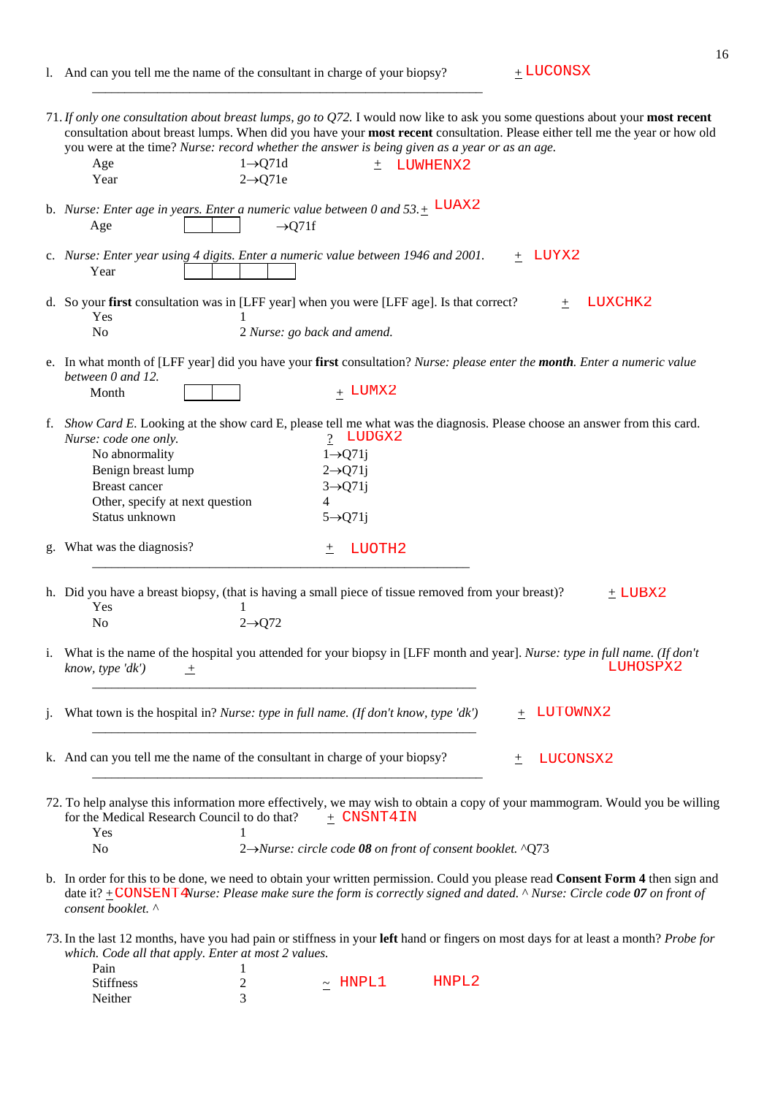$\overline{\phantom{a}}$  ,  $\overline{\phantom{a}}$  ,  $\overline{\phantom{a}}$  ,  $\overline{\phantom{a}}$  ,  $\overline{\phantom{a}}$  ,  $\overline{\phantom{a}}$  ,  $\overline{\phantom{a}}$  ,  $\overline{\phantom{a}}$  ,  $\overline{\phantom{a}}$  ,  $\overline{\phantom{a}}$  ,  $\overline{\phantom{a}}$  ,  $\overline{\phantom{a}}$  ,  $\overline{\phantom{a}}$  ,  $\overline{\phantom{a}}$  ,  $\overline{\phantom{a}}$  ,  $\overline{\phantom{a}}$ 

 $_{+}$ LUCONSX

| 71. If only one consultation about breast lumps, go to Q72. I would now like to ask you some questions about your most recent<br>consultation about breast lumps. When did you have your most recent consultation. Please either tell me the year or how old<br>you were at the time? Nurse: record whether the answer is being given as a year or as an age.<br>$1 \rightarrow Q$ 71d<br>Age<br>LUWHENX2<br>$\pm$<br>$2 \rightarrow Q71e$<br>Year |
|----------------------------------------------------------------------------------------------------------------------------------------------------------------------------------------------------------------------------------------------------------------------------------------------------------------------------------------------------------------------------------------------------------------------------------------------------|
| b. Nurse: Enter age in years. Enter a numeric value between 0 and $53. \pm$ LUAX2<br>$\rightarrow$ Q71f<br>Age                                                                                                                                                                                                                                                                                                                                     |
| c. Nurse: Enter year using 4 digits. Enter a numeric value between 1946 and 2001.<br>+ LUYX2<br>Year                                                                                                                                                                                                                                                                                                                                               |
| d. So your first consultation was in [LFF year] when you were [LFF age]. Is that correct?<br>LUXCHK2<br>$^{+}$<br>Yes<br>N <sub>o</sub><br>2 Nurse: go back and amend.                                                                                                                                                                                                                                                                             |
| e. In what month of [LFF year] did you have your first consultation? Nurse: please enter the month. Enter a numeric value<br>between 0 and 12.<br>$_+$ LUMX2<br>Month                                                                                                                                                                                                                                                                              |
| f. Show Card E. Looking at the show card E, please tell me what was the diagnosis. Please choose an answer from this card.<br>? LUDGX2<br>Nurse: code one only.<br>No abnormality<br>$1 \rightarrow Q$ 71j<br>$2 \rightarrow Q71j$<br>Benign breast lump<br><b>Breast cancer</b><br>$3 \rightarrow Q71j$<br>Other, specify at next question<br>4<br>Status unknown<br>$5 \rightarrow Q71j$                                                         |
| What was the diagnosis?<br>LUOTH2<br>土<br>g.                                                                                                                                                                                                                                                                                                                                                                                                       |
| h. Did you have a breast biopsy, (that is having a small piece of tissue removed from your breast)?<br>$\pm$ LUBX2<br>Yes<br>$2 \rightarrow Q$ 72<br>No                                                                                                                                                                                                                                                                                            |
| What is the name of the hospital you attended for your biopsy in [LFF month and year]. Nurse: type in full name. (If don't<br>$\mathbf{1}$ .<br>LUHOSPX2<br>know, type 'dk')<br>土                                                                                                                                                                                                                                                                  |
| What town is the hospital in? Nurse: type in full name. (If don't know, type 'dk')<br>LUTOWNX2<br>$\cdot$                                                                                                                                                                                                                                                                                                                                          |
| k. And can you tell me the name of the consultant in charge of your biopsy?<br>LUCONSX2<br>土                                                                                                                                                                                                                                                                                                                                                       |
| 72. To help analyse this information more effectively, we may wish to obtain a copy of your mammogram. Would you be willing<br>+ CNSNT4IN<br>for the Medical Research Council to do that?<br>Yes<br>N <sub>0</sub><br>2→Nurse: circle code 08 on front of consent booklet. ^Q73                                                                                                                                                                    |
| b. In order for this to be done, we need to obtain your written permission. Could you please read Consent Form 4 then sign and<br>date it? $\pm$ CONSENT Plurse: Please make sure the form is correctly signed and dated. ^ Nurse: Circle code 07 on front of<br>consent booklet. ^                                                                                                                                                                |
| 73. In the last 12 months, have you had pain or stiffness in your left hand or fingers on most days for at least a month? Probe for<br>which. Code all that apply. Enter at most 2 values.<br>Pain<br>HNPL2<br>HNPL1<br>Stiffness<br>$\overline{c}$<br>$\thicksim$<br>3<br>Neither                                                                                                                                                                 |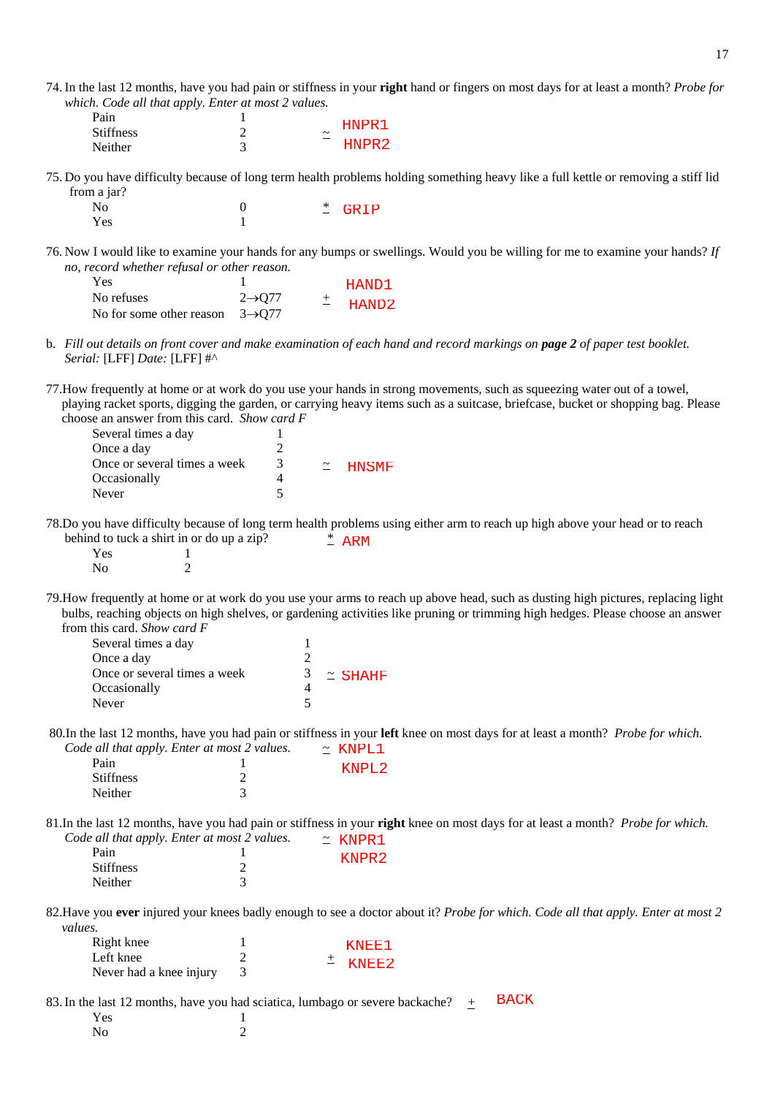74. In the last 12 months, have you had pain or stiffness in your **right** hand or fingers on most days for at least a month? *Probe for which. Code all that apply. Enter at most 2 values.* 

| Pain             |   | HNPR1                 |
|------------------|---|-----------------------|
| <b>Stiffness</b> |   | $\tilde{\phantom{a}}$ |
| <b>Neither</b>   | - | HNPR <sub>2</sub>     |

75. Do you have difficulty because of long term health problems holding something heavy like a full kettle or removing a stiff lid from a jar?

 No 0 \* Yes 1 \* GRIP

76. Now I would like to examine your hands for any bumps or swellings. Would you be willing for me to examine your hands? *If no, record whether refusal or other reason.* 

| Yes                                         |                    | HAND1       |
|---------------------------------------------|--------------------|-------------|
| No refuses                                  | $2\rightarrow 077$ | $\pm$ HAND2 |
| No for some other reason $3\rightarrow 077$ |                    |             |

b. *Fill out details on front cover and make examination of each hand and record markings on page 2 of paper test booklet. Serial:* [LFF] *Date:* [LFF] #^

77.How frequently at home or at work do you use your hands in strong movements, such as squeezing water out of a towel, playing racket sports, digging the garden, or carrying heavy items such as a suitcase, briefcase, bucket or shopping bag. Please choose an answer from this card. *Show card F* 

| Several times a day          |   |                |
|------------------------------|---|----------------|
| Once a day                   |   |                |
| Once or several times a week | 3 | $\simeq$ HNSMF |
| Occasionally                 |   |                |
| Never                        |   |                |
|                              |   |                |

78.Do you have difficulty because of long term health problems using either arm to reach up high above your head or to reach behind to tuck a shirt in or do up a zip? \*  $*$  ARM

| Yes |   |
|-----|---|
| No  | ⌒ |

79.How frequently at home or at work do you use your arms to reach up above head, such as dusting high pictures, replacing light bulbs, reaching objects on high shelves, or gardening activities like pruning or trimming high hedges. Please choose an answer from this card. *Show card F* 

| Several times a day          |                |
|------------------------------|----------------|
| Once a day                   |                |
| Once or several times a week | $\simeq$ SHAHF |
| Occasionally                 |                |
| Never                        |                |

 80.In the last 12 months, have you had pain or stiffness in your **left** knee on most days for at least a month? *Probe for which. Code all that apply. Enter at most 2 values.* ~  $~\sim$  KNPL1

| Pain             | KNPL <sub>2</sub> |
|------------------|-------------------|
| <b>Stiffness</b> |                   |
| Neither          |                   |

81.In the last 12 months, have you had pain or stiffness in your **right** knee on most days for at least a month? *Probe for which. Code all that apply. Enter at most 2 values.*  $\sim$  *KNTDD* 1

| $\sim$ $\alpha$ $\alpha$ $\alpha$ $\beta$ $\beta$ $\beta$ $\beta$ $\beta$ $\alpha$ $\beta$ $\alpha$ $\beta$ $\alpha$ $\beta$ $\beta$ $\alpha$ |  | $-$ NNPRI         |
|-----------------------------------------------------------------------------------------------------------------------------------------------|--|-------------------|
| Pain                                                                                                                                          |  | KNPR <sub>2</sub> |
| <b>Stiffness</b>                                                                                                                              |  |                   |
| Neither                                                                                                                                       |  |                   |
|                                                                                                                                               |  |                   |

82.Have you **ever** injured your knees badly enough to see a doctor about it? *Probe for which. Code all that apply. Enter at most 2 values.*

| Right knee              |  | KNEE1       |
|-------------------------|--|-------------|
| Left knee               |  | $\pm$ KNEE2 |
| Never had a knee injury |  |             |

83. In the last 12 months, have you had sciatica, lumbago or severe backache?  $+$ Yes 1 BACK

No 2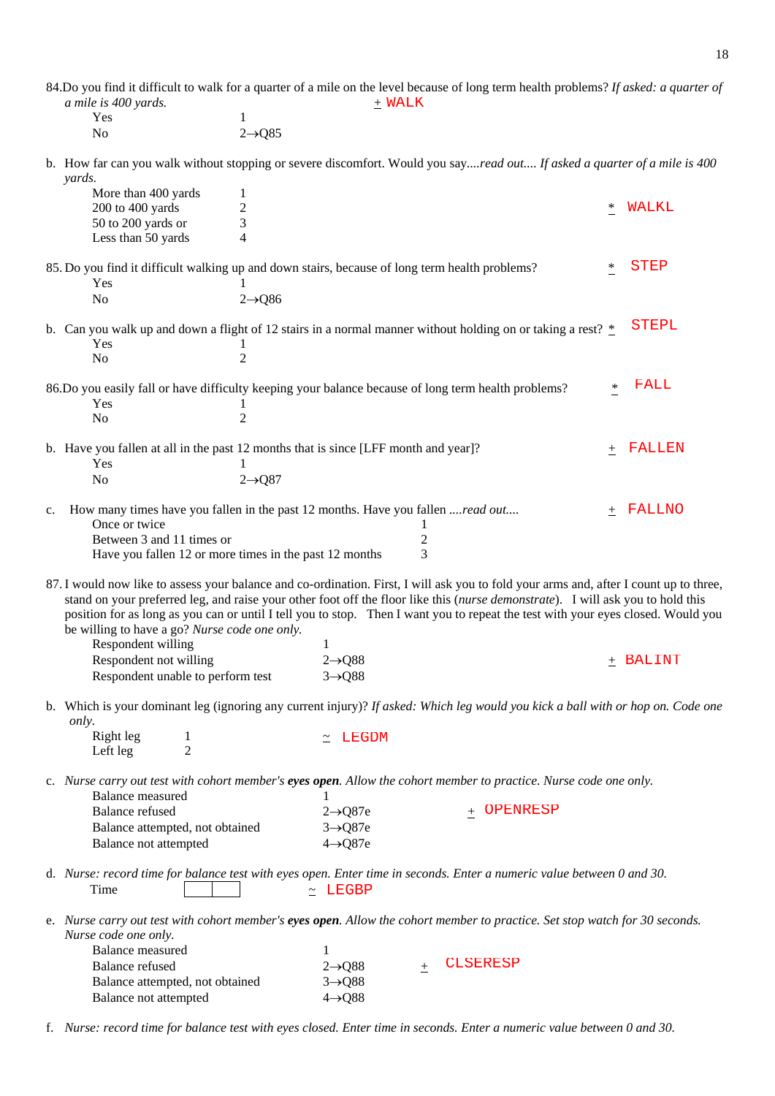84.Do you find it difficult to walk for a quarter of a mile on the level because of long term health problems? *If asked: a quarter of a mile is 400 yards.* + Yes 1<br>No 2- $2 \rightarrow Q85$ b. How far can you walk without stopping or severe discomfort. Would you say*....read out.... If asked a quarter of a mile is 400 yards.*  WALK

|    | More than 400 yards<br>200 to 400 yards<br>50 to 200 yards or                                                                      | 1<br>2<br>3                                                                                                                                                                                                                                                                                                                                                                                                                                                      | $\ast$          | WALKL        |
|----|------------------------------------------------------------------------------------------------------------------------------------|------------------------------------------------------------------------------------------------------------------------------------------------------------------------------------------------------------------------------------------------------------------------------------------------------------------------------------------------------------------------------------------------------------------------------------------------------------------|-----------------|--------------|
|    | Less than 50 yards                                                                                                                 | 4                                                                                                                                                                                                                                                                                                                                                                                                                                                                |                 |              |
|    | Yes                                                                                                                                | 85. Do you find it difficult walking up and down stairs, because of long term health problems?                                                                                                                                                                                                                                                                                                                                                                   | ∗               | <b>STEP</b>  |
|    | N <sub>o</sub>                                                                                                                     | $2 \rightarrow Q86$                                                                                                                                                                                                                                                                                                                                                                                                                                              |                 |              |
|    | Yes                                                                                                                                | b. Can you walk up and down a flight of 12 stairs in a normal manner without holding on or taking a rest? $*$                                                                                                                                                                                                                                                                                                                                                    |                 | <b>STEPL</b> |
|    | N <sub>o</sub>                                                                                                                     | $\overline{2}$                                                                                                                                                                                                                                                                                                                                                                                                                                                   |                 |              |
|    | Yes                                                                                                                                | 86.Do you easily fall or have difficulty keeping your balance because of long term health problems?                                                                                                                                                                                                                                                                                                                                                              | ∗               | FALL         |
|    | N <sub>o</sub>                                                                                                                     | 2                                                                                                                                                                                                                                                                                                                                                                                                                                                                |                 |              |
|    | Yes<br>N <sub>o</sub>                                                                                                              | b. Have you fallen at all in the past 12 months that is since [LFF month and year]?<br>$2 \rightarrow Q87$                                                                                                                                                                                                                                                                                                                                                       | 土               | FALLEN       |
| c. | Once or twice<br>Between 3 and 11 times or                                                                                         | How many times have you fallen in the past 12 months. Have you fallen read out<br>1<br>$\boldsymbol{2}$                                                                                                                                                                                                                                                                                                                                                          | 土               | FALLNO       |
|    | Have you fallen 12 or more times in the past 12 months                                                                             | 3                                                                                                                                                                                                                                                                                                                                                                                                                                                                |                 |              |
|    | be willing to have a go? Nurse code one only.<br>Respondent willing<br>Respondent not willing<br>Respondent unable to perform test | 87. I would now like to assess your balance and co-ordination. First, I will ask you to fold your arms and, after I count up to three,<br>stand on your preferred leg, and raise your other foot off the floor like this (nurse demonstrate). I will ask you to hold this<br>position for as long as you can or until I tell you to stop. Then I want you to repeat the test with your eyes closed. Would you<br>1<br>$2 \rightarrow Q88$<br>$3 \rightarrow Q88$ |                 | $+$ BALINT   |
|    | only.                                                                                                                              | b. Which is your dominant leg (ignoring any current injury)? If asked: Which leg would you kick a ball with or hop on. Code one                                                                                                                                                                                                                                                                                                                                  |                 |              |
|    | Right leg<br>1<br>$\overline{2}$<br>Left leg                                                                                       | <b>LEGDM</b>                                                                                                                                                                                                                                                                                                                                                                                                                                                     |                 |              |
|    | Balance measured                                                                                                                   | c. Nurse carry out test with cohort member's eyes open. Allow the cohort member to practice. Nurse code one only.                                                                                                                                                                                                                                                                                                                                                |                 |              |
|    | <b>Balance refused</b><br>Balance attempted, not obtained<br>Balance not attempted                                                 | $2 \rightarrow Q87e$<br>$3 \rightarrow Q87e$<br>$4 \rightarrow Q87e$                                                                                                                                                                                                                                                                                                                                                                                             | OPENRESP<br>$+$ |              |
|    | Time                                                                                                                               | d. Nurse: record time for balance test with eyes open. Enter time in seconds. Enter a numeric value between 0 and 30.<br>$\sim$ LEGBP                                                                                                                                                                                                                                                                                                                            |                 |              |
|    | Nurse code one only.                                                                                                               | e. Nurse carry out test with cohort member's eyes open. Allow the cohort member to practice. Set stop watch for 30 seconds.                                                                                                                                                                                                                                                                                                                                      |                 |              |
|    | Balance measured<br><b>Balance</b> refused<br>Balance attempted, not obtained<br>Balance not attempted                             | 1<br>$2 \rightarrow Q88$<br>$3 \rightarrow Q88$<br>$4 \rightarrow Q88$                                                                                                                                                                                                                                                                                                                                                                                           | <b>CLSERESP</b> |              |

f. *Nurse: record time for balance test with eyes closed. Enter time in seconds. Enter a numeric value between 0 and 30.*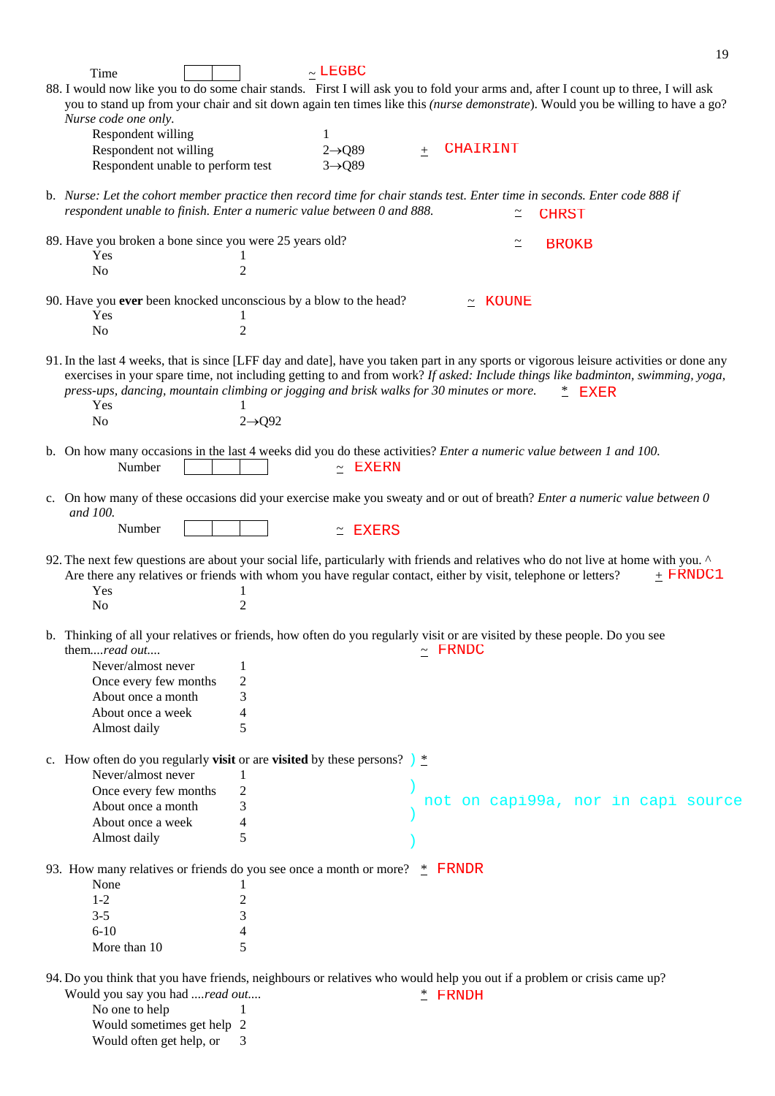|                                                                                                                                                                                                                                                                                                                                                                       |                     |                     |       |                   |                                    | 19 |
|-----------------------------------------------------------------------------------------------------------------------------------------------------------------------------------------------------------------------------------------------------------------------------------------------------------------------------------------------------------------------|---------------------|---------------------|-------|-------------------|------------------------------------|----|
| Time                                                                                                                                                                                                                                                                                                                                                                  |                     | $\sim$ LEGBC        |       |                   |                                    |    |
| 88. I would now like you to do some chair stands. First I will ask you to fold your arms and, after I count up to three, I will ask                                                                                                                                                                                                                                   |                     |                     |       |                   |                                    |    |
| you to stand up from your chair and sit down again ten times like this (nurse demonstrate). Would you be willing to have a go?<br>Nurse code one only.                                                                                                                                                                                                                |                     |                     |       |                   |                                    |    |
| Respondent willing                                                                                                                                                                                                                                                                                                                                                    |                     | 1                   |       |                   |                                    |    |
| Respondent not willing                                                                                                                                                                                                                                                                                                                                                |                     | $2 \rightarrow Q89$ | $\pm$ | <b>CHAIRINT</b>   |                                    |    |
| Respondent unable to perform test                                                                                                                                                                                                                                                                                                                                     |                     | $3 \rightarrow Q89$ |       |                   |                                    |    |
|                                                                                                                                                                                                                                                                                                                                                                       |                     |                     |       |                   |                                    |    |
| b. Nurse: Let the cohort member practice then record time for chair stands test. Enter time in seconds. Enter code 888 if<br>respondent unable to finish. Enter a numeric value between 0 and 888.                                                                                                                                                                    |                     |                     |       |                   | <b>CHRST</b>                       |    |
| 89. Have you broken a bone since you were 25 years old?                                                                                                                                                                                                                                                                                                               |                     |                     |       | $\simeq$          | <b>BROKB</b>                       |    |
| Yes                                                                                                                                                                                                                                                                                                                                                                   |                     |                     |       |                   |                                    |    |
| No                                                                                                                                                                                                                                                                                                                                                                    | 2                   |                     |       |                   |                                    |    |
| 90. Have you ever been knocked unconscious by a blow to the head?                                                                                                                                                                                                                                                                                                     |                     |                     |       | KOUNE<br>$\simeq$ |                                    |    |
| Yes                                                                                                                                                                                                                                                                                                                                                                   |                     |                     |       |                   |                                    |    |
| N <sub>o</sub>                                                                                                                                                                                                                                                                                                                                                        | $\overline{2}$      |                     |       |                   |                                    |    |
| 91. In the last 4 weeks, that is since [LFF day and date], have you taken part in any sports or vigorous leisure activities or done any<br>exercises in your spare time, not including getting to and from work? If asked: Include things like badminton, swimming, yoga,<br>press-ups, dancing, mountain climbing or jogging and brisk walks for 30 minutes or more. |                     |                     |       |                   | $*$<br><b>EXER</b>                 |    |
| Yes                                                                                                                                                                                                                                                                                                                                                                   |                     |                     |       |                   |                                    |    |
| N <sub>o</sub>                                                                                                                                                                                                                                                                                                                                                        | $2 \rightarrow Q92$ |                     |       |                   |                                    |    |
|                                                                                                                                                                                                                                                                                                                                                                       |                     |                     |       |                   |                                    |    |
| b. On how many occasions in the last 4 weeks did you do these activities? <i>Enter a numeric value between 1 and 100</i> .                                                                                                                                                                                                                                            |                     |                     |       |                   |                                    |    |
| Number                                                                                                                                                                                                                                                                                                                                                                |                     | <b>EXERN</b>        |       |                   |                                    |    |
| c. On how many of these occasions did your exercise make you sweaty and or out of breath? Enter a numeric value between 0<br>and 100.                                                                                                                                                                                                                                 |                     |                     |       |                   |                                    |    |
| Number                                                                                                                                                                                                                                                                                                                                                                |                     | <b>EXERS</b>        |       |                   |                                    |    |
|                                                                                                                                                                                                                                                                                                                                                                       |                     |                     |       |                   |                                    |    |
| 92. The next few questions are about your social life, particularly with friends and relatives who do not live at home with you.<br>Are there any relatives or friends with whom you have regular contact, either by visit, telephone or letters?<br>Yes                                                                                                              |                     |                     |       |                   | $+$ FRNDC1                         |    |
| No                                                                                                                                                                                                                                                                                                                                                                    | 2                   |                     |       |                   |                                    |    |
|                                                                                                                                                                                                                                                                                                                                                                       |                     |                     |       |                   |                                    |    |
| b. Thinking of all your relatives or friends, how often do you regularly visit or are visited by these people. Do you see<br>them <i>read out</i>                                                                                                                                                                                                                     |                     |                     |       | $\sim$ FRNDC      |                                    |    |
| Never/almost never                                                                                                                                                                                                                                                                                                                                                    | $\mathbf{1}$        |                     |       |                   |                                    |    |
| Once every few months                                                                                                                                                                                                                                                                                                                                                 | $\overline{c}$      |                     |       |                   |                                    |    |
| About once a month                                                                                                                                                                                                                                                                                                                                                    | 3                   |                     |       |                   |                                    |    |
| About once a week                                                                                                                                                                                                                                                                                                                                                     | 4<br>5              |                     |       |                   |                                    |    |
| Almost daily                                                                                                                                                                                                                                                                                                                                                          |                     |                     |       |                   |                                    |    |
| c. How often do you regularly <b>visit</b> or are <b>visited</b> by these persons? $\frac{1}{2}$<br>Never/almost never                                                                                                                                                                                                                                                | 1                   |                     |       |                   |                                    |    |
| Once every few months                                                                                                                                                                                                                                                                                                                                                 | $\overline{c}$      |                     |       |                   |                                    |    |
| About once a month                                                                                                                                                                                                                                                                                                                                                    | 3                   |                     |       |                   | not on capi99a, nor in capi source |    |
| About once a week                                                                                                                                                                                                                                                                                                                                                     | 4                   |                     |       |                   |                                    |    |
| Almost daily                                                                                                                                                                                                                                                                                                                                                          | 5                   |                     |       |                   |                                    |    |
|                                                                                                                                                                                                                                                                                                                                                                       |                     |                     |       |                   |                                    |    |
| 93. How many relatives or friends do you see once a month or more? $*$ FRNDR                                                                                                                                                                                                                                                                                          |                     |                     |       |                   |                                    |    |
| None                                                                                                                                                                                                                                                                                                                                                                  | 1                   |                     |       |                   |                                    |    |
| $1 - 2$                                                                                                                                                                                                                                                                                                                                                               | $\overline{c}$      |                     |       |                   |                                    |    |
| $3 - 5$                                                                                                                                                                                                                                                                                                                                                               | 3                   |                     |       |                   |                                    |    |
| $6 - 10$                                                                                                                                                                                                                                                                                                                                                              | 4                   |                     |       |                   |                                    |    |
| More than 10                                                                                                                                                                                                                                                                                                                                                          | 5                   |                     |       |                   |                                    |    |
| 94. Do you think that you have friends, neighbours or relatives who would help you out if a problem or crisis came up?                                                                                                                                                                                                                                                |                     |                     |       |                   |                                    |    |
| Would you say you had read out                                                                                                                                                                                                                                                                                                                                        |                     |                     |       | $*$ FRNDH         |                                    |    |
| No one to help                                                                                                                                                                                                                                                                                                                                                        | 1                   |                     |       |                   |                                    |    |
|                                                                                                                                                                                                                                                                                                                                                                       |                     |                     |       |                   |                                    |    |

Would sometimes get help 2

Would often get help, or 3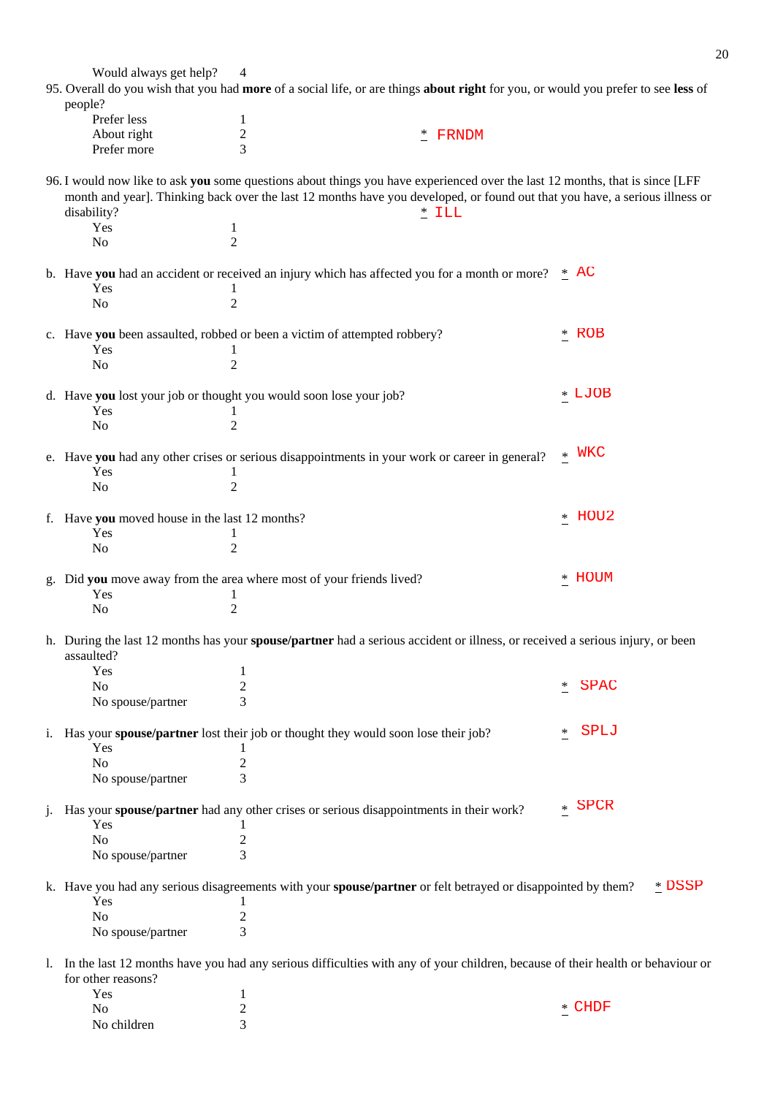Would always get help? 4 95. Overall do you wish that you had **more** of a social life, or are things **about right** for you, or would you prefer to see **less** of people? Prefer less 1 About right 2 Prefer more 3 96. I would now like to ask **you** some questions about things you have experienced over the last 12 months, that is since [LFF month and year]. Thinking back over the last 12 months have you developed, or found out that you have, a serious illness or disability? Yes 1 No 2 b. Have **you** had an accident or received an injury which has affected you for a month or more?  $*$  AC Yes 1 No 2 c. Have **you** been assaulted, robbed or been a victim of attempted robbery? \* Yes 1 No 2 d. Have **you** lost your job or thought you would soon lose your job? \* Yes 1 No 2 e. Have **you** had any other crises or serious disappointments in your work or career in general? \* Yes 1 No 2 f. Have **you** moved house in the last 12 months? \* Yes 1 No 2 g. Did **you** move away from the area where most of your friends lived? \* Yes 1 No 2 h. During the last 12 months has your **spouse/partner** had a serious accident or illness, or received a serious injury, or been assaulted? Yes and 1 No  $\frac{1}{2}$ No spouse/partner 3 i. Has your **spouse/partner** lost their job or thought they would soon lose their job? \* Yes 1 No 2 No spouse/partner 3 j. Has your **spouse/partner** had any other crises or serious disappointments in their work? \* Yes and 1 No 2 No spouse/partner 3 k. Have you had any serious disagreements with your **spouse/partner** or felt betrayed or disappointed by them? \* Yes and 1 No 2 No spouse/partner 3 l. In the last 12 months have you had any serious difficulties with any of your children, because of their health or behaviour or for other reasons? Yes and 1 \* FRNDM  $*$  ILL \* ROB LJOB WKC HOU2 HOUM SPAC SPLJ SPCR DSSP

No  $\frac{1}{2}$ No children 3

CHDF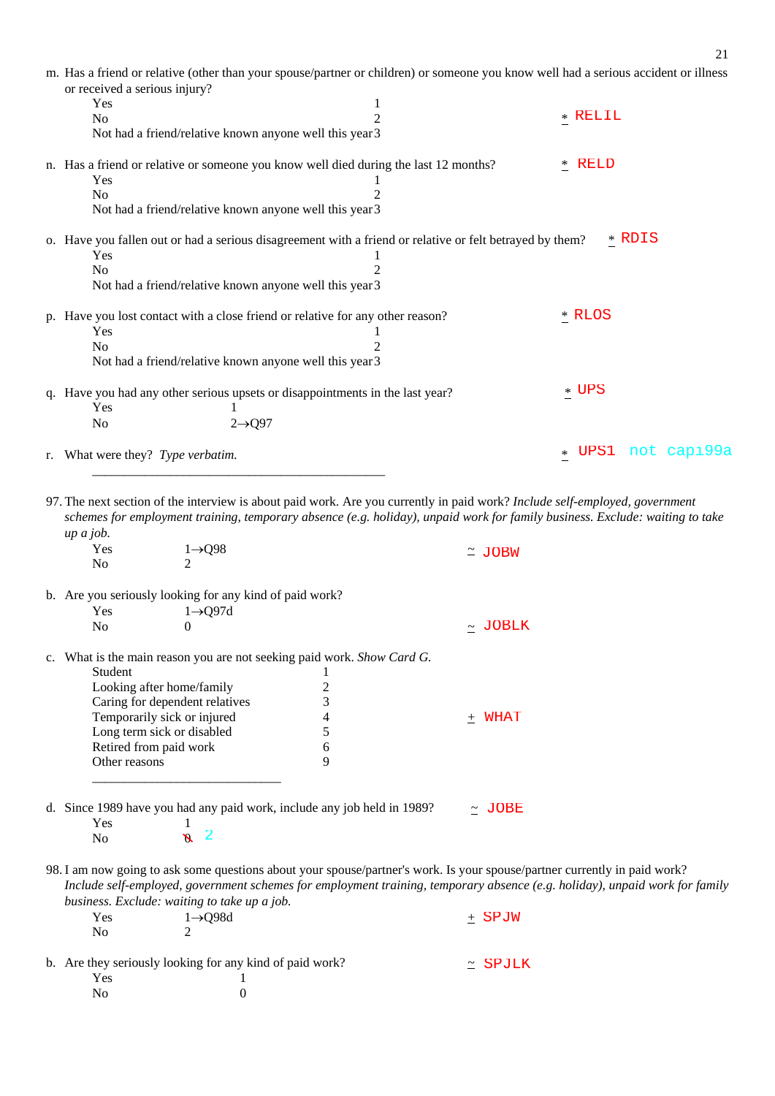| m. Has a friend or relative (other than your spouse/partner or children) or someone you know well had a serious accident or illness |        |                  |
|-------------------------------------------------------------------------------------------------------------------------------------|--------|------------------|
| or received a serious injury?                                                                                                       |        |                  |
| Yes                                                                                                                                 |        |                  |
| No                                                                                                                                  | 2      | * RELIL          |
| Not had a friend/relative known anyone well this year 3                                                                             |        |                  |
| n. Has a friend or relative or someone you know well died during the last 12 months?                                                | $*$    | <b>RELD</b>      |
| Yes                                                                                                                                 |        |                  |
| No                                                                                                                                  |        |                  |
| Not had a friend/relative known anyone well this year 3                                                                             |        |                  |
| o. Have you fallen out or had a serious disagreement with a friend or relative or felt betrayed by them?                            |        | * RDIS           |
| Yes                                                                                                                                 |        |                  |
| N <sub>0</sub>                                                                                                                      |        |                  |
| Not had a friend/relative known anyone well this year 3                                                                             |        |                  |
| p. Have you lost contact with a close friend or relative for any other reason?                                                      |        | * RLOS           |
| Yes                                                                                                                                 |        |                  |
| No                                                                                                                                  |        |                  |
| Not had a friend/relative known anyone well this year 3                                                                             |        |                  |
| q. Have you had any other serious upsets or disappointments in the last year?                                                       |        | $*$ UPS          |
| Yes                                                                                                                                 |        |                  |
| $2 \rightarrow Q97$<br>No                                                                                                           |        |                  |
| r. What were they? Type verbatim.                                                                                                   | $\ast$ | UPS1 not capi99a |

97. The next section of the interview is about paid work. Are you currently in paid work? *Include self-employed, government schemes for employment training, temporary absence (e.g. holiday), unpaid work for family business. Exclude: waiting to take up a job.* 

| Yes<br>No             | $1\rightarrow Q98$                                       |                                                                         | $\simeq$ JOBW                                                                                                                                                                                                                                            |  |
|-----------------------|----------------------------------------------------------|-------------------------------------------------------------------------|----------------------------------------------------------------------------------------------------------------------------------------------------------------------------------------------------------------------------------------------------------|--|
|                       | b. Are you seriously looking for any kind of paid work?  |                                                                         |                                                                                                                                                                                                                                                          |  |
| Yes                   | $1 \rightarrow Q97d$                                     |                                                                         |                                                                                                                                                                                                                                                          |  |
| No                    | $\Omega$                                                 |                                                                         | ~ JOBLK                                                                                                                                                                                                                                                  |  |
|                       |                                                          | c. What is the main reason you are not seeking paid work. Show Card G.  |                                                                                                                                                                                                                                                          |  |
| Student               |                                                          |                                                                         |                                                                                                                                                                                                                                                          |  |
|                       | Looking after home/family                                | $\overline{c}$                                                          |                                                                                                                                                                                                                                                          |  |
|                       | Caring for dependent relatives                           | 3                                                                       |                                                                                                                                                                                                                                                          |  |
|                       | Temporarily sick or injured                              | 4                                                                       | $+$ WHAT                                                                                                                                                                                                                                                 |  |
|                       | Long term sick or disabled                               | 5                                                                       |                                                                                                                                                                                                                                                          |  |
|                       | Retired from paid work                                   | 6                                                                       |                                                                                                                                                                                                                                                          |  |
| Other reasons         |                                                          | 9                                                                       |                                                                                                                                                                                                                                                          |  |
| Yes<br>N <sub>o</sub> | -1<br>$\overline{\mathbf{2}}$<br>$\mathcal{S}$           | d. Since 1989 have you had any paid work, include any job held in 1989? | $\sim$ JOBE                                                                                                                                                                                                                                              |  |
|                       | business. Exclude: waiting to take up a job.             |                                                                         | 98. I am now going to ask some questions about your spouse/partner's work. Is your spouse/partner currently in paid work?<br>Include self-employed, government schemes for employment training, temporary absence (e.g. holiday), unpaid work for family |  |
| Yes                   | $1 \rightarrow Q$ 98d                                    |                                                                         | $\pm$ SPJW                                                                                                                                                                                                                                               |  |
| No                    | $\overline{2}$                                           |                                                                         |                                                                                                                                                                                                                                                          |  |
| Yes                   | b. Are they seriously looking for any kind of paid work? |                                                                         | SPJLK<br>$\simeq$                                                                                                                                                                                                                                        |  |
| No                    | 0                                                        |                                                                         |                                                                                                                                                                                                                                                          |  |

 $\overline{\phantom{a}}$  ,  $\overline{\phantom{a}}$  ,  $\overline{\phantom{a}}$  ,  $\overline{\phantom{a}}$  ,  $\overline{\phantom{a}}$  ,  $\overline{\phantom{a}}$  ,  $\overline{\phantom{a}}$  ,  $\overline{\phantom{a}}$  ,  $\overline{\phantom{a}}$  ,  $\overline{\phantom{a}}$  ,  $\overline{\phantom{a}}$  ,  $\overline{\phantom{a}}$  ,  $\overline{\phantom{a}}$  ,  $\overline{\phantom{a}}$  ,  $\overline{\phantom{a}}$  ,  $\overline{\phantom{a}}$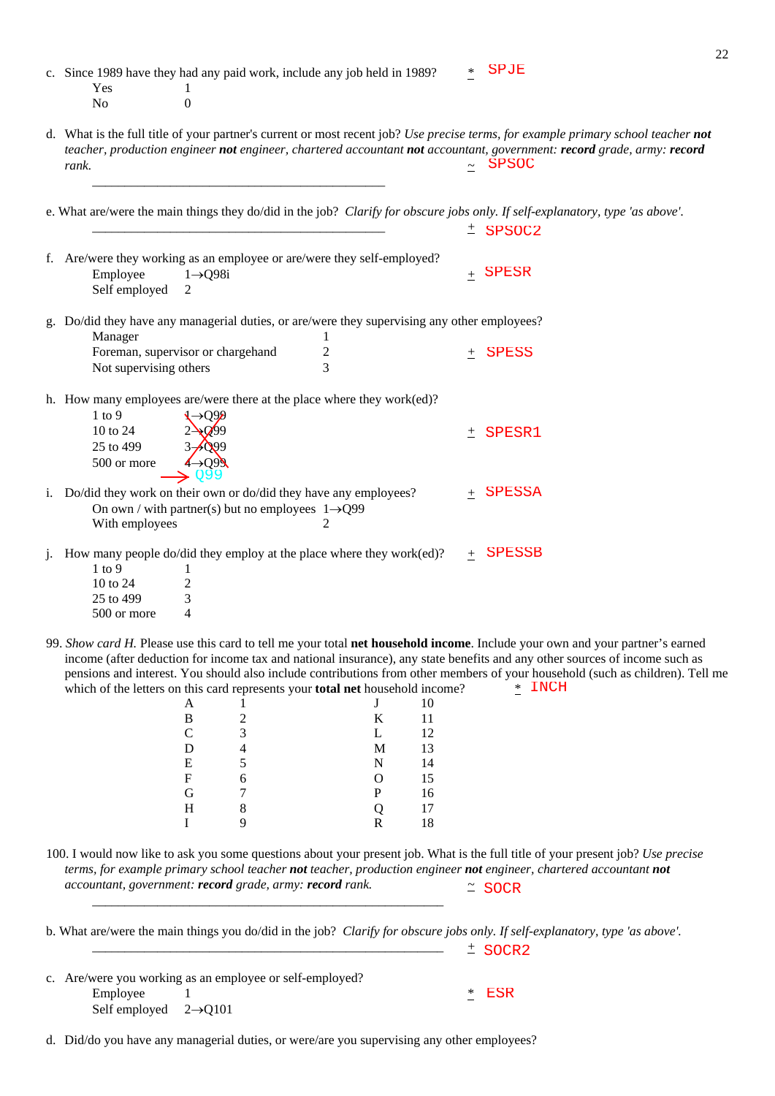|                | Yes<br>No                 | $\perp$<br>$\overline{0}$                                    | c. Since 1989 have they had any paid work, include any job held in 1989?                          |          | $\ast$ | <b>SPJE</b>                                                                                                                                                                                                                                                                                                                                                                                           |
|----------------|---------------------------|--------------------------------------------------------------|---------------------------------------------------------------------------------------------------|----------|--------|-------------------------------------------------------------------------------------------------------------------------------------------------------------------------------------------------------------------------------------------------------------------------------------------------------------------------------------------------------------------------------------------------------|
|                | rank.                     |                                                              |                                                                                                   |          |        | d. What is the full title of your partner's current or most recent job? Use precise terms, for example primary school teacher not<br>teacher, production engineer not engineer, chartered accountant not accountant, government: record grade, army: record<br>$~\sim$ SPSOC                                                                                                                          |
|                |                           |                                                              |                                                                                                   |          |        | e. What are/were the main things they do/did in the job? Clarify for obscure jobs only. If self-explanatory, type 'as above'.                                                                                                                                                                                                                                                                         |
|                |                           |                                                              |                                                                                                   |          |        | $±$ SPSOC2                                                                                                                                                                                                                                                                                                                                                                                            |
|                | Employee<br>Self employed | $1 \rightarrow Q98i$<br>2                                    | f. Are/were they working as an employee or are/were they self-employed?                           |          |        | $_+$ SPESR                                                                                                                                                                                                                                                                                                                                                                                            |
|                | Manager                   |                                                              | g. Do/did they have any managerial duties, or are/were they supervising any other employees?<br>1 |          |        |                                                                                                                                                                                                                                                                                                                                                                                                       |
|                | Not supervising others    | Foreman, supervisor or chargehand                            | $\overline{c}$<br>3                                                                               |          | $^{+}$ | <b>SPESS</b>                                                                                                                                                                                                                                                                                                                                                                                          |
|                | $1$ to $9$                |                                                              | h. How many employees are/were there at the place where they work(ed)?                            |          |        |                                                                                                                                                                                                                                                                                                                                                                                                       |
|                | 10 to 24                  |                                                              |                                                                                                   |          |        | ± SPESR1                                                                                                                                                                                                                                                                                                                                                                                              |
|                | 25 to 499                 |                                                              |                                                                                                   |          |        |                                                                                                                                                                                                                                                                                                                                                                                                       |
|                | 500 or more               |                                                              |                                                                                                   |          |        |                                                                                                                                                                                                                                                                                                                                                                                                       |
|                |                           |                                                              | i. Do/did they work on their own or do/did they have any employees?                               |          |        | $+$ SPESSA                                                                                                                                                                                                                                                                                                                                                                                            |
|                | With employees            | On own / with partner(s) but no employees $1\rightarrow Q99$ | 2                                                                                                 |          |        |                                                                                                                                                                                                                                                                                                                                                                                                       |
| $\mathbf{1}$ . | $1$ to 9                  | 1                                                            | How many people do/did they employ at the place where they work(ed)?                              |          | $+$    | <b>SPESSB</b>                                                                                                                                                                                                                                                                                                                                                                                         |
|                | 10 to 24                  | 2                                                            |                                                                                                   |          |        |                                                                                                                                                                                                                                                                                                                                                                                                       |
|                | 25 to 499                 | 3                                                            |                                                                                                   |          |        |                                                                                                                                                                                                                                                                                                                                                                                                       |
|                | 500 or more               | $\overline{4}$                                               |                                                                                                   |          |        |                                                                                                                                                                                                                                                                                                                                                                                                       |
|                |                           | A                                                            | which of the letters on this card represents your total net household income?<br>J                | 10       |        | 99. Show card H. Please use this card to tell me your total net household income. Include your own and your partner's earned<br>income (after deduction for income tax and national insurance), any state benefits and any other sources of income such as<br>pensions and interest. You should also include contributions from other members of your household (such as children). Tell me<br>* INCH |
|                |                           | B<br>2<br>$\mathsf{C}$<br>3                                  | K<br>L                                                                                            | 11<br>12 |        |                                                                                                                                                                                                                                                                                                                                                                                                       |
|                |                           | D<br>4                                                       | M                                                                                                 | 13       |        |                                                                                                                                                                                                                                                                                                                                                                                                       |
|                |                           | E<br>5                                                       | N                                                                                                 | 14       |        |                                                                                                                                                                                                                                                                                                                                                                                                       |
|                |                           | $\mathbf F$<br>6<br>G<br>7                                   | О<br>P                                                                                            | 15<br>16 |        |                                                                                                                                                                                                                                                                                                                                                                                                       |
|                |                           | 8<br>H                                                       | Q                                                                                                 | 17       |        |                                                                                                                                                                                                                                                                                                                                                                                                       |
|                |                           | 9<br>I                                                       | R                                                                                                 | 18       |        |                                                                                                                                                                                                                                                                                                                                                                                                       |
|                |                           | accountant, government: record grade, army: record rank.     |                                                                                                   |          |        | 100. I would now like to ask you some questions about your present job. What is the full title of your present job? Use precise<br>terms, for example primary school teacher not teacher, production engineer not engineer, chartered accountant not<br>$\cong$ SOCR                                                                                                                                  |
|                |                           |                                                              |                                                                                                   |          |        | b. What are/were the main things you do/did in the job? Clarify for obscure jobs only. If self-explanatory, type 'as above'.<br>$±$ SOCR2                                                                                                                                                                                                                                                             |
|                |                           | c. Are/were you working as an employee or self-employed?     |                                                                                                   |          |        |                                                                                                                                                                                                                                                                                                                                                                                                       |
|                | Employee                  |                                                              |                                                                                                   |          | $*$    | <b>ESR</b>                                                                                                                                                                                                                                                                                                                                                                                            |

| c. Are/were you working as an employee or self-employed? |  |  |         |  |  |
|----------------------------------------------------------|--|--|---------|--|--|
| Employee                                                 |  |  | $*$ ESF |  |  |
| Self employed $2\rightarrow 0101$                        |  |  |         |  |  |

d. Did/do you have any managerial duties, or were/are you supervising any other employees?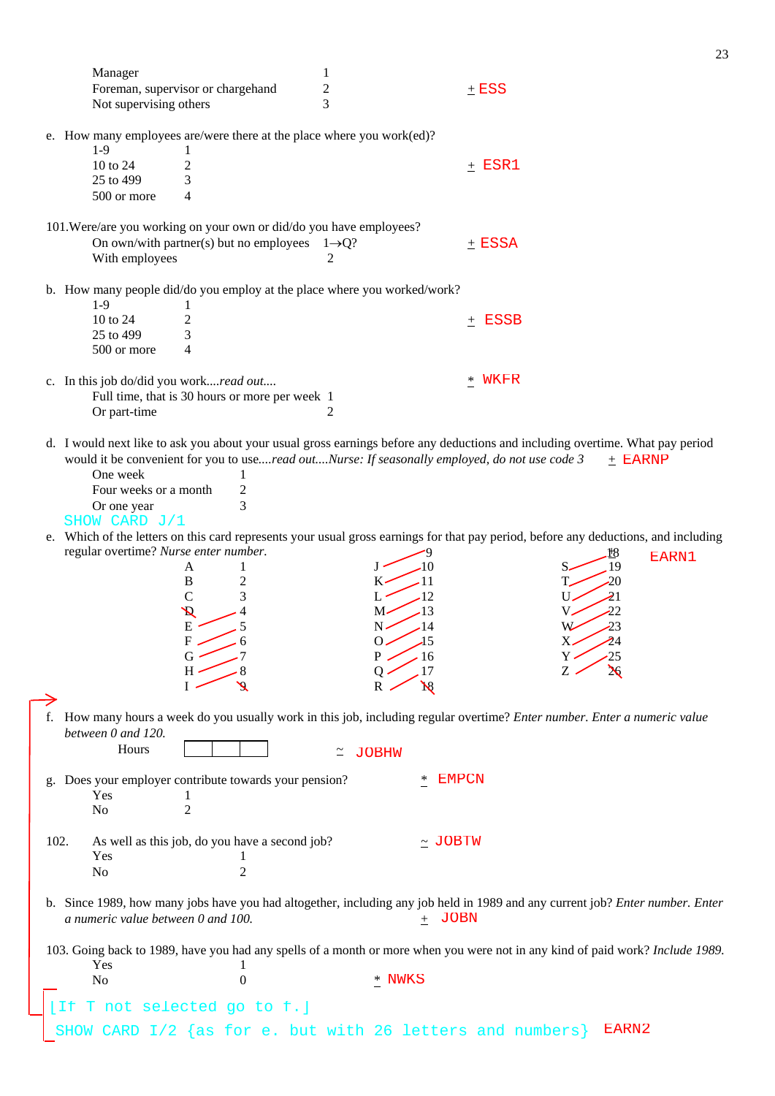|      | Manager                                                |                                                                                                                                     | $\mathbf{1}$            |                       |              |           |           |
|------|--------------------------------------------------------|-------------------------------------------------------------------------------------------------------------------------------------|-------------------------|-----------------------|--------------|-----------|-----------|
|      |                                                        | Foreman, supervisor or chargehand                                                                                                   | $\overline{\mathbf{c}}$ |                       | $+$ ESS      |           |           |
|      | Not supervising others                                 |                                                                                                                                     | 3                       |                       |              |           |           |
|      | $1-9$                                                  | e. How many employees are/were there at the place where you work(ed)?                                                               |                         |                       |              |           |           |
|      | 10 to 24                                               | 2                                                                                                                                   |                         |                       | $+$ ESR1     |           |           |
|      | 25 to 499                                              | 3                                                                                                                                   |                         |                       |              |           |           |
|      | 500 or more                                            | 4                                                                                                                                   |                         |                       |              |           |           |
|      |                                                        |                                                                                                                                     |                         |                       |              |           |           |
|      |                                                        | 101. Were/are you working on your own or did/do you have employees?                                                                 |                         |                       |              |           |           |
|      | With employees                                         | On own/with partner(s) but no employees $1 \rightarrow Q$ ?                                                                         | 2                       |                       | $+$ ESSA     |           |           |
|      | $1-9$                                                  | b. How many people did/do you employ at the place where you worked/work?<br>$\bf{l}$                                                |                         |                       |              |           |           |
|      | 10 to 24                                               | 2                                                                                                                                   |                         |                       | $\pm$ ESSB   |           |           |
|      | 25 to 499                                              | 3                                                                                                                                   |                         |                       |              |           |           |
|      | 500 or more                                            | $\overline{4}$                                                                                                                      |                         |                       |              |           |           |
|      | c. In this job do/did you workread out<br>Or part-time | Full time, that is 30 hours or more per week 1                                                                                      | 2                       |                       | WKFR<br>$*$  |           |           |
|      |                                                        |                                                                                                                                     |                         |                       |              |           |           |
|      |                                                        | d. I would next like to ask you about your usual gross earnings before any deductions and including overtime. What pay period       |                         |                       |              |           |           |
|      |                                                        | would it be convenient for you to useread outNurse: If seasonally employed, do not use code 3                                       |                         |                       |              |           | $+$ EARNP |
|      | One week                                               | 1                                                                                                                                   |                         |                       |              |           |           |
|      | Four weeks or a month                                  | $\overline{c}$<br>3                                                                                                                 |                         |                       |              |           |           |
|      | Or one year                                            |                                                                                                                                     |                         |                       |              |           |           |
|      | SHOW CARD J/1                                          | e. Which of the letters on this card represents your usual gross earnings for that pay period, before any deductions, and including |                         |                       |              |           |           |
|      | regular overtime? Nurse enter number.                  |                                                                                                                                     |                         |                       |              | ₩         |           |
|      |                                                        | A<br>1                                                                                                                              |                         | -10<br>Ŀ              |              | 19<br>S.  | EARN1     |
|      |                                                        | $\, {\bf B}$<br>$\overline{c}$                                                                                                      |                         | -11<br>к-             |              | -20       |           |
|      |                                                        | $\mathcal{C}$<br>3                                                                                                                  |                         | -12<br>L              |              | 21<br>U.  |           |
|      |                                                        | $\boldsymbol{\mathcal{R}}$                                                                                                          |                         | -13<br>M٠             |              | -22<br>v. |           |
|      |                                                        | ${\bf E}$                                                                                                                           |                         | $N$ .<br>.14          |              | -23<br>W  |           |
|      |                                                        | F<br>6                                                                                                                              |                         | $\overline{15}$<br>O. |              | 24<br>Х.  |           |
|      |                                                        | G                                                                                                                                   |                         | 16                    |              |           |           |
|      |                                                        |                                                                                                                                     |                         | 17                    |              |           |           |
|      |                                                        |                                                                                                                                     |                         | $\aleph$              |              |           |           |
|      |                                                        | f. How many hours a week do you usually work in this job, including regular overtime? Enter number. Enter a numeric value           |                         |                       |              |           |           |
|      | between 0 and 120.                                     |                                                                                                                                     |                         |                       |              |           |           |
|      | Hours                                                  |                                                                                                                                     | ≃                       | JOBHW                 |              |           |           |
|      |                                                        | Does your employer contribute towards your pension?                                                                                 |                         |                       | <b>EMPCN</b> |           |           |
|      | Yes                                                    |                                                                                                                                     |                         |                       |              |           |           |
|      | No                                                     | $\overline{2}$                                                                                                                      |                         |                       |              |           |           |
|      |                                                        |                                                                                                                                     |                         |                       |              |           |           |
| 102. |                                                        | As well as this job, do you have a second job?                                                                                      |                         | $\sim$ JOBTW          |              |           |           |
|      | Yes                                                    | 1                                                                                                                                   |                         |                       |              |           |           |
|      | No                                                     | $\overline{2}$                                                                                                                      |                         |                       |              |           |           |
|      | a numeric value between 0 and 100.                     | b. Since 1989, how many jobs have you had altogether, including any job held in 1989 and any current job? Enter number. Enter       |                         | $\pm$ JOBN            |              |           |           |
|      |                                                        |                                                                                                                                     |                         |                       |              |           |           |
|      |                                                        | 103. Going back to 1989, have you had any spells of a month or more when you were not in any kind of paid work? Include 1989.       |                         |                       |              |           |           |
|      | Yes                                                    | 1                                                                                                                                   |                         |                       |              |           |           |
|      | No                                                     | $\boldsymbol{0}$                                                                                                                    |                         | * NWKS                |              |           |           |
|      | Tf.                                                    | T not selected go to f.]                                                                                                            |                         |                       |              |           |           |
|      |                                                        | CARD I/2 {as for e. but with 26 letters and numbers}                                                                                |                         |                       |              | EARN2     |           |
|      | SHOW                                                   |                                                                                                                                     |                         |                       |              |           |           |
|      |                                                        |                                                                                                                                     |                         |                       |              |           |           |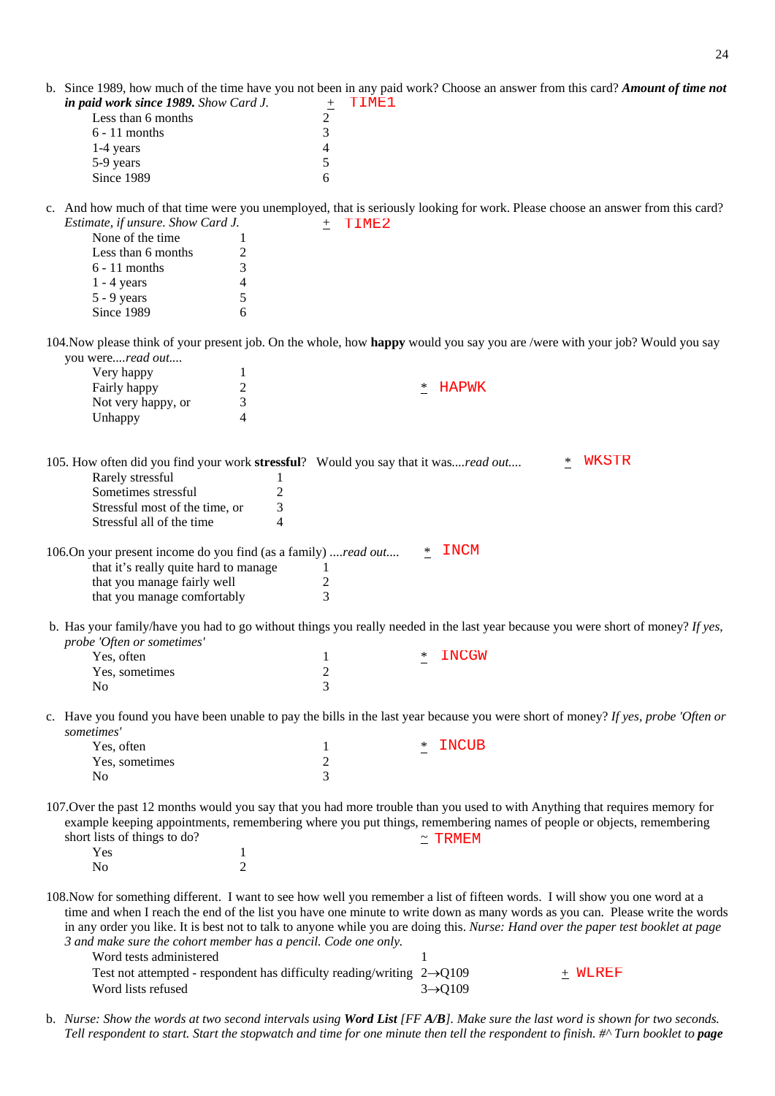| b. Since 1989, how much of the time have you not been in any paid work? Choose an answer from this card? Amount of time not<br>in paid work since 1989. Show Card J.                                                                                                                                                                |                | TIME1<br>$\pm$ |     |                      |                                                                                                                              |
|-------------------------------------------------------------------------------------------------------------------------------------------------------------------------------------------------------------------------------------------------------------------------------------------------------------------------------------|----------------|----------------|-----|----------------------|------------------------------------------------------------------------------------------------------------------------------|
| Less than 6 months                                                                                                                                                                                                                                                                                                                  |                | 2              |     |                      |                                                                                                                              |
| $6 - 11$ months                                                                                                                                                                                                                                                                                                                     |                | 3              |     |                      |                                                                                                                              |
| 1-4 years                                                                                                                                                                                                                                                                                                                           |                | 4              |     |                      |                                                                                                                              |
| 5-9 years<br>Since 1989                                                                                                                                                                                                                                                                                                             |                | 5<br>6         |     |                      |                                                                                                                              |
|                                                                                                                                                                                                                                                                                                                                     |                |                |     |                      |                                                                                                                              |
| c. And how much of that time were you unemployed, that is seriously looking for work. Please choose an answer from this card?<br>Estimate, if unsure. Show Card J.                                                                                                                                                                  |                | $±$ TIME2      |     |                      |                                                                                                                              |
| None of the time                                                                                                                                                                                                                                                                                                                    | $\mathbf{1}$   |                |     |                      |                                                                                                                              |
| Less than 6 months                                                                                                                                                                                                                                                                                                                  | $\overline{c}$ |                |     |                      |                                                                                                                              |
| $6 - 11$ months                                                                                                                                                                                                                                                                                                                     | 3              |                |     |                      |                                                                                                                              |
| $1 - 4$ years                                                                                                                                                                                                                                                                                                                       | $\overline{4}$ |                |     |                      |                                                                                                                              |
| $5 - 9$ years                                                                                                                                                                                                                                                                                                                       | 5              |                |     |                      |                                                                                                                              |
| Since 1989                                                                                                                                                                                                                                                                                                                          | 6              |                |     |                      |                                                                                                                              |
| 104. Now please think of your present job. On the whole, how happy would you say you are /were with your job? Would you say<br>you wereread out                                                                                                                                                                                     |                |                |     |                      |                                                                                                                              |
| Very happy                                                                                                                                                                                                                                                                                                                          | $\mathbf{1}$   |                |     |                      |                                                                                                                              |
| Fairly happy                                                                                                                                                                                                                                                                                                                        | $\overline{c}$ |                | ∗   | HAPWK                |                                                                                                                              |
| Not very happy, or                                                                                                                                                                                                                                                                                                                  | 3              |                |     |                      |                                                                                                                              |
| Unhappy                                                                                                                                                                                                                                                                                                                             | 4              |                |     |                      |                                                                                                                              |
|                                                                                                                                                                                                                                                                                                                                     |                |                |     |                      |                                                                                                                              |
| 105. How often did you find your work stressful? Would you say that it wasread out<br>Rarely stressful                                                                                                                                                                                                                              | 1              |                |     |                      | <b>WKSTR</b><br>$\ast$                                                                                                       |
| Sometimes stressful                                                                                                                                                                                                                                                                                                                 | $\overline{2}$ |                |     |                      |                                                                                                                              |
| Stressful most of the time, or                                                                                                                                                                                                                                                                                                      | 3              |                |     |                      |                                                                                                                              |
| Stressful all of the time                                                                                                                                                                                                                                                                                                           | $\overline{4}$ |                |     |                      |                                                                                                                              |
| 106.On your present income do you find (as a family) read out<br>that it's really quite hard to manage                                                                                                                                                                                                                              |                | $\mathbf{1}$   | $*$ | <b>INCM</b>          |                                                                                                                              |
| that you manage fairly well                                                                                                                                                                                                                                                                                                         |                | $\overline{c}$ |     |                      |                                                                                                                              |
| that you manage comfortably                                                                                                                                                                                                                                                                                                         |                | 3              |     |                      |                                                                                                                              |
| b. Has your family/have you had to go without things you really needed in the last year because you were short of money? If yes,<br>probe 'Often or sometimes'                                                                                                                                                                      |                |                |     |                      |                                                                                                                              |
| Yes, often                                                                                                                                                                                                                                                                                                                          |                | 1              |     | * INCGW              |                                                                                                                              |
| Yes, sometimes                                                                                                                                                                                                                                                                                                                      |                | $\sqrt{2}$     |     |                      |                                                                                                                              |
| N <sub>0</sub>                                                                                                                                                                                                                                                                                                                      |                | 3              |     |                      |                                                                                                                              |
| c. Have you found you have been unable to pay the bills in the last year because you were short of money? If yes, probe 'Often or<br>sometimes'                                                                                                                                                                                     |                |                |     |                      |                                                                                                                              |
| Yes, often                                                                                                                                                                                                                                                                                                                          |                | 1              | $*$ | INCUB                |                                                                                                                              |
| Yes, sometimes                                                                                                                                                                                                                                                                                                                      |                | $\mathfrak 2$  |     |                      |                                                                                                                              |
| N <sub>0</sub>                                                                                                                                                                                                                                                                                                                      |                | $\overline{3}$ |     |                      |                                                                                                                              |
| 107. Over the past 12 months would you say that you had more trouble than you used to with Anything that requires memory for<br>example keeping appointments, remembering where you put things, remembering names of people or objects, remembering<br>short lists of things to do?                                                 |                |                |     | $\simeq$ TRMEM       |                                                                                                                              |
| Yes                                                                                                                                                                                                                                                                                                                                 | 1              |                |     |                      |                                                                                                                              |
| N <sub>0</sub>                                                                                                                                                                                                                                                                                                                      | $\overline{2}$ |                |     |                      |                                                                                                                              |
| 108. Now for something different. I want to see how well you remember a list of fifteen words. I will show you one word at a<br>in any order you like. It is best not to talk to anyone while you are doing this. Nurse: Hand over the paper test booklet at page<br>3 and make sure the cohort member has a pencil. Code one only. |                |                |     |                      | time and when I reach the end of the list you have one minute to write down as many words as you can. Please write the words |
| Word tests administered                                                                                                                                                                                                                                                                                                             |                |                | 1   |                      |                                                                                                                              |
| Test not attempted - respondent has difficulty reading/writing $2\rightarrow Q109$<br>Word lists refused                                                                                                                                                                                                                            |                |                |     | $3 \rightarrow Q109$ | + WLREF                                                                                                                      |

b. *Nurse: Show the words at two second intervals using Word List [FF A/B]. Make sure the last word is shown for two seconds. Tell respondent to start. Start the stopwatch and time for one minute then tell the respondent to finish. #^ Turn booklet to page*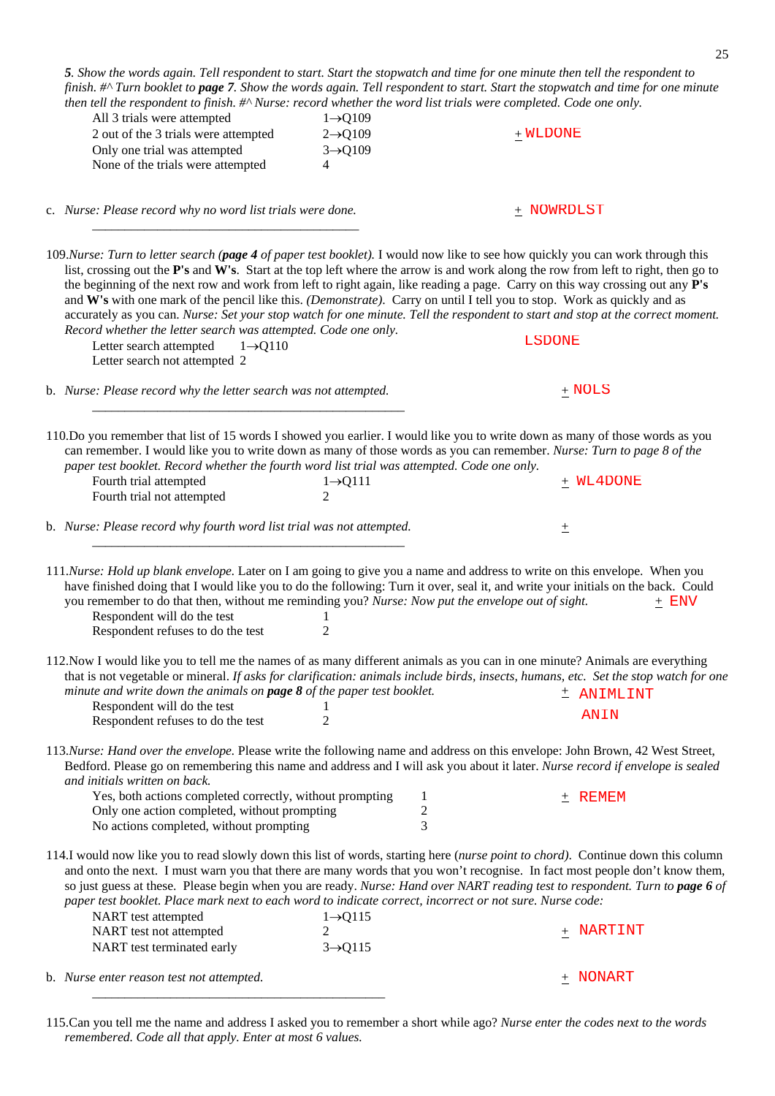| 5. Show the words again. Tell respondent to start. Start the stopwatch and time for one minute then tell the respondent to<br>finish. #^ Turn booklet to page 7. Show the words again. Tell respondent to start. Start the stopwatch and time for one minute<br>then tell the respondent to finish. #^ Nurse: record whether the word list trials were completed. Code one only.                                                                                                                                                                                                                                                                                                                                                                                                                                         |                                                                           |                                     |               |             |
|--------------------------------------------------------------------------------------------------------------------------------------------------------------------------------------------------------------------------------------------------------------------------------------------------------------------------------------------------------------------------------------------------------------------------------------------------------------------------------------------------------------------------------------------------------------------------------------------------------------------------------------------------------------------------------------------------------------------------------------------------------------------------------------------------------------------------|---------------------------------------------------------------------------|-------------------------------------|---------------|-------------|
| All 3 trials were attempted<br>2 out of the 3 trials were attempted<br>Only one trial was attempted<br>None of the trials were attempted                                                                                                                                                                                                                                                                                                                                                                                                                                                                                                                                                                                                                                                                                 | $1 \rightarrow Q109$<br>$2 \rightarrow Q109$<br>$3 \rightarrow Q109$<br>4 |                                     | $+$ WLDONE    |             |
| c. Nurse: Please record why no word list trials were done.                                                                                                                                                                                                                                                                                                                                                                                                                                                                                                                                                                                                                                                                                                                                                               |                                                                           |                                     | $+$ NOWRDLST  |             |
| 109. Nurse: Turn to letter search (page 4 of paper test booklet). I would now like to see how quickly you can work through this<br>list, crossing out the P's and W's. Start at the top left where the arrow is and work along the row from left to right, then go to<br>the beginning of the next row and work from left to right again, like reading a page. Carry on this way crossing out any P's<br>and W's with one mark of the pencil like this. (Demonstrate). Carry on until I tell you to stop. Work as quickly and as<br>accurately as you can. Nurse: Set your stop watch for one minute. Tell the respondent to start and stop at the correct moment.<br>Record whether the letter search was attempted. Code one only.<br>Letter search attempted<br>$1 \rightarrow Q110$<br>Letter search not attempted 2 |                                                                           |                                     | <b>LSDONE</b> |             |
| b. Nurse: Please record why the letter search was not attempted.                                                                                                                                                                                                                                                                                                                                                                                                                                                                                                                                                                                                                                                                                                                                                         |                                                                           |                                     | $+$ NOLS      |             |
| 110.Do you remember that list of 15 words I showed you earlier. I would like you to write down as many of those words as you<br>can remember. I would like you to write down as many of those words as you can remember. Nurse: Turn to page 8 of the<br>paper test booklet. Record whether the fourth word list trial was attempted. Code one only.<br>Fourth trial attempted<br>Fourth trial not attempted                                                                                                                                                                                                                                                                                                                                                                                                             | $1 \rightarrow Q111$<br>$\mathcal{L}$                                     |                                     |               | $+$ WL4DONE |
| b. Nurse: Please record why fourth word list trial was not attempted.                                                                                                                                                                                                                                                                                                                                                                                                                                                                                                                                                                                                                                                                                                                                                    |                                                                           |                                     | 土             |             |
| 111. Nurse: Hold up blank envelope. Later on I am going to give you a name and address to write on this envelope. When you<br>have finished doing that I would like you to do the following: Turn it over, seal it, and write your initials on the back. Could<br>you remember to do that then, without me reminding you? Nurse: Now put the envelope out of sight.<br>Respondent will do the test<br>Respondent refuses to do the test                                                                                                                                                                                                                                                                                                                                                                                  | 2                                                                         |                                     |               | $+$ ENV     |
| 112. Now I would like you to tell me the names of as many different animals as you can in one minute? Animals are everything<br>that is not vegetable or mineral. If asks for clarification: animals include birds, insects, humans, etc. Set the stop watch for one<br>minute and write down the animals on <b>page 8</b> of the paper test booklet.<br>Respondent will do the test<br>Respondent refuses to do the test                                                                                                                                                                                                                                                                                                                                                                                                | $\overline{2}$                                                            |                                     | ANIN          | ± ANIMLINT  |
| 113. Nurse: Hand over the envelope. Please write the following name and address on this envelope: John Brown, 42 West Street,<br>Bedford. Please go on remembering this name and address and I will ask you about it later. Nurse record if envelope is sealed<br>and initials written on back.                                                                                                                                                                                                                                                                                                                                                                                                                                                                                                                          |                                                                           |                                     |               |             |
| Yes, both actions completed correctly, without prompting<br>Only one action completed, without prompting<br>No actions completed, without prompting                                                                                                                                                                                                                                                                                                                                                                                                                                                                                                                                                                                                                                                                      |                                                                           | $\mathbf{1}$<br>$\overline{c}$<br>3 | $\pm$ REMEM   |             |
| 114.I would now like you to read slowly down this list of words, starting here (nurse point to chord). Continue down this column<br>and onto the next. I must warn you that there are many words that you won't recognise. In fact most people don't know them,<br>so just guess at these. Please begin when you are ready. Nurse: Hand over NART reading test to respondent. Turn to page 6 of<br>paper test booklet. Place mark next to each word to indicate correct, incorrect or not sure. Nurse code:                                                                                                                                                                                                                                                                                                              |                                                                           |                                     |               |             |
| NART test attempted<br>NART test not attempted<br>NART test terminated early                                                                                                                                                                                                                                                                                                                                                                                                                                                                                                                                                                                                                                                                                                                                             | $1 \rightarrow Q115$<br>2<br>$3 \rightarrow Q115$                         |                                     |               | $+$ NARTINT |
| b. Nurse enter reason test not attempted.                                                                                                                                                                                                                                                                                                                                                                                                                                                                                                                                                                                                                                                                                                                                                                                |                                                                           |                                     | $+$ NONART    |             |

<sup>115.</sup>Can you tell me the name and address I asked you to remember a short while ago? *Nurse enter the codes next to the words remembered. Code all that apply. Enter at most 6 values.*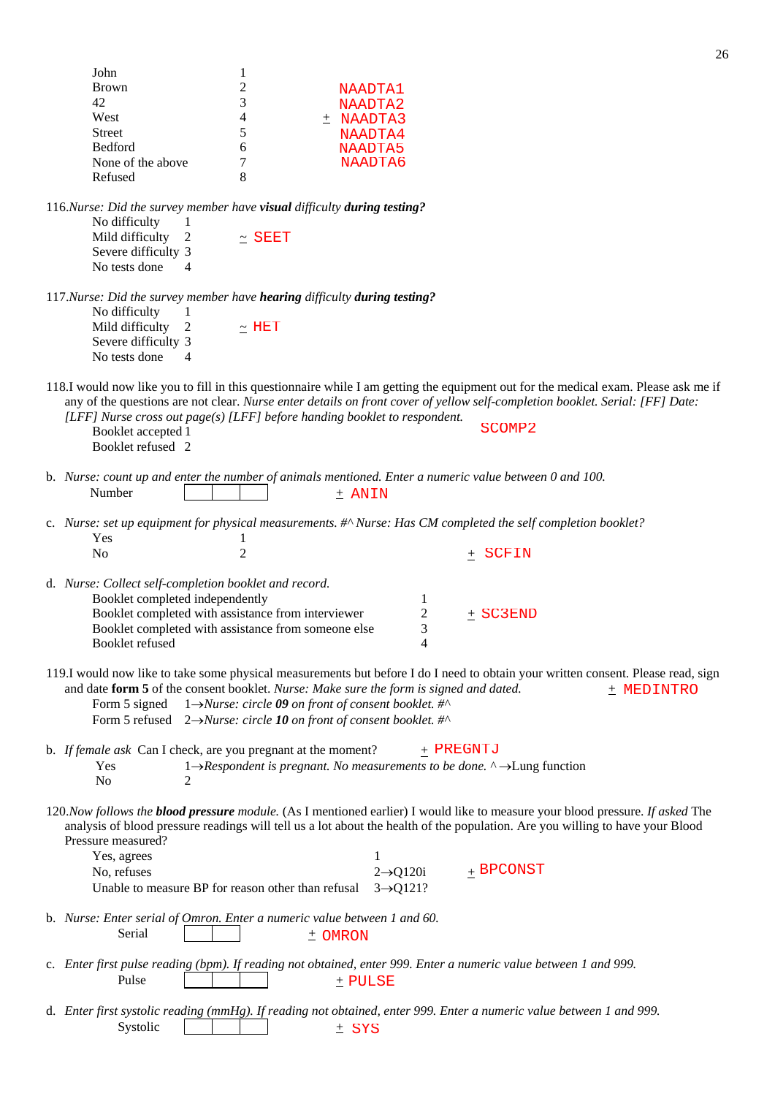|                                 |                                                                          |                                                                                                       | ∼                                                                                                                                                                                                                                                                      |
|---------------------------------|--------------------------------------------------------------------------|-------------------------------------------------------------------------------------------------------|------------------------------------------------------------------------------------------------------------------------------------------------------------------------------------------------------------------------------------------------------------------------|
| John                            | 1                                                                        |                                                                                                       |                                                                                                                                                                                                                                                                        |
| <b>Brown</b>                    | $\overline{c}$                                                           |                                                                                                       |                                                                                                                                                                                                                                                                        |
|                                 |                                                                          | NAADTA1                                                                                               |                                                                                                                                                                                                                                                                        |
| 42                              | 3                                                                        | NAADTA2                                                                                               |                                                                                                                                                                                                                                                                        |
| West                            | 4                                                                        | $±$ NAADTA3                                                                                           |                                                                                                                                                                                                                                                                        |
| <b>Street</b>                   | 5                                                                        | NAADTA4                                                                                               |                                                                                                                                                                                                                                                                        |
| Bedford                         | 6                                                                        | NAADTA5                                                                                               |                                                                                                                                                                                                                                                                        |
|                                 |                                                                          |                                                                                                       |                                                                                                                                                                                                                                                                        |
| None of the above               | 7                                                                        | NAADTA6                                                                                               |                                                                                                                                                                                                                                                                        |
| Refused                         | 8                                                                        |                                                                                                       |                                                                                                                                                                                                                                                                        |
|                                 | 116.Nurse: Did the survey member have visual difficulty during testing?  |                                                                                                       |                                                                                                                                                                                                                                                                        |
| No difficulty<br>$\mathbf{I}$   |                                                                          |                                                                                                       |                                                                                                                                                                                                                                                                        |
| Mild difficulty<br>2            | $\sim$ SEET                                                              |                                                                                                       |                                                                                                                                                                                                                                                                        |
| Severe difficulty 3             |                                                                          |                                                                                                       |                                                                                                                                                                                                                                                                        |
| No tests done<br>4              |                                                                          |                                                                                                       |                                                                                                                                                                                                                                                                        |
|                                 |                                                                          |                                                                                                       |                                                                                                                                                                                                                                                                        |
|                                 |                                                                          |                                                                                                       |                                                                                                                                                                                                                                                                        |
|                                 | 117.Nurse: Did the survey member have hearing difficulty during testing? |                                                                                                       |                                                                                                                                                                                                                                                                        |
| No difficulty<br>1              |                                                                          |                                                                                                       |                                                                                                                                                                                                                                                                        |
| Mild difficulty<br>2            | $\sim$ HET                                                               |                                                                                                       |                                                                                                                                                                                                                                                                        |
| Severe difficulty 3             |                                                                          |                                                                                                       |                                                                                                                                                                                                                                                                        |
|                                 |                                                                          |                                                                                                       |                                                                                                                                                                                                                                                                        |
| No tests done<br>$\overline{4}$ |                                                                          |                                                                                                       |                                                                                                                                                                                                                                                                        |
|                                 |                                                                          |                                                                                                       | 118.I would now like you to fill in this questionnaire while I am getting the equipment out for the medical exam. Please ask me if                                                                                                                                     |
|                                 |                                                                          |                                                                                                       | any of the questions are not clear. Nurse enter details on front cover of yellow self-completion booklet. Serial: [FF] Date:                                                                                                                                           |
|                                 |                                                                          |                                                                                                       |                                                                                                                                                                                                                                                                        |
|                                 |                                                                          | [LFF] Nurse cross out page(s) [LFF] before handing booklet to respondent.                             | SCOMP <sub>2</sub>                                                                                                                                                                                                                                                     |
| Booklet accepted 1              |                                                                          |                                                                                                       |                                                                                                                                                                                                                                                                        |
| Booklet refused 2               |                                                                          |                                                                                                       |                                                                                                                                                                                                                                                                        |
|                                 |                                                                          |                                                                                                       |                                                                                                                                                                                                                                                                        |
|                                 |                                                                          |                                                                                                       | b. Nurse: count up and enter the number of animals mentioned. Enter a numeric value between 0 and 100.                                                                                                                                                                 |
| Number                          |                                                                          |                                                                                                       |                                                                                                                                                                                                                                                                        |
|                                 |                                                                          | $\pm$ ANIN                                                                                            |                                                                                                                                                                                                                                                                        |
|                                 |                                                                          |                                                                                                       |                                                                                                                                                                                                                                                                        |
|                                 |                                                                          |                                                                                                       | c. Nurse: set up equipment for physical measurements. #^ Nurse: Has CM completed the self completion booklet?                                                                                                                                                          |
|                                 |                                                                          |                                                                                                       |                                                                                                                                                                                                                                                                        |
|                                 |                                                                          |                                                                                                       |                                                                                                                                                                                                                                                                        |
| Yes                             | 1                                                                        |                                                                                                       |                                                                                                                                                                                                                                                                        |
| No                              | $\overline{2}$                                                           |                                                                                                       | $\pm$ SCFIN                                                                                                                                                                                                                                                            |
|                                 |                                                                          |                                                                                                       |                                                                                                                                                                                                                                                                        |
|                                 | d. Nurse: Collect self-completion booklet and record.                    |                                                                                                       |                                                                                                                                                                                                                                                                        |
|                                 |                                                                          |                                                                                                       |                                                                                                                                                                                                                                                                        |
| Booklet completed independently |                                                                          | 1                                                                                                     |                                                                                                                                                                                                                                                                        |
|                                 | Booklet completed with assistance from interviewer                       | $\overline{c}$                                                                                        | $±$ SC3END                                                                                                                                                                                                                                                             |
|                                 | Booklet completed with assistance from someone else                      | 3                                                                                                     |                                                                                                                                                                                                                                                                        |
| Booklet refused                 |                                                                          |                                                                                                       |                                                                                                                                                                                                                                                                        |
|                                 |                                                                          |                                                                                                       |                                                                                                                                                                                                                                                                        |
|                                 |                                                                          | and date form 5 of the consent booklet. Nurse: Make sure the form is signed and dated.                | 119.I would now like to take some physical measurements but before I do I need to obtain your written consent. Please read, sign<br>+ MEDINTRO                                                                                                                         |
| Form 5 signed                   |                                                                          | 1→Nurse: circle 09 on front of consent booklet. #^                                                    |                                                                                                                                                                                                                                                                        |
|                                 |                                                                          | Form 5 refused $2 \rightarrow Nurse$ : circle 10 on front of consent booklet. #^                      |                                                                                                                                                                                                                                                                        |
|                                 |                                                                          |                                                                                                       |                                                                                                                                                                                                                                                                        |
|                                 | b. If female ask Can I check, are you pregnant at the moment?            |                                                                                                       | + PREGNTJ                                                                                                                                                                                                                                                              |
| Yes                             |                                                                          |                                                                                                       |                                                                                                                                                                                                                                                                        |
|                                 |                                                                          | $1 \rightarrow$ Respondent is pregnant. No measurements to be done. $\land \rightarrow$ Lung function |                                                                                                                                                                                                                                                                        |
| N <sub>0</sub><br>2             |                                                                          |                                                                                                       |                                                                                                                                                                                                                                                                        |
|                                 |                                                                          |                                                                                                       | 120. Now follows the <b>blood pressure</b> module. (As I mentioned earlier) I would like to measure your blood pressure. If asked The<br>analysis of blood pressure readings will tell us a lot about the health of the population. Are you willing to have your Blood |
| Pressure measured?              |                                                                          |                                                                                                       |                                                                                                                                                                                                                                                                        |
| Yes, agrees                     |                                                                          | 1                                                                                                     |                                                                                                                                                                                                                                                                        |
|                                 |                                                                          |                                                                                                       |                                                                                                                                                                                                                                                                        |
| No, refuses                     |                                                                          | $2 \rightarrow Q120i$                                                                                 | $+$ BPCONST                                                                                                                                                                                                                                                            |
|                                 | Unable to measure BP for reason other than refusal                       | $3 \rightarrow Q121?$                                                                                 |                                                                                                                                                                                                                                                                        |
|                                 |                                                                          |                                                                                                       |                                                                                                                                                                                                                                                                        |
|                                 | b. Nurse: Enter serial of Omron. Enter a numeric value between 1 and 60. |                                                                                                       |                                                                                                                                                                                                                                                                        |
|                                 |                                                                          |                                                                                                       |                                                                                                                                                                                                                                                                        |
| Serial                          |                                                                          | ± OMRON                                                                                               |                                                                                                                                                                                                                                                                        |
|                                 |                                                                          |                                                                                                       |                                                                                                                                                                                                                                                                        |
|                                 |                                                                          |                                                                                                       | c. Enter first pulse reading (bpm). If reading not obtained, enter 999. Enter a numeric value between 1 and 999.                                                                                                                                                       |
| Pulse                           |                                                                          | $±$ PULSE                                                                                             |                                                                                                                                                                                                                                                                        |
|                                 |                                                                          |                                                                                                       |                                                                                                                                                                                                                                                                        |
|                                 |                                                                          |                                                                                                       |                                                                                                                                                                                                                                                                        |
| Systolic                        |                                                                          | $±$ SYS                                                                                               | d. Enter first systolic reading (mmHg). If reading not obtained, enter 999. Enter a numeric value between 1 and 999.                                                                                                                                                   |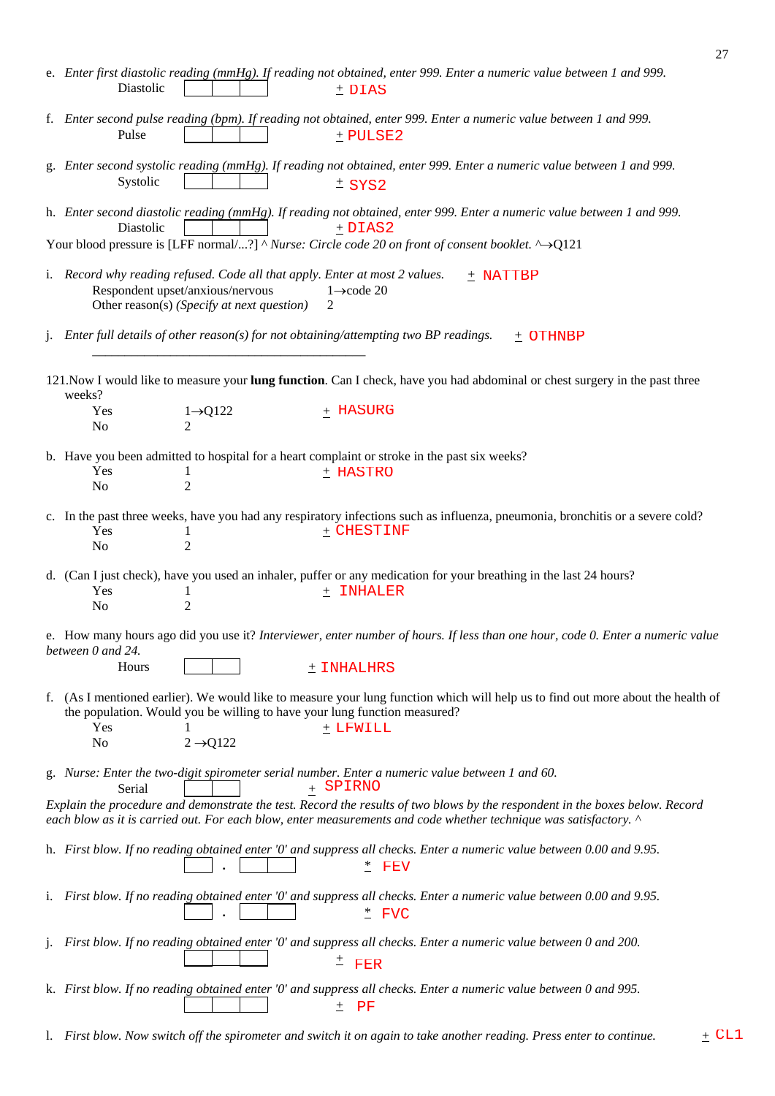|    | Diastolic                                                                                                                                                     |                          | e. Enter first diastolic reading (mmHg). If reading not obtained, enter 999. Enter a numeric value between 1 and 999.<br>$+$ DIAS                                                                                                                |
|----|---------------------------------------------------------------------------------------------------------------------------------------------------------------|--------------------------|--------------------------------------------------------------------------------------------------------------------------------------------------------------------------------------------------------------------------------------------------|
|    | Pulse                                                                                                                                                         |                          | f. Enter second pulse reading (bpm). If reading not obtained, enter 999. Enter a numeric value between 1 and 999.<br>$±$ PULSE2                                                                                                                  |
|    | Systolic                                                                                                                                                      |                          | g. Enter second systolic reading (mmHg). If reading not obtained, enter 999. Enter a numeric value between 1 and 999.<br>$±$ SYS2                                                                                                                |
|    | Diastolic                                                                                                                                                     |                          | h. Enter second diastolic reading (mmHg). If reading not obtained, enter 999. Enter a numeric value between 1 and 999.<br>$±$ DIAS2                                                                                                              |
|    |                                                                                                                                                               |                          | Your blood pressure is [LFF normal/?] $^{\wedge}$ Nurse: Circle code 20 on front of consent booklet. $^{\wedge}$ ->Q121                                                                                                                          |
|    | i. Record why reading refused. Code all that apply. Enter at most 2 values.<br>Respondent upset/anxious/nervous<br>Other reason(s) (Specify at next question) |                          | $+$ NATTBP<br>$1 \rightarrow \text{code } 20$<br>2                                                                                                                                                                                               |
|    |                                                                                                                                                               |                          | j. Enter full details of other reason(s) for not obtaining/attempting two BP readings.<br>$±$ OTHNBP                                                                                                                                             |
|    | weeks?                                                                                                                                                        |                          | 121. Now I would like to measure your lung function. Can I check, have you had abdominal or chest surgery in the past three                                                                                                                      |
|    | Yes<br>No                                                                                                                                                     | $1\rightarrow Q122$<br>2 | + HASURG                                                                                                                                                                                                                                         |
|    |                                                                                                                                                               |                          | b. Have you been admitted to hospital for a heart complaint or stroke in the past six weeks?                                                                                                                                                     |
|    | Yes<br>1<br>$\overline{2}$<br>No                                                                                                                              |                          | $±$ HASTRO                                                                                                                                                                                                                                       |
|    | Yes<br>1                                                                                                                                                      |                          | c. In the past three weeks, have you had any respiratory infections such as influenza, pneumonia, bronchitis or a severe cold?<br>$_+$ CHESTINF                                                                                                  |
|    | $\overline{2}$<br>No                                                                                                                                          |                          |                                                                                                                                                                                                                                                  |
|    | Yes                                                                                                                                                           |                          | d. (Can I just check), have you used an inhaler, puffer or any medication for your breathing in the last 24 hours?<br>$+$ INHALER                                                                                                                |
|    | 1<br>$\overline{2}$<br>No                                                                                                                                     |                          |                                                                                                                                                                                                                                                  |
|    | between 0 and 24.                                                                                                                                             |                          | e. How many hours ago did you use it? Interviewer, enter number of hours. If less than one hour, code 0. Enter a numeric value                                                                                                                   |
|    | Hours                                                                                                                                                         |                          | $\pm$ INHALHRS                                                                                                                                                                                                                                   |
|    | the population. Would you be willing to have your lung function measured?<br>Yes                                                                              |                          | f. (As I mentioned earlier). We would like to measure your lung function which will help us to find out more about the health of<br>$±$ LFWILL                                                                                                   |
|    | No                                                                                                                                                            | $2 \rightarrow Q122$     |                                                                                                                                                                                                                                                  |
|    | Serial                                                                                                                                                        |                          | g. Nurse: Enter the two-digit spirometer serial number. Enter a numeric value between 1 and 60.<br>+ SPIRNO                                                                                                                                      |
|    |                                                                                                                                                               |                          | Explain the procedure and demonstrate the test. Record the results of two blows by the respondent in the boxes below. Record<br>each blow as it is carried out. For each blow, enter measurements and code whether technique was satisfactory. ^ |
|    |                                                                                                                                                               |                          | h. First blow. If no reading obtained enter '0' and suppress all checks. Enter a numeric value between 0.00 and 9.95.<br>$*$ FEV                                                                                                                 |
|    |                                                                                                                                                               |                          | i. First blow. If no reading obtained enter '0' and suppress all checks. Enter a numeric value between 0.00 and 9.95.<br>$*$ FVC                                                                                                                 |
| 1. |                                                                                                                                                               |                          | First blow. If no reading obtained enter '0' and suppress all checks. Enter a numeric value between 0 and 200.<br>$^{\pm}$ FER                                                                                                                   |
|    |                                                                                                                                                               |                          | k. First blow. If no reading obtained enter '0' and suppress all checks. Enter a numeric value between 0 and 995.<br>$\rm PF$<br>土                                                                                                               |

l. *First blow. Now switch off the spirometer and switch it on again to take another reading. Press enter to continue.* +

 $\pm$  CL1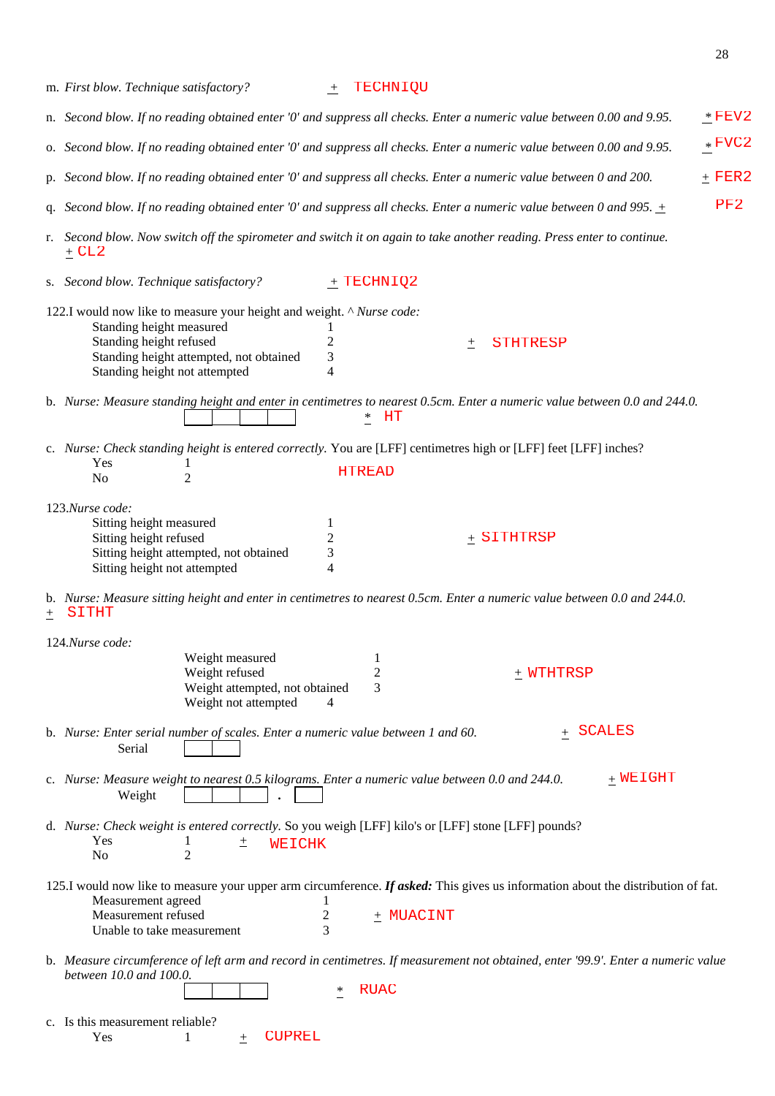|    | m. First blow. Technique satisfactory?                                                                                                                                                                      | $+$                           | TECHNIQU                       |                      |             |          |
|----|-------------------------------------------------------------------------------------------------------------------------------------------------------------------------------------------------------------|-------------------------------|--------------------------------|----------------------|-------------|----------|
|    | n. Second blow. If no reading obtained enter '0' and suppress all checks. Enter a numeric value between 0.00 and 9.95.                                                                                      |                               |                                |                      |             | $*$ FEV2 |
|    | o. Second blow. If no reading obtained enter '0' and suppress all checks. Enter a numeric value between 0.00 and 9.95.                                                                                      |                               |                                |                      |             | $*$ FVC2 |
|    | p. Second blow. If no reading obtained enter '0' and suppress all checks. Enter a numeric value between 0 and 200.                                                                                          |                               |                                |                      |             | $+$ FER2 |
|    | q. Second blow. If no reading obtained enter '0' and suppress all checks. Enter a numeric value between 0 and 995. $\pm$                                                                                    |                               |                                |                      |             | PF2      |
| r. | Second blow. Now switch off the spirometer and switch it on again to take another reading. Press enter to continue.<br>$\pm$ CL2                                                                            |                               |                                |                      |             |          |
|    | s. Second blow. Technique satisfactory?                                                                                                                                                                     |                               | $+$ TECHNIQ2                   |                      |             |          |
|    | 122.I would now like to measure your height and weight. ^ Nurse code:<br>Standing height measured<br>Standing height refused<br>Standing height attempted, not obtained<br>Standing height not attempted    | 1<br>$\overline{c}$<br>3<br>4 |                                | <b>STHTRESP</b><br>土 |             |          |
|    | b. Nurse: Measure standing height and enter in centimetres to nearest 0.5cm. Enter a numeric value between 0.0 and 244.0.                                                                                   |                               | $*$<br>HT                      |                      |             |          |
|    | c. Nurse: Check standing height is entered correctly. You are [LFF] centimetres high or [LFF] feet [LFF] inches?                                                                                            |                               |                                |                      |             |          |
|    | Yes<br>$\overline{2}$<br>N <sub>o</sub>                                                                                                                                                                     |                               | <b>HTREAD</b>                  |                      |             |          |
|    | 123.Nurse code:                                                                                                                                                                                             |                               |                                |                      |             |          |
|    | Sitting height measured<br>Sitting height refused<br>Sitting height attempted, not obtained<br>Sitting height not attempted                                                                                 | 1<br>$\overline{c}$<br>3<br>4 |                                | $+$ SITHTRSP         |             |          |
| 土  | b. Nurse: Measure sitting height and enter in centimetres to nearest 0.5cm. Enter a numeric value between 0.0 and 244.0.<br>SITHT                                                                           |                               |                                |                      |             |          |
|    | 124.Nurse code:                                                                                                                                                                                             |                               |                                |                      |             |          |
|    | Weight measured<br>Weight refused<br>Weight attempted, not obtained<br>Weight not attempted                                                                                                                 | 4                             | $\perp$<br>$\overline{c}$<br>3 | + WTHTRSP            |             |          |
|    | b. Nurse: Enter serial number of scales. Enter a numeric value between 1 and 60.<br>Serial                                                                                                                  |                               |                                |                      | + SCALES    |          |
|    | c. Nurse: Measure weight to nearest 0.5 kilograms. Enter a numeric value between 0.0 and 244.0.<br>Weight                                                                                                   |                               |                                |                      | $_+$ WEIGHT |          |
|    | d. Nurse: Check weight is entered correctly. So you weigh [LFF] kilo's or [LFF] stone [LFF] pounds?<br>Yes<br>土<br>WEICHK<br>$\overline{2}$<br>N <sub>o</sub>                                               |                               |                                |                      |             |          |
|    | 125.I would now like to measure your upper arm circumference. If asked: This gives us information about the distribution of fat.<br>Measurement agreed<br>Measurement refused<br>Unable to take measurement | 2<br>3                        | $+$ MUACINT                    |                      |             |          |
|    | b. Measure circumference of left arm and record in centimetres. If measurement not obtained, enter '99.9'. Enter a numeric value<br>between 10.0 and 100.0.                                                 | $\ast$                        | <b>RUAC</b>                    |                      |             |          |
|    | c. Is this measurement reliable?<br><b>CUPREL</b><br>Yes<br>$^{+}$                                                                                                                                          |                               |                                |                      |             |          |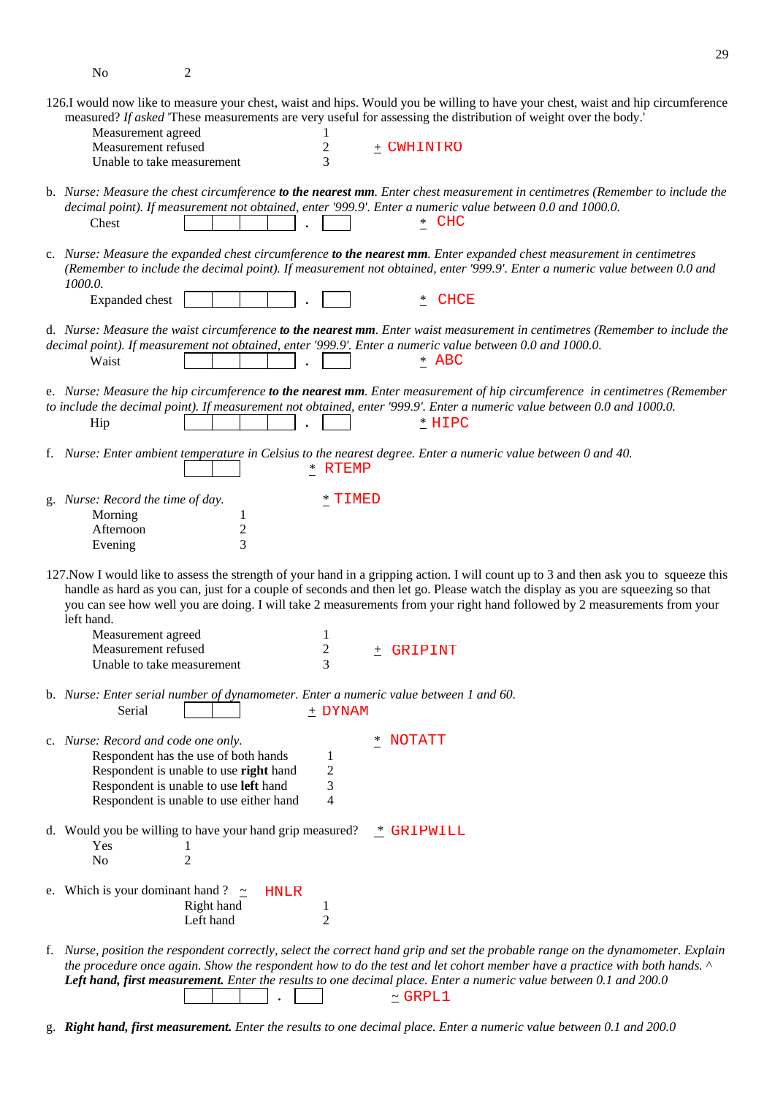No 2

29

| 126.I would now like to measure your chest, waist and hips. Would you be willing to have your chest, waist and hip circumference<br>measured? If asked 'These measurements are very useful for assessing the distribution of weight over the body.'<br>Measurement agreed                                                                                                                                         |
|-------------------------------------------------------------------------------------------------------------------------------------------------------------------------------------------------------------------------------------------------------------------------------------------------------------------------------------------------------------------------------------------------------------------|
| Measurement refused<br>$\pm$ CWHINTRO<br>2<br>3<br>Unable to take measurement                                                                                                                                                                                                                                                                                                                                     |
| b. Nurse: Measure the chest circumference to the nearest mm. Enter chest measurement in centimetres (Remember to include the<br>decimal point). If measurement not obtained, enter '999.9'. Enter a numeric value between 0.0 and 1000.0.<br>* CHC<br>Chest                                                                                                                                                       |
| c. Nurse: Measure the expanded chest circumference to the nearest mm. Enter expanded chest measurement in centimetres<br>(Remember to include the decimal point). If measurement not obtained, enter '999.9'. Enter a numeric value between 0.0 and<br>1000.0.                                                                                                                                                    |
| CHCE<br>Expanded chest<br>$\overline{ }$                                                                                                                                                                                                                                                                                                                                                                          |
| d. Nurse: Measure the waist circumference to the nearest mm. Enter waist measurement in centimetres (Remember to include the<br>decimal point). If measurement not obtained, enter '999.9'. Enter a numeric value between 0.0 and 1000.0.<br>$*$ ABC<br>Waist                                                                                                                                                     |
| e. Nurse: Measure the hip circumference to the nearest mm. Enter measurement of hip circumference in centimetres (Remember<br>to include the decimal point). If measurement not obtained, enter '999.9'. Enter a numeric value between 0.0 and 1000.0.<br>$*$ HIPC<br>Hip                                                                                                                                         |
| f. Nurse: Enter ambient temperature in Celsius to the nearest degree. Enter a numeric value between 0 and 40.<br>* RTEMP                                                                                                                                                                                                                                                                                          |
| g. Nurse: Record the time of day.<br>$*$ $\tt TIMED$<br>Morning<br>1<br>$\boldsymbol{2}$<br>Afternoon<br>3<br>Evening                                                                                                                                                                                                                                                                                             |
| 127. Now I would like to assess the strength of your hand in a gripping action. I will count up to 3 and then ask you to squeeze this<br>handle as hard as you can, just for a couple of seconds and then let go. Please watch the display as you are squeezing so that<br>you can see how well you are doing. I will take 2 measurements from your right hand followed by 2 measurements from your<br>left hand. |
| Measurement agreed<br>1                                                                                                                                                                                                                                                                                                                                                                                           |
| Measurement refused<br>$\overline{\mathbf{c}}$<br>GRIPINT<br>土<br>3<br>Unable to take measurement                                                                                                                                                                                                                                                                                                                 |
| b. Nurse: Enter serial number of dynamometer. Enter a numeric value between 1 and 60.<br>Serial<br>$+$ DYNAM                                                                                                                                                                                                                                                                                                      |
| * NOTATT<br>c. Nurse: Record and code one only.<br>Respondent has the use of both hands<br>1<br>2<br>Respondent is unable to use right hand<br>Respondent is unable to use left hand<br>3<br>Respondent is unable to use either hand<br>4                                                                                                                                                                         |
| d. Would you be willing to have your hand grip measured? $*$ GRIPWILL<br>Yes<br>$\overline{2}$<br>N <sub>0</sub>                                                                                                                                                                                                                                                                                                  |
| e. Which is your dominant hand ? $\approx$<br><b>HNLR</b><br>Right hand<br>1<br>Left hand<br>$\overline{2}$                                                                                                                                                                                                                                                                                                       |
| f. Nurse, position the respondent correctly, select the correct hand grip and set the probable range on the dynamometer. Explain<br>the procedure once again. Show the respondent how to do the test and let cohort member have a practice with both hands. ^                                                                                                                                                     |

 **.** ~  $\simeq$  GRPL1

*Left hand, first measurement. Enter the results to one decimal place. Enter a numeric value between 0.1 and 200.0* 

g. *Right hand, first measurement. Enter the results to one decimal place. Enter a numeric value between 0.1 and 200.0*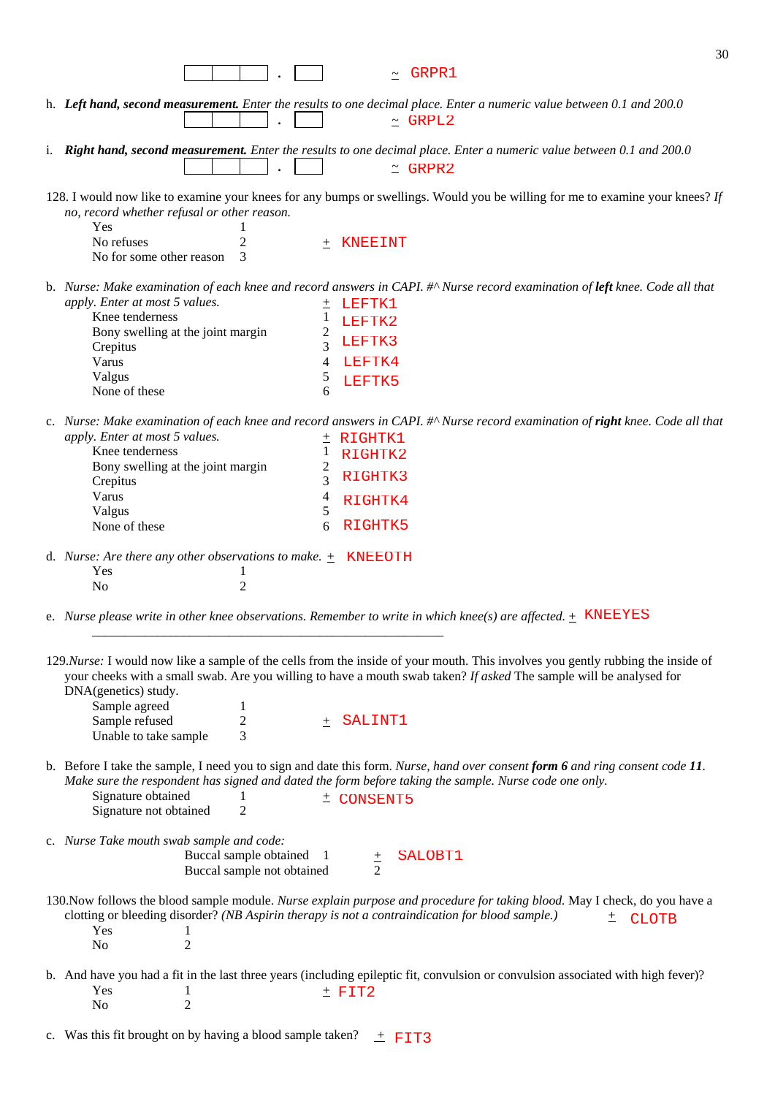| 30                                                                                                                                                                                                                                                                                                                                                                                           |
|----------------------------------------------------------------------------------------------------------------------------------------------------------------------------------------------------------------------------------------------------------------------------------------------------------------------------------------------------------------------------------------------|
| GRPR1                                                                                                                                                                                                                                                                                                                                                                                        |
| h. Left hand, second measurement. Enter the results to one decimal place. Enter a numeric value between 0.1 and 200.0<br>$~\sim$ GRPL2                                                                                                                                                                                                                                                       |
| i. Right hand, second measurement. Enter the results to one decimal place. Enter a numeric value between 0.1 and 200.0<br>$\simeq$ GRPR2                                                                                                                                                                                                                                                     |
| 128. I would now like to examine your knees for any bumps or swellings. Would you be willing for me to examine your knees? If<br>no, record whether refusal or other reason.                                                                                                                                                                                                                 |
| Yes<br>No refuses<br>$\overline{c}$<br>KNEEINT<br>$^{+}$<br>No for some other reason<br>3                                                                                                                                                                                                                                                                                                    |
| b. Nurse: Make examination of each knee and record answers in CAPI. #^ Nurse record examination of left knee. Code all that                                                                                                                                                                                                                                                                  |
| apply. Enter at most 5 values.<br>LEFTK1<br>土                                                                                                                                                                                                                                                                                                                                                |
| Knee tenderness<br>1<br>LEFTK2                                                                                                                                                                                                                                                                                                                                                               |
| $\overline{c}$<br>Bony swelling at the joint margin<br>LEFTK3<br>3<br>Crepitus                                                                                                                                                                                                                                                                                                               |
| Varus<br>4<br>LEFTK4                                                                                                                                                                                                                                                                                                                                                                         |
| Valgus<br>$\mathcal{L}$<br>LEFTK5                                                                                                                                                                                                                                                                                                                                                            |
| 6<br>None of these                                                                                                                                                                                                                                                                                                                                                                           |
| c. Nurse: Make examination of each knee and record answers in CAPI. #^ Nurse record examination of right knee. Code all that<br>apply. Enter at most 5 values.<br>RIGHTK1<br>土                                                                                                                                                                                                               |
| Knee tenderness<br>1<br>RIGHTK2                                                                                                                                                                                                                                                                                                                                                              |
| Bony swelling at the joint margin<br>2<br>RIGHTK3<br>3                                                                                                                                                                                                                                                                                                                                       |
| Crepitus<br>Varus<br>4<br>RIGHTK4                                                                                                                                                                                                                                                                                                                                                            |
| 5<br>Valgus                                                                                                                                                                                                                                                                                                                                                                                  |
| RIGHTK5<br>None of these<br>6                                                                                                                                                                                                                                                                                                                                                                |
| d. Nurse: Are there any other observations to make. $\pm$ KNEEOTH<br>Yes<br>1                                                                                                                                                                                                                                                                                                                |
| $\overline{2}$<br>N <sub>0</sub>                                                                                                                                                                                                                                                                                                                                                             |
| e. Nurse please write in other knee observations. Remember to write in which knee(s) are affected. $\pm$ KNEEYES                                                                                                                                                                                                                                                                             |
| 129. Nurse: I would now like a sample of the cells from the inside of your mouth. This involves you gently rubbing the inside of<br>your cheeks with a small swab. Are you willing to have a mouth swab taken? If asked The sample will be analysed for<br>DNA(genetics) study.<br>Sample agreed<br>1<br>$\overline{c}$<br>Sample refused<br>SALINT1<br>$^{+}$<br>Unable to take sample<br>3 |
|                                                                                                                                                                                                                                                                                                                                                                                              |
| b. Before I take the sample, I need you to sign and date this form. Nurse, hand over consent form 6 and ring consent code 11.<br>Make sure the respondent has signed and dated the form before taking the sample. Nurse code one only.<br>Signature obtained<br>$\pm$ CONSENT5<br>Signature not obtained<br>$\overline{c}$                                                                   |
| c. Nurse Take mouth swab sample and code:<br>Buccal sample obtained<br>SALOBT1<br>$\mathbf{1}$<br>$rac{+}{2}$<br>Buccal sample not obtained                                                                                                                                                                                                                                                  |
| 130. Now follows the blood sample module. Nurse explain purpose and procedure for taking blood. May I check, do you have a<br>clotting or bleeding disorder? (NB Aspirin therapy is not a contraindication for blood sample.)<br><b>CLOTB</b><br>土<br>Yes<br>1<br>$\overline{2}$<br>No                                                                                                       |
| b. And have you had a fit in the last three years (including epileptic fit, convulsion or convulsion associated with high fever)?<br>Yes<br>$±$ FIT2<br>$\overline{2}$<br>No                                                                                                                                                                                                                 |

c. Was this fit brought on by having a blood sample taken?  $\pm$  FIT3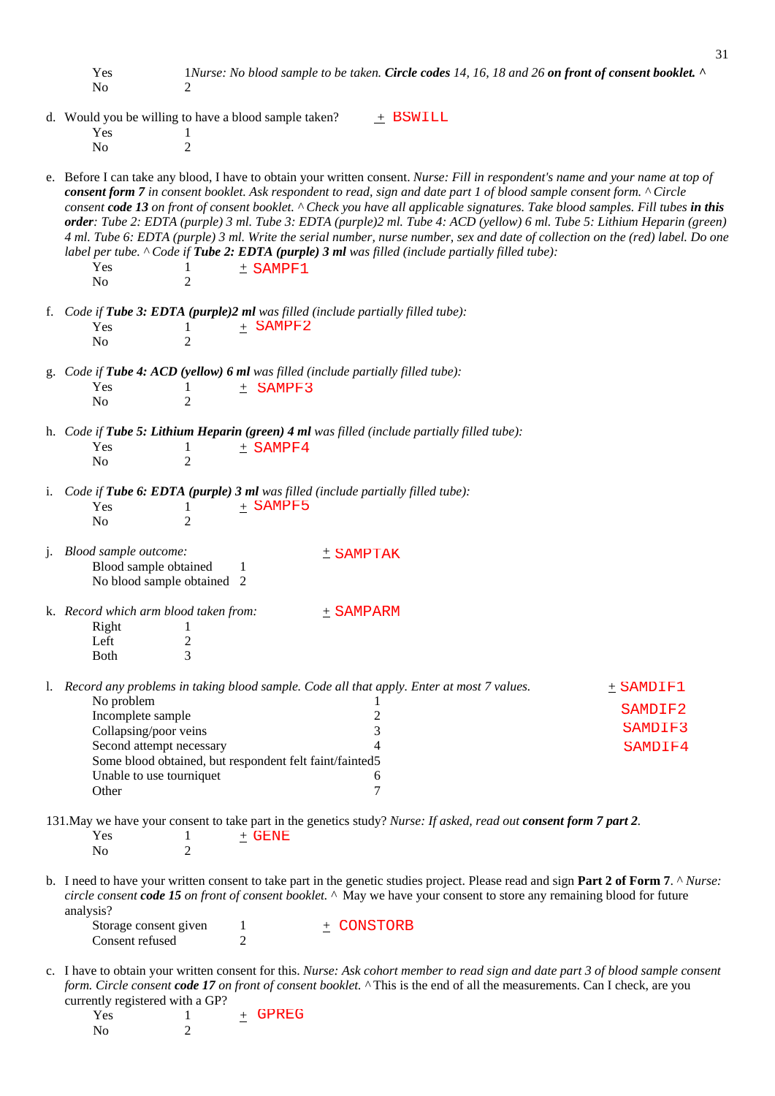Yes 1*Nurse: No blood sample to be taken. Circle codes 14, 16, 18 and 26 on front of consent booklet. ^* No 2

- d. Would you be willing to have a blood sample taken? + Yes 1 No 2  $+$  BSWILL
- e. Before I can take any blood, I have to obtain your written consent. *Nurse: Fill in respondent's name and your name at top of consent form 7 in consent booklet. Ask respondent to read, sign and date part 1 of blood sample consent form. ^ Circle consent code 13 on front of consent booklet. ^ Check you have all applicable signatures. Take blood samples. Fill tubes in this order: Tube 2: EDTA (purple) 3 ml. Tube 3: EDTA (purple)2 ml. Tube 4: ACD (yellow) 6 ml. Tube 5: Lithium Heparin (green) 4 ml. Tube 6: EDTA (purple) 3 ml. Write the serial number, nurse number, sex and date of collection on the (red) label. Do one label per tube. ^ Code if Tube 2: EDTA (purple) 3 ml was filled (include partially filled tube):*  Yes 1  $+$  $N<sub>0</sub>$  2  $±$  SAMPF1
- f. *Code if Tube 3: EDTA (purple)2 ml was filled (include partially filled tube):*  Yes 1  $+$ No 2 + SAMPF2
- g. *Code if Tube 4: ACD (yellow) 6 ml was filled (include partially filled tube):*   $Yes$  1  $+$  No 2  $±$  SAMPF3
- h. *Code if Tube 5: Lithium Heparin (green) 4 ml was filled (include partially filled tube):*  Yes 1  $+$  $N<sub>0</sub>$  2  $±$  SAMPF4
- i. *Code if Tube 6: EDTA (purple) 3 ml was filled (include partially filled tube):*  Yes 1  $+$ No 2 + SAMPF5
- j. *Blood sample outcome:* + Blood sample obtained 1 No blood sample obtained 2  $±$  SAMPTAK
- k. *Record which arm blood taken from:* + Right 1 Left 2<br>Both 3 **Both** + SAMPARM

l. *Record any problems in taking blood sample. Code all that apply. Enter at most 7 values.* + No problem 1 Incomplete sample 2 Collapsing/poor veins 3 Second attempt necessary 4 Some blood obtained, but respondent felt faint/fainted5 Unable to use tourniquet 6 Other 7  $±$  SAMDIF1 SAMDIF2 SAMDIF3 SAMDIF4

131.May we have your consent to take part in the genetics study? *Nurse: If asked, read out consent form 7 part 2.*   $Yes$  1  $+$ No 2 GENE

b. I need to have your written consent to take part in the genetic studies project. Please read and sign **Part 2 of Form 7**. ^ *Nurse: circle consent code 15 on front of consent booklet. ^* May we have your consent to store any remaining blood for future analysis?

Storage consent given 1 Consent refused 2  $\pm$  CONSTORB

c. I have to obtain your written consent for this. *Nurse: Ask cohort member to read sign and date part 3 of blood sample consent form. Circle consent code 17 on front of consent booklet. ^* This is the end of all the measurements. Can I check, are you currently registered with a GP?

| Yes            |  | + GPREG |
|----------------|--|---------|
| N <sub>0</sub> |  |         |